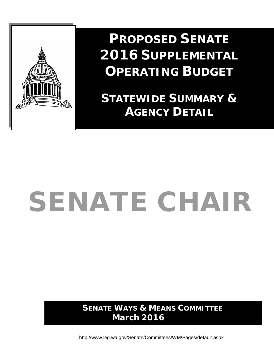

**PROPOSED SENATE 2016 SUPPLEMENTAL OPERATING BUDGET**

**STATEWIDE SUMMARY & AGENCY DETAIL**

# SENATE CHAIR

**SENATE WAYS & MEANS COMMITTEE March 2016**

<http://www.leg.wa.gov/Senate/Committees/WM/Pages/default.aspx>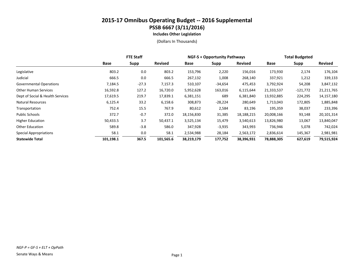**Includes Other Legislation**

|                                  | <b>FTE Staff</b> |         |                | <b>NGF-S + Opportunity Pathways</b> |           |                | <b>Total Budgeted</b> |            |                |
|----------------------------------|------------------|---------|----------------|-------------------------------------|-----------|----------------|-----------------------|------------|----------------|
|                                  | Base             | Supp    | <b>Revised</b> | Base                                | Supp      | <b>Revised</b> | Base                  | Supp       | <b>Revised</b> |
| Legislative                      | 803.2            | 0.0     | 803.2          | 153,796                             | 2,220     | 156,016        | 173,930               | 2,174      | 176,104        |
| Judicial                         | 666.5            | 0.0     | 666.5          | 267,132                             | 1,008     | 268,140        | 337,921               | 1,212      | 339,133        |
| <b>Governmental Operations</b>   | 7,184.5          | $-27.3$ | 7,157.3        | 510,107                             | -34,654   | 475,453        | 3,792,924             | 54,208     | 3,847,132      |
| <b>Other Human Services</b>      | 16,592.8         | 127.2   | 16,720.0       | 5,952,628                           | 163,016   | 6,115,644      | 21,333,537            | $-121,772$ | 21,211,765     |
| Dept of Social & Health Services | 17,619.5         | 219.7   | 17,839.1       | 6,381,151                           | 689       | 6,381,840      | 13,932,885            | 224,295    | 14,157,180     |
| <b>Natural Resources</b>         | 6,125.4          | 33.2    | 6,158.6        | 308,873                             | $-28,224$ | 280,649        | 1,713,043             | 172,805    | 1,885,848      |
| Transportation                   | 752.4            | 15.5    | 767.9          | 80,612                              | 2,584     | 83,196         | 195,359               | 38,037     | 233,396        |
| Public Schools                   | 372.7            | $-0.7$  | 372.0          | 18,156,830                          | 31,385    | 18,188,215     | 20,008,166            | 93,148     | 20,101,314     |
| <b>Higher Education</b>          | 50,433.5         | 3.7     | 50,437.1       | 3,525,134                           | 15,479    | 3,540,613      | 13,826,980            | 13,067     | 13,840,047     |
| <b>Other Education</b>           | 589.8            | $-3.8$  | 586.0          | 347,928                             | $-3,935$  | 343,993        | 736,946               | 5,078      | 742,024        |
| <b>Special Appropriations</b>    | 58.1             | 0.0     | 58.1           | 2,534,988                           | 28,184    | 2,563,172      | 2,836,614             | 145,367    | 2,981,981      |
| <b>Statewide Total</b>           | 101,198.1        | 367.5   | 101,565.6      | 38,219,179                          | 177,752   | 38,396,931     | 78,888,305            | 627,619    | 79,515,924     |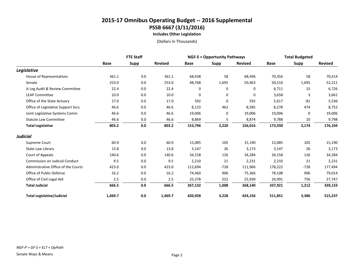**Includes Other Legislation**

|                                       | <b>FTE Staff</b> |             |                | <b>NGF-S + Opportunity Pathways</b> |             |                | <b>Total Budgeted</b> |             |                |
|---------------------------------------|------------------|-------------|----------------|-------------------------------------|-------------|----------------|-----------------------|-------------|----------------|
|                                       | <b>Base</b>      | <b>Supp</b> | <b>Revised</b> | <b>Base</b>                         | Supp        | <b>Revised</b> | <b>Base</b>           | <b>Supp</b> | <b>Revised</b> |
| Legislative                           |                  |             |                |                                     |             |                |                       |             |                |
| House of Representatives              | 361.1            | 0.0         | 361.1          | 68,438                              | 58          | 68,496         | 70,356                | 58          | 70,414         |
| Senate                                | 253.0            | 0.0         | 253.0          | 48,768                              | 1,695       | 50,463         | 50,516                | 1,695       | 52,211         |
| Jt Leg Audit & Review Committee       | 22.4             | 0.0         | 22.4           | 0                                   | 0           | 0              | 6,711                 | 15          | 6,726          |
| <b>LEAP Committee</b>                 | 10.0             | 0.0         | 10.0           | 0                                   | 0           | 0              | 3,658                 | 3           | 3,661          |
| Office of the State Actuary           | 17.0             | 0.0         | 17.0           | 592                                 | $\mathbf 0$ | 592            | 5,617                 | $-81$       | 5,536          |
| Office of Legislative Support Svcs    | 46.6             | 0.0         | 46.6           | 8,123                               | 462         | 8,585          | 8,278                 | 474         | 8,752          |
| Joint Legislative Systems Comm        | 46.6             | 0.0         | 46.6           | 19,006                              | 0           | 19,006         | 19,006                | 0           | 19,006         |
| <b>Statute Law Committee</b>          | 46.6             | 0.0         | 46.6           | 8,869                               | 5           | 8,874          | 9,788                 | 10          | 9,798          |
| <b>Total Legislative</b>              | 803.2            | 0.0         | 803.2          | 153,796                             | 2,220       | 156,016        | 173,930               | 2,174       | 176,104        |
| <b>Judicial</b>                       |                  |             |                |                                     |             |                |                       |             |                |
| Supreme Court                         | 60.9             | 0.0         | 60.9           | 15,085                              | 105         | 15,190         | 15,085                | 105         | 15,190         |
| <b>State Law Library</b>              | 13.8             | 0.0         | 13.8           | 3,147                               | 26          | 3,173          | 3,147                 | 26          | 3,173          |
| Court of Appeals                      | 140.6            | 0.0         | 140.6          | 34,158                              | 126         | 34,284         | 34,158                | 126         | 34,284         |
| <b>Commission on Judicial Conduct</b> | 9.5              | 0.0         | 9.5            | 2,210                               | 21          | 2,231          | 2,210                 | 21          | 2,231          |
| Administrative Office of the Courts   | 423.0            | 0.0         | 423.0          | 112,694                             | $-728$      | 111,966        | 178,222               | $-728$      | 177,494        |
| Office of Public Defense              | 16.2             | 0.0         | 16.2           | 74,460                              | 906         | 75,366         | 78,108                | 906         | 79,014         |
| Office of Civil Legal Aid             | 2.5              | 0.0         | 2.5            | 25,378                              | 552         | 25,930         | 26,991                | 756         | 27,747         |
| <b>Total Judicial</b>                 | 666.5            | 0.0         | 666.5          | 267,132                             | 1,008       | 268,140        | 337,921               | 1,212       | 339,133        |
| <b>Total Legislative/Judicial</b>     | 1,469.7          | 0.0         | 1,469.7        | 420,928                             | 3,228       | 424,156        | 511,851               | 3,386       | 515,237        |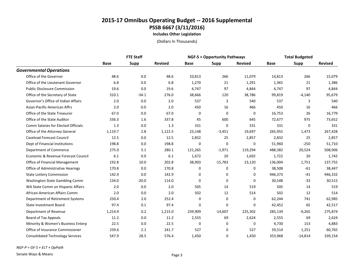**Includes Other Legislation**

|                                            | <b>FTE Staff</b> |         |                | <b>NGF-S + Opportunity Pathways</b> |             | <b>Total Budgeted</b> |             |             |                |
|--------------------------------------------|------------------|---------|----------------|-------------------------------------|-------------|-----------------------|-------------|-------------|----------------|
|                                            | <b>Base</b>      | Supp    | <b>Revised</b> | <b>Base</b>                         | Supp        | <b>Revised</b>        | <b>Base</b> | <b>Supp</b> | <b>Revised</b> |
| <b>Governmental Operations</b>             |                  |         |                |                                     |             |                       |             |             |                |
| Office of the Governor                     | 48.6             | 0.0     | 48.6           | 10,813                              | 266         | 11,079                | 14,813      | 266         | 15,079         |
| Office of the Lieutenant Governor          | 6.8              | 0.0     | 6.8            | 1,270                               | 21          | 1,291                 | 1,365       | 21          | 1,386          |
| <b>Public Disclosure Commission</b>        | 19.6             | 0.0     | 19.6           | 4,747                               | 97          | 4,844                 | 4,747       | 97          | 4,844          |
| Office of the Secretary of State           | 310.1            | $-34.1$ | 276.0          | 38,666                              | 120         | 38,786                | 99,819      | $-4,140$    | 95,679         |
| Governor's Office of Indian Affairs        | 2.0              | 0.0     | 2.0            | 537                                 | 3           | 540                   | 537         | 3           | 540            |
| Asian-Pacific-American Affrs               | 2.0              | 0.0     | 2.0            | 450                                 | 16          | 466                   | 450         | 16          | 466            |
| Office of the State Treasurer              | 67.0             | 0.0     | 67.0           | 0                                   | $\mathbf 0$ | 0                     | 16,753      | 26          | 16,779         |
| Office of the State Auditor                | 336.3            | 1.6     | 337.8          | 45                                  | 600         | 645                   | 72,677      | 975         | 73,652         |
| <b>Comm Salaries for Elected Officials</b> | 1.3              | 0.0     | 1.3            | 331                                 | $\Omega$    | 331                   | 331         | 0           | 331            |
| Office of the Attorney General             | 1,119.7          | 2.8     | 1,122.5        | 23,148                              | $-3,451$    | 19,697                | 265,955     | 1,473       | 267,428        |
| <b>Caseload Forecast Council</b>           | 12.5             | 0.0     | 12.5           | 2,832                               | 25          | 2,857                 | 2,832       | 25          | 2,857          |
| Dept of Financial Institutions             | 198.8            | 0.0     | 198.8          | $\Omega$                            | $\mathbf 0$ | $\Omega$              | 51,960      | $-250$      | 51,710         |
| Department of Commerce                     | 275.0            | 5.1     | 280.1          | 121,265                             | $-1,971$    | 119,294               | 488,382     | 20,524      | 508,906        |
| Economic & Revenue Forecast Council        | 6.1              | 0.0     | 6.1            | 1,672                               | 20          | 1,692                 | 1,722       | 20          | 1,742          |
| Office of Financial Management             | 192.8            | 10.0    | 202.8          | 38,903                              | $-15,783$   | 23,120                | 136,004     | 1,751       | 137,755        |
| <b>Office of Administrative Hearings</b>   | 170.8            | 0.0     | 170.8          | $\Omega$                            | 0           | $\Omega$              | 38,508      | $-61$       | 38,447         |
| <b>State Lottery Commission</b>            | 142.9            | 0.0     | 142.9          | $\mathbf 0$                         | $\mathbf 0$ | $\mathbf 0$           | 946,373     | $-41$       | 946,332        |
| Washington State Gambling Comm             | 134.0            | $-20.0$ | 114.0          | $\Omega$                            | $\mathbf 0$ | $\mathbf 0$           | 30,548      | $-33$       | 30,515         |
| WA State Comm on Hispanic Affairs          | 2.0              | 0.0     | 2.0            | 505                                 | 14          | 519                   | 505         | 14          | 519            |
| African-American Affairs Comm              | 2.0              | 0.0     | 2.0            | 502                                 | 12          | 514                   | 502         | 12          | 514            |
| Department of Retirement Systems           | 250.4            | 2.0     | 252.4          | $\mathbf 0$                         | $\mathbf 0$ | 0                     | 62,244      | 741         | 62,985         |
| State Investment Board                     | 97.4             | 0.1     | 97.4           | $\mathbf 0$                         | $\mathbf 0$ | $\mathbf 0$           | 42,452      | 65          | 42,517         |
| Department of Revenue                      | 1,214.9          | 0.2     | 1,215.0        | 239,909                             | $-14,607$   | 225,302               | 285,139     | $-9,265$    | 275,874        |
| <b>Board of Tax Appeals</b>                | 11.2             | 0.0     | 11.2           | 2,555                               | 69          | 2,624                 | 2,555       | 69          | 2,624          |
| Minority & Women's Business Enterp         | 22.5             | 0.0     | 22.5           | 0                                   | 0           | 0                     | 4,730       | 153         | 4,883          |
| Office of Insurance Commissioner           | 239.6            | 2.1     | 241.7          | 527                                 | $\Omega$    | 527                   | 59,514      | 1,251       | 60,765         |
| <b>Consolidated Technology Services</b>    | 547.9            | 28.5    | 576.4          | 1,450                               | $\mathbf 0$ | 1.450                 | 353,968     | $-14,814$   | 339,154        |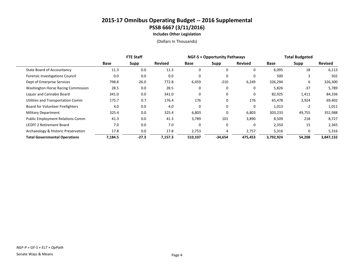**Includes Other Legislation**

|                                         | <b>FTE Staff</b> |         |                | <b>NGF-S + Opportunity Pathways</b> |           |                | <b>Total Budgeted</b> |             |                |
|-----------------------------------------|------------------|---------|----------------|-------------------------------------|-----------|----------------|-----------------------|-------------|----------------|
|                                         | Base             | Supp    | <b>Revised</b> | Base                                | Supp      | <b>Revised</b> | Base                  | <b>Supp</b> | <b>Revised</b> |
| <b>State Board of Accountancy</b>       | 11.3             | 0.0     | 11.3           | 0                                   | 0         | $\Omega$       | 6,095                 | 18          | 6,113          |
| Forensic Investigations Council         | 0.0              | 0.0     | 0.0            | $\Omega$                            | $\Omega$  | $\Omega$       | 500                   |             | 502            |
| Dept of Enterprise Services             | 798.8            | $-26.0$ | 772.8          | 6,459                               | $-210$    | 6,249          | 326,294               | 6           | 326,300        |
| Washington Horse Racing Commission      | 28.5             | 0.0     | 28.5           | 0                                   | 0         | 0              | 5,826                 | $-37$       | 5,789          |
| Liguor and Cannabis Board               | 341.0            | 0.0     | 341.0          | 0                                   | $\Omega$  | $\Omega$       | 82,925                | 1,411       | 84,336         |
| Utilities and Transportation Comm       | 175.7            | 0.7     | 176.4          | 176                                 | 0         | 176            | 65,478                | 3,924       | 69,402         |
| Board for Volunteer Firefighters        | 4.0              | 0.0     | 4.0            | 0                                   | 0         | $\Omega$       | 1,013                 | $-2$        | 1,011          |
| <b>Military Department</b>              | 325.4            | 0.0     | 325.4          | 6,803                               | 0         | 6,803          | 303,233               | 49,755      | 352,988        |
| <b>Public Employment Relations Comm</b> | 41.3             | 0.0     | 41.3           | 3,789                               | 101       | 3,890          | 8,509                 | 218         | 8,727          |
| <b>LEOFF 2 Retirement Board</b>         | 7.0              | 0.0     | 7.0            | 0                                   | $\Omega$  | 0              | 2,350                 | 15          | 2,365          |
| Archaeology & Historic Preservation     | 17.8             | 0.0     | 17.8           | 2,753                               | 4         | 2,757          | 5,316                 | 0           | 5,316          |
| <b>Total Governmental Operations</b>    | 7,184.5          | $-27.3$ | 7,157.3        | 510,107                             | $-34,654$ | 475,453        | 3,792,924             | 54,208      | 3,847,132      |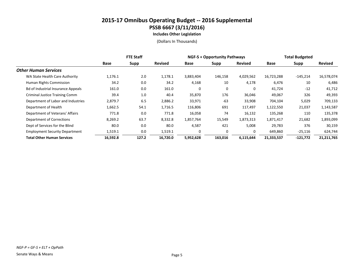**Includes Other Legislation**

|                                           | <b>FTE Staff</b> |       |                | <b>NGF-S + Opportunity Pathways</b> |          |                | <b>Total Budgeted</b> |             |                |
|-------------------------------------------|------------------|-------|----------------|-------------------------------------|----------|----------------|-----------------------|-------------|----------------|
|                                           | Base             | Supp  | <b>Revised</b> | Base                                | Supp     | <b>Revised</b> | Base                  | <b>Supp</b> | <b>Revised</b> |
| <b>Other Human Services</b>               |                  |       |                |                                     |          |                |                       |             |                |
| WA State Health Care Authority            | 1,176.1          | 2.0   | 1,178.1        | 3,883,404                           | 146,158  | 4,029,562      | 16,723,288            | $-145,214$  | 16,578,074     |
| Human Rights Commission                   | 34.2             | 0.0   | 34.2           | 4,168                               | 10       | 4,178          | 6,476                 | 10          | 6,486          |
| <b>Bd of Industrial Insurance Appeals</b> | 161.0            | 0.0   | 161.0          | 0                                   | 0        | 0              | 41,724                | $-12$       | 41,712         |
| <b>Criminal Justice Training Comm</b>     | 39.4             | 1.0   | 40.4           | 35,870                              | 176      | 36,046         | 49,067                | 326         | 49,393         |
| Department of Labor and Industries        | 2,879.7          | 6.5   | 2,886.2        | 33,971                              | $-63$    | 33,908         | 704,104               | 5,029       | 709,133        |
| Department of Health                      | 1,662.5          | 54.1  | 1,716.5        | 116,806                             | 691      | 117,497        | 1,122,550             | 21,037      | 1,143,587      |
| Department of Veterans' Affairs           | 771.8            | 0.0   | 771.8          | 16,058                              | 74       | 16,132         | 135,268               | 110         | 135,378        |
| Department of Corrections                 | 8,269.2          | 63.7  | 8,332.8        | 1,857,764                           | 15,549   | 1,873,313      | 1,871,417             | 21,682      | 1,893,099      |
| Dept of Services for the Blind            | 80.0             | 0.0   | 80.0           | 4,587                               | 421      | 5,008          | 29,783                | 376         | 30,159         |
| <b>Employment Security Department</b>     | 1,519.1          | 0.0   | 1,519.1        | 0                                   | $\Omega$ | 0              | 649,860               | $-25,116$   | 624,744        |
| <b>Total Other Human Services</b>         | 16,592.8         | 127.2 | 16,720.0       | 5,952,628                           | 163,016  | 6,115,644      | 21,333,537            | $-121,772$  | 21,211,765     |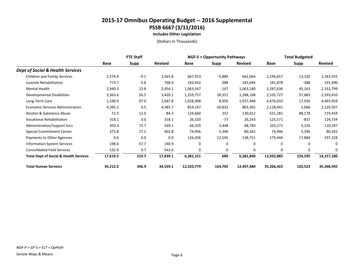**Includes Other Legislation**

|                                                   | <b>FTE Staff</b> |             |                | <b>NGF-S + Opportunity Pathways</b> |             |                | <b>Total Budgeted</b> |              |                |
|---------------------------------------------------|------------------|-------------|----------------|-------------------------------------|-------------|----------------|-----------------------|--------------|----------------|
|                                                   | <b>Base</b>      | <b>Supp</b> | <b>Revised</b> | Base                                | <b>Supp</b> | <b>Revised</b> | Base                  | <b>Supp</b>  | <b>Revised</b> |
| <b>Dept of Social &amp; Health Services</b>       |                  |             |                |                                     |             |                |                       |              |                |
| <b>Children and Family Services</b>               | 2,574.9          | $-9.1$      | 2,565.8        | 667,953                             | $-5,889$    | 662,064        | 1,196,657             | $-13,102$    | 1,183,555      |
| Juvenile Rehabilitation                           | 773.7            | $-5.8$      | 768.0          | 183,432                             | $-388$      | 183,044        | 191,878               | $-388$       | 191,490        |
| Mental Health                                     | 2,940.3          | 13.8        | 2,954.1        | 1,063,347                           | $-167$      | 1,063,180      | 2,287,636             | 45,163       | 2,332,799      |
| Developmental Disabilities                        | 3,363.6          | 56.5        | 3,420.1        | 1,259,757                           | 28,351      | 1,288,108      | 2,535,727             | 57,683       | 2,593,410      |
| Long-Term Care                                    | 1,590.9          | 97.0        | 1,687.8        | 1,928,998                           | 8,950       | 1,937,948      | 4,476,033             | 17,926       | 4,493,959      |
| <b>Economic Services Administration</b>           | 4,385.2          | 0.5         | 4,385.7        | 854,197                             | -50,832     | 803,365        | 2,128,441             | 1,066        | 2,129,507      |
| Alcohol & Substance Abuse                         | 72.3             | 12.0        | 84.3           | 129,660                             | 352         | 130,012        | 631,281               | 88,178       | 719,459        |
| <b>Vocational Rehabilitation</b>                  | 318.1            | 0.0         | 318.1          | 26,320                              | $-77$       | 26,243         | 125,571               | -837         | 124,734        |
| <b>Administration/Support Svcs</b>                | 493.4            | 75.7        | 569.1          | 66,335                              | 2,448       | 68,783         | 105,271               | 5,326        | 110,597        |
| <b>Special Commitment Center</b>                  | 375.8            | 27.1        | 402.8          | 74,946                              | 5,396       | 80,342         | 74,946                | 5,396        | 80,342         |
| Payments to Other Agencies                        | 0.0              | 0.0         | 0.0            | 126,206                             | 12,545      | 138,751        | 179,444               | 17,884       | 197,328        |
| <b>Information System Services</b>                | 198.6            | $-57.7$     | 140.9          | 0                                   | 0           | 0              | $\Omega$              | 0            | $\Omega$       |
| <b>Consolidated Field Services</b>                | 532.9            | 9.7         | 542.6          | $\mathbf 0$                         | 0           | $\Omega$       | $\mathbf 0$           | $\mathbf{0}$ | 0              |
| <b>Total Dept of Social &amp; Health Services</b> | 17,619.5         | 219.7       | 17,839.1       | 6,381,151                           | 689         | 6,381,840      | 13,932,885            | 224,295      | 14,157,180     |
| <b>Total Human Services</b>                       | 34,212.2         | 346.9       | 34,559.1       | 12,333,779                          | 163,705     | 12,497,484     | 35,266,422            | 102,523      | 35,368,945     |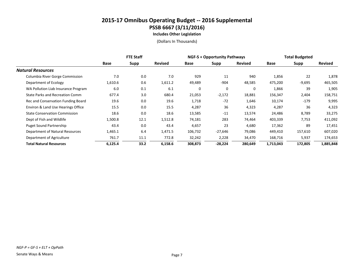**Includes Other Legislation**

|                                      | <b>FTE Staff</b> |      |                | <b>NGF-S + Opportunity Pathways</b> |           |                | <b>Total Budgeted</b> |             |                |
|--------------------------------------|------------------|------|----------------|-------------------------------------|-----------|----------------|-----------------------|-------------|----------------|
|                                      | Base             | Supp | <b>Revised</b> | Base                                | Supp      | <b>Revised</b> | <b>Base</b>           | <b>Supp</b> | <b>Revised</b> |
| <b>Natural Resources</b>             |                  |      |                |                                     |           |                |                       |             |                |
| Columbia River Gorge Commission      | 7.0              | 0.0  | 7.0            | 929                                 | 11        | 940            | 1,856                 | 22          | 1,878          |
| Department of Ecology                | 1,610.6          | 0.6  | 1,611.2        | 49,489                              | $-904$    | 48,585         | 475,200               | $-9,695$    | 465,505        |
| WA Pollution Liab Insurance Program  | 6.0              | 0.1  | 6.1            | $\mathbf 0$                         | $\Omega$  | 0              | 1,866                 | 39          | 1,905          |
| State Parks and Recreation Comm      | 677.4            | 3.0  | 680.4          | 21,053                              | $-2,172$  | 18,881         | 156,347               | 2,404       | 158,751        |
| Rec and Conservation Funding Board   | 19.6             | 0.0  | 19.6           | 1,718                               | $-72$     | 1,646          | 10,174                | $-179$      | 9,995          |
| Environ & Land Use Hearings Office   | 15.5             | 0.0  | 15.5           | 4,287                               | 36        | 4,323          | 4,287                 | 36          | 4,323          |
| <b>State Conservation Commission</b> | 18.6             | 0.0  | 18.6           | 13,585                              | $-11$     | 13,574         | 24,486                | 8,789       | 33,275         |
| Dept of Fish and Wildlife            | 1,500.8          | 12.1 | 1,512.8        | 74,181                              | 283       | 74,464         | 403,339               | 7,753       | 411,092        |
| <b>Puget Sound Partnership</b>       | 43.4             | 0.0  | 43.4           | 4,657                               | 23        | 4,680          | 17,362                | 89          | 17,451         |
| Department of Natural Resources      | 1,465.1          | 6.4  | 1,471.5        | 106,732                             | $-27,646$ | 79,086         | 449,410               | 157,610     | 607,020        |
| Department of Agriculture            | 761.7            | 11.1 | 772.8          | 32,242                              | 2,228     | 34,470         | 168,716               | 5,937       | 174,653        |
| <b>Total Natural Resources</b>       | 6,125.4          | 33.2 | 6,158.6        | 308,873                             | $-28,224$ | 280,649        | 1,713,043             | 172,805     | 1,885,848      |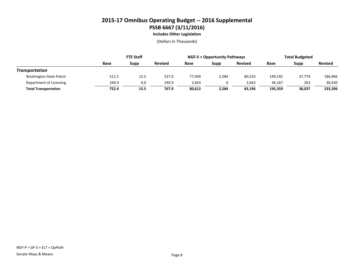**Includes Other Legislation**

|                             | <b>FTE Staff</b> |      |                | <b>NGF-S + Opportunity Pathways</b> |       |                | <b>Total Budgeted</b> |        |                |
|-----------------------------|------------------|------|----------------|-------------------------------------|-------|----------------|-----------------------|--------|----------------|
|                             | Base             | Supp | <b>Revised</b> | Base                                | Supp  | <b>Revised</b> | Base                  | Supp   | <b>Revised</b> |
| Transportation              |                  |      |                |                                     |       |                |                       |        |                |
| Washington State Patrol     | 511.5            | 15.5 | 527.0          | 77.949                              | 2,584 | 80,533         | 149,192               | 37,774 | 186,966        |
| Department of Licensing     | 240.9            | 0.0  | 240.9          | 2,663                               |       | 2,663          | 46,167                | 263    | 46,430         |
| <b>Total Transportation</b> | 752.4            | 15.5 | 767.9          | 80.612                              | 2,584 | 83.196         | 195.359               | 38,037 | 233,396        |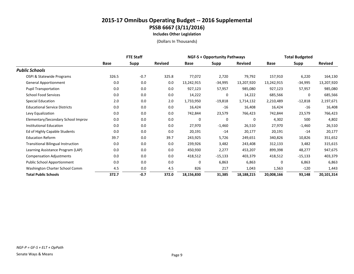**Includes Other Legislation**

|                                           | <b>FTE Staff</b> |             |                | <b>NGF-S + Opportunity Pathways</b> |             |                | <b>Total Budgeted</b> |             |                |
|-------------------------------------------|------------------|-------------|----------------|-------------------------------------|-------------|----------------|-----------------------|-------------|----------------|
|                                           | Base             | <b>Supp</b> | <b>Revised</b> | Base                                | Supp        | <b>Revised</b> | Base                  | <b>Supp</b> | <b>Revised</b> |
| <b>Public Schools</b>                     |                  |             |                |                                     |             |                |                       |             |                |
| OSPI & Statewide Programs                 | 326.5            | $-0.7$      | 325.8          | 77,072                              | 2,720       | 79,792         | 157,910               | 6,220       | 164,130        |
| <b>General Apportionment</b>              | 0.0              | 0.0         | 0.0            | 13,242,915                          | $-34,995$   | 13,207,920     | 13,242,915            | -34,995     | 13,207,920     |
| <b>Pupil Transportation</b>               | 0.0              | 0.0         | 0.0            | 927,123                             | 57,957      | 985,080        | 927,123               | 57,957      | 985,080        |
| <b>School Food Services</b>               | 0.0              | 0.0         | 0.0            | 14,222                              | $\mathbf 0$ | 14,222         | 685,566               | 0           | 685,566        |
| <b>Special Education</b>                  | 2.0              | 0.0         | 2.0            | 1,733,950                           | $-19,818$   | 1,714,132      | 2,210,489             | $-12,818$   | 2,197,671      |
| <b>Educational Service Districts</b>      | 0.0              | 0.0         | 0.0            | 16,424                              | $-16$       | 16,408         | 16,424                | $-16$       | 16,408         |
| Levy Equalization                         | 0.0              | 0.0         | 0.0            | 742,844                             | 23,579      | 766,423        | 742,844               | 23,579      | 766,423        |
| Elementary/Secondary School Improv        | 0.0              | 0.0         | 0.0            | 0                                   | 0           | 0              | 4,302                 | 500         | 4,802          |
| <b>Institutional Education</b>            | 0.0              | 0.0         | 0.0            | 27,970                              | $-1,460$    | 26,510         | 27,970                | $-1,460$    | 26,510         |
| Ed of Highly Capable Students             | 0.0              | 0.0         | 0.0            | 20,191                              | $-14$       | 20,177         | 20,191                | $-14$       | 20,177         |
| <b>Education Reform</b>                   | 39.7             | 0.0         | 39.7           | 243,925                             | 5,726       | 249,651        | 340,826               | 10,826      | 351,652        |
| <b>Transitional Bilingual Instruction</b> | 0.0              | 0.0         | 0.0            | 239,926                             | 3,482       | 243,408        | 312,133               | 3,482       | 315,615        |
| Learning Assistance Program (LAP)         | 0.0              | 0.0         | 0.0            | 450,930                             | 2,277       | 453,207        | 899,398               | 48,277      | 947,675        |
| <b>Compensation Adjustments</b>           | 0.0              | 0.0         | 0.0            | 418,512                             | $-15,133$   | 403,379        | 418,512               | $-15,133$   | 403,379        |
| Public School Apportionment               | 0.0              | 0.0         | 0.0            | 0                                   | 6,863       | 6,863          | $\mathbf 0$           | 6,863       | 6,863          |
| Washington Charter School Comm            | 4.5              | 0.0         | 4.5            | 826                                 | 217         | 1,043          | 1,563                 | $-120$      | 1,443          |
| <b>Total Public Schools</b>               | 372.7            | $-0.7$      | 372.0          | 18,156,830                          | 31,385      | 18,188,215     | 20,008,166            | 93,148      | 20,101,314     |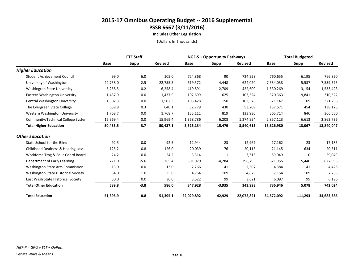**Includes Other Legislation**

|                                         | <b>FTE Staff</b> |             |                | <b>NGF-S + Opportunity Pathways</b> |          |                | <b>Total Budgeted</b> |             |                |
|-----------------------------------------|------------------|-------------|----------------|-------------------------------------|----------|----------------|-----------------------|-------------|----------------|
|                                         | <b>Base</b>      | <b>Supp</b> | <b>Revised</b> | Base                                | Supp     | <b>Revised</b> | <b>Base</b>           | <b>Supp</b> | <b>Revised</b> |
| <b>Higher Education</b>                 |                  |             |                |                                     |          |                |                       |             |                |
| <b>Student Achievement Council</b>      | 99.0             | $6.0\,$     | 105.0          | 724,868                             | 90       | 724,958        | 760,655               | 6,195       | 766,850        |
| University of Washington                | 22,758.0         | $-2.5$      | 22,755.5       | 619,572                             | 4,448    | 624,020        | 7,534,038             | 5,537       | 7,539,575      |
| <b>Washington State University</b>      | 6,258.5          | $-0.2$      | 6,258.4        | 419,891                             | 2,709    | 422,600        | 1,530,269             | 3,154       | 1,533,423      |
| Eastern Washington University           | 1,437.9          | 0.0         | 1,437.9        | 102,699                             | 625      | 103,324        | 320,363               | $-9,841$    | 310,522        |
| Central Washington University           | 1,502.3          | 0.0         | 1,502.3        | 103,428                             | 150      | 103,578        | 321,147               | 109         | 321,256        |
| The Evergreen State College             | 639.8            | 0.3         | 640.1          | 52,779                              | 430      | 53,209         | 137,671               | 454         | 138,125        |
| Western Washington University           | 1,768.7          | 0.0         | 1,768.7        | 133,111                             | 819      | 133,930        | 365,714               | 846         | 366,560        |
| Community/Technical College System      | 15,969.4         | 0.0         | 15,969.4       | 1,368,786                           | 6,208    | 1,374,994      | 2,857,123             | 6,613       | 2,863,736      |
| <b>Total Higher Education</b>           | 50,433.5         | 3.7         | 50,437.1       | 3,525,134                           | 15,479   | 3,540,613      | 13,826,980            | 13,067      | 13,840,047     |
| <b>Other Education</b>                  |                  |             |                |                                     |          |                |                       |             |                |
| State School for the Blind              | 92.5             | 0.0         | 92.5           | 12,944                              | 23       | 12,967         | 17,162                | 23          | 17,185         |
| Childhood Deafness & Hearing Loss       | 125.2            | 0.8         | 126.0          | 20,039                              | 76       | 20,115         | 21,145                | $-634$      | 20,511         |
| Workforce Trng & Educ Coord Board       | 24.2             | 0.0         | 24.2           | 3,314                               | 1        | 3,315          | 59,049                | 0           | 59,049         |
| Department of Early Learning            | 271.0            | $-5.6$      | 265.4          | 301,079                             | $-4,284$ | 296,795        | 621,955               | 5,440       | 627,395        |
| <b>Washington State Arts Commission</b> | 13.0             | 0.0         | 13.0           | 2,266                               | 41       | 2,307          | 4,384                 | 41          | 4,425          |
| Washington State Historical Society     | 34.0             | $1.0\,$     | 35.0           | 4,764                               | 109      | 4,873          | 7,154                 | 109         | 7,263          |
| East Wash State Historical Society      | 30.0             | 0.0         | 30.0           | 3,522                               | 99       | 3,621          | 6,097                 | 99          | 6,196          |
| <b>Total Other Education</b>            | 589.8            | $-3.8$      | 586.0          | 347,928                             | $-3,935$ | 343,993        | 736,946               | 5,078       | 742,024        |
| <b>Total Education</b>                  | 51,395.9         | $-0.8$      | 51,395.1       | 22,029,892                          | 42,929   | 22,072,821     | 34,572,092            | 111,293     | 34,683,385     |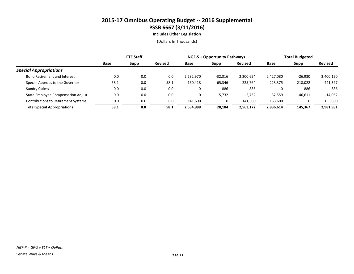**Includes Other Legislation**

|                                            | <b>FTE Staff</b> |             |                | <b>NGF-S + Opportunity Pathways</b> |           |                | <b>Total Budgeted</b> |           |                |
|--------------------------------------------|------------------|-------------|----------------|-------------------------------------|-----------|----------------|-----------------------|-----------|----------------|
|                                            | <b>Base</b>      | <b>Supp</b> | <b>Revised</b> | <b>Base</b>                         | Supp      | <b>Revised</b> | Base                  | Supp      | <b>Revised</b> |
| <b>Special Appropriations</b>              |                  |             |                |                                     |           |                |                       |           |                |
| <b>Bond Retirement and Interest</b>        | 0.0              | 0.0         | 0.0            | 2,232,970                           | $-32,316$ | 2,200,654      | 2,427,080             | $-26,930$ | 2,400,150      |
| Special Approps to the Governor            | 58.1             | 0.0         | 58.1           | 160.418                             | 65,346    | 225,764        | 223,375               | 218,022   | 441,397        |
| <b>Sundry Claims</b>                       | 0.0              | 0.0         | 0.0            | 0                                   | 886       | 886            | 0                     | 886       | 886            |
| <b>State Employee Compensation Adjust</b>  | 0.0              | 0.0         | 0.0            | 0                                   | $-5,732$  | $-5,732$       | 32,559                | $-46,611$ | $-14,052$      |
| <b>Contributions to Retirement Systems</b> | 0.0              | 0.0         | 0.0            | 141.600                             |           | 141,600        | 153,600               |           | 153,600        |
| <b>Total Special Appropriations</b>        | 58.1             | 0.0         | 58.1           | 2,534,988                           | 28,184    | 2,563,172      | 2,836,614             | 145.367   | 2,981,981      |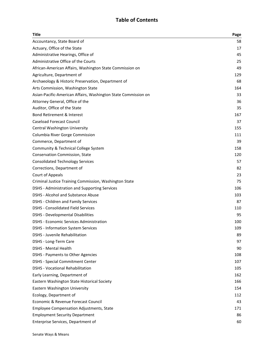#### **Table of Contents**

| <b>Title</b>                                                   | Page |
|----------------------------------------------------------------|------|
| Accountancy, State Board of                                    | 58   |
| Actuary, Office of the State                                   | 17   |
| Administrative Hearings, Office of                             | 45   |
| Administrative Office of the Courts                            | 25   |
| African-American Affairs, Washington State Commission on       | 49   |
| Agriculture, Department of                                     | 129  |
| Archaeology & Historic Preservation, Department of             | 68   |
| Arts Commission, Washington State                              | 164  |
| Asian-Pacific-American Affairs, Washington State Commission on | 33   |
| Attorney General, Office of the                                | 36   |
| Auditor, Office of the State                                   | 35   |
| <b>Bond Retirement &amp; Interest</b>                          | 167  |
| <b>Caseload Forecast Council</b>                               | 37   |
| Central Washington University                                  | 155  |
| Columbia River Gorge Commission                                | 111  |
| Commerce, Department of                                        | 39   |
| Community & Technical College System                           | 158  |
| Conservation Commission, State                                 | 120  |
| <b>Consolidated Technology Services</b>                        | 57   |
| Corrections, Department of                                     | 82   |
| Court of Appeals                                               | 23   |
| Criminal Justice Training Commission, Washington State         | 75   |
| DSHS - Administration and Supporting Services                  | 106  |
| <b>DSHS - Alcohol and Substance Abuse</b>                      | 103  |
| <b>DSHS - Children and Family Services</b>                     | 87   |
| <b>DSHS - Consolidated Field Services</b>                      | 110  |
| <b>DSHS - Developmental Disabilities</b>                       | 95   |
| <b>DSHS - Economic Services Administration</b>                 | 100  |
| <b>DSHS - Information System Services</b>                      | 109  |
| DSHS - Juvenile Rehabilitation                                 | 89   |
| DSHS - Long-Term Care                                          | 97   |
| <b>DSHS - Mental Health</b>                                    | 90   |
| <b>DSHS - Payments to Other Agencies</b>                       | 108  |
| <b>DSHS - Special Commitment Center</b>                        | 107  |
| <b>DSHS - Vocational Rehabilitation</b>                        | 105  |
| Early Learning, Department of                                  | 162  |
| Eastern Washington State Historical Society                    | 166  |
| Eastern Washington University                                  | 154  |
| Ecology, Department of                                         | 112  |
| Economic & Revenue Forecast Council                            | 43   |
| <b>Employee Compensation Adjustments, State</b>                | 171  |
| <b>Employment Security Department</b>                          | 86   |
| Enterprise Services, Department of                             | 60   |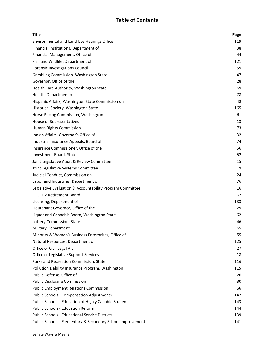#### **Table of Contents**

| <b>Title</b>                                               | Page |
|------------------------------------------------------------|------|
| <b>Environmental and Land Use Hearings Office</b>          | 119  |
| Financial Institutions, Department of                      | 38   |
| Financial Management, Office of                            | 44   |
| Fish and Wildlife, Department of                           | 121  |
| Forensic Investigations Council                            | 59   |
| Gambling Commission, Washington State                      | 47   |
| Governor, Office of the                                    | 28   |
| Health Care Authority, Washington State                    | 69   |
| Health, Department of                                      | 78   |
| Hispanic Affairs, Washington State Commission on           | 48   |
| Historical Society, Washington State                       | 165  |
| Horse Racing Commission, Washington                        | 61   |
| House of Representatives                                   | 13   |
| Human Rights Commission                                    | 73   |
| Indian Affairs, Governor's Office of                       | 32   |
| Industrial Insurance Appeals, Board of                     | 74   |
| Insurance Commissioner, Office of the                      | 56   |
| Investment Board, State                                    | 52   |
| Joint Legislative Audit & Review Committee                 | 15   |
| Joint Legislative Systems Committee                        | 19   |
| Judicial Conduct, Commission on                            | 24   |
| Labor and Industries, Department of                        | 76   |
| Legislative Evaluation & Accountability Program Committee  | 16   |
| <b>LEOFF 2 Retirement Board</b>                            | 67   |
| Licensing, Department of                                   | 133  |
| Lieutenant Governor, Office of the                         | 29   |
| Liquor and Cannabis Board, Washington State                | 62   |
| Lottery Commission, State                                  | 46   |
| <b>Military Department</b>                                 | 65   |
| Minority & Women's Business Enterprises, Office of         | 55   |
| Natural Resources, Department of                           | 125  |
| Office of Civil Legal Aid                                  | 27   |
| Office of Legislative Support Services                     | 18   |
| Parks and Recreation Commission, State                     | 116  |
| Pollution Liability Insurance Program, Washington          | 115  |
| Public Defense, Office of                                  | 26   |
| <b>Public Disclosure Commission</b>                        | 30   |
| <b>Public Employment Relations Commission</b>              | 66   |
| <b>Public Schools - Compensation Adjustments</b>           | 147  |
| Public Schools - Education of Highly Capable Students      | 143  |
| <b>Public Schools - Education Reform</b>                   | 144  |
| <b>Public Schools - Educational Service Districts</b>      | 139  |
| Public Schools - Elementary & Secondary School Improvement | 141  |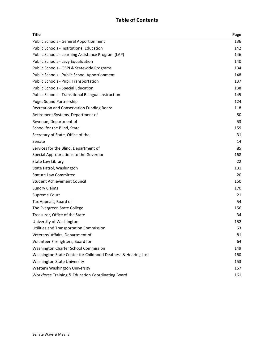#### **Table of Contents**

| <b>Title</b>                                                  | Page |
|---------------------------------------------------------------|------|
| <b>Public Schools - General Apportionment</b>                 | 136  |
| <b>Public Schools - Institutional Education</b>               | 142  |
| Public Schools - Learning Assistance Program (LAP)            | 146  |
| Public Schools - Levy Equalization                            | 140  |
| Public Schools - OSPI & Statewide Programs                    | 134  |
| Public Schools - Public School Apportionment                  | 148  |
| Public Schools - Pupil Transportation                         | 137  |
| <b>Public Schools - Special Education</b>                     | 138  |
| <b>Public Schools - Transitional Bilingual Instruction</b>    | 145  |
| <b>Puget Sound Partnership</b>                                | 124  |
| Recreation and Conservation Funding Board                     | 118  |
| Retirement Systems, Department of                             | 50   |
| Revenue, Department of                                        | 53   |
| School for the Blind, State                                   | 159  |
| Secretary of State, Office of the                             | 31   |
| Senate                                                        | 14   |
| Services for the Blind, Department of                         | 85   |
| Special Appropriations to the Governor                        | 168  |
| State Law Library                                             | 22   |
| State Patrol, Washington                                      | 131  |
| <b>Statute Law Committee</b>                                  | 20   |
| <b>Student Achievement Council</b>                            | 150  |
| <b>Sundry Claims</b>                                          | 170  |
| Supreme Court                                                 | 21   |
| Tax Appeals, Board of                                         | 54   |
| The Evergreen State College                                   | 156  |
| Treasurer, Office of the State                                | 34   |
| University of Washington                                      | 152  |
| Utilities and Transportation Commission                       | 63   |
| Veterans' Affairs, Department of                              | 81   |
| Volunteer Firefighters, Board for                             | 64   |
| Washington Charter School Commission                          | 149  |
| Washington State Center for Childhood Deafness & Hearing Loss | 160  |
| <b>Washington State University</b>                            | 153  |
| Western Washington University                                 | 157  |
| Workforce Training & Education Coordinating Board             | 161  |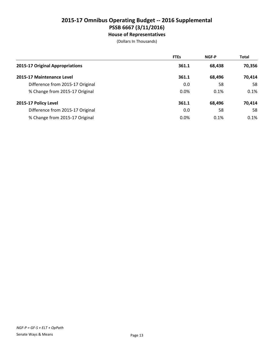**House of Representatives**

|                                  | <b>FTEs</b> | <b>NGF-P</b> | <b>Total</b> |
|----------------------------------|-------------|--------------|--------------|
| 2015-17 Original Appropriations  | 361.1       | 68,438       | 70,356       |
| 2015-17 Maintenance Level        | 361.1       | 68,496       | 70,414       |
| Difference from 2015-17 Original | 0.0         | 58           | 58           |
| % Change from 2015-17 Original   | 0.0%        | 0.1%         | 0.1%         |
| 2015-17 Policy Level             | 361.1       | 68,496       | 70,414       |
| Difference from 2015-17 Original | 0.0         | 58           | 58           |
| % Change from 2015-17 Original   | 0.0%        | 0.1%         | 0.1%         |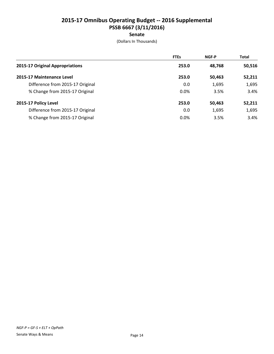#### **Senate**

|                                  | <b>FTEs</b> | <b>NGF-P</b> | <b>Total</b> |
|----------------------------------|-------------|--------------|--------------|
| 2015-17 Original Appropriations  | 253.0       | 48,768       | 50,516       |
| 2015-17 Maintenance Level        | 253.0       | 50,463       | 52,211       |
| Difference from 2015-17 Original | 0.0         | 1,695        | 1,695        |
| % Change from 2015-17 Original   | 0.0%        | 3.5%         | 3.4%         |
| 2015-17 Policy Level             | 253.0       | 50,463       | 52,211       |
| Difference from 2015-17 Original | 0.0         | 1,695        | 1,695        |
| % Change from 2015-17 Original   | 0.0%        | 3.5%         | 3.4%         |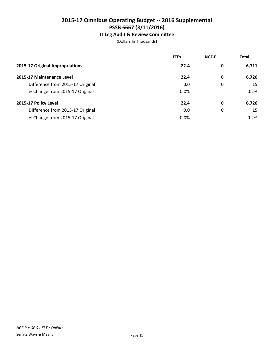#### **Jt Leg Audit & Review Committee**

|                                  | <b>FTEs</b> | <b>NGF-P</b> | <b>Total</b> |
|----------------------------------|-------------|--------------|--------------|
| 2015-17 Original Appropriations  | 22.4        | 0            | 6,711        |
| 2015-17 Maintenance Level        | 22.4        | 0            | 6,726        |
| Difference from 2015-17 Original | 0.0         | 0            | 15           |
| % Change from 2015-17 Original   | 0.0%        |              | 0.2%         |
| 2015-17 Policy Level             | 22.4        | 0            | 6,726        |
| Difference from 2015-17 Original | 0.0         | 0            | 15           |
| % Change from 2015-17 Original   | 0.0%        |              | 0.2%         |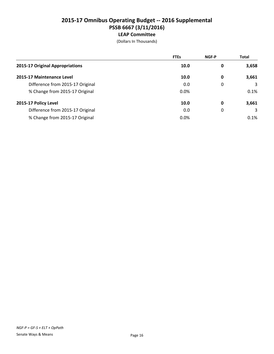|                                  | <b>FTEs</b> | <b>NGF-P</b> | <b>Total</b> |
|----------------------------------|-------------|--------------|--------------|
| 2015-17 Original Appropriations  | 10.0        | 0            | 3,658        |
| 2015-17 Maintenance Level        | 10.0        | 0            | 3,661        |
| Difference from 2015-17 Original | 0.0         | 0            | 3            |
| % Change from 2015-17 Original   | 0.0%        |              | 0.1%         |
| 2015-17 Policy Level             | 10.0        | 0            | 3,661        |
| Difference from 2015-17 Original | 0.0         | 0            | 3            |
| % Change from 2015-17 Original   | 0.0%        |              | 0.1%         |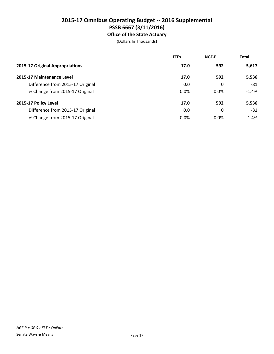#### **2015-17 Omnibus Operating Budget -- 2016 Supplemental PSSB 6667 (3/11/2016) Office of the State Actuary**

|                                  | <b>FTEs</b> | <b>NGF-P</b> | <b>Total</b> |
|----------------------------------|-------------|--------------|--------------|
| 2015-17 Original Appropriations  | 17.0        | 592          | 5,617        |
| 2015-17 Maintenance Level        | 17.0        | 592          | 5,536        |
| Difference from 2015-17 Original | 0.0         | 0            | -81          |
| % Change from 2015-17 Original   | 0.0%        | 0.0%         | $-1.4%$      |
| 2015-17 Policy Level             | 17.0        | 592          | 5,536        |
| Difference from 2015-17 Original | 0.0         | 0            | -81          |
| % Change from 2015-17 Original   | 0.0%        | $0.0\%$      | $-1.4\%$     |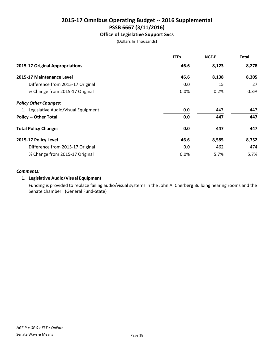#### **Office of Legislative Support Svcs**

(Dollars In Thousands)

|                                       | <b>FTEs</b> | NGF-P | <b>Total</b> |
|---------------------------------------|-------------|-------|--------------|
| 2015-17 Original Appropriations       | 46.6        | 8,123 | 8,278        |
| 2015-17 Maintenance Level             | 46.6        | 8,138 | 8,305        |
| Difference from 2015-17 Original      | 0.0         | 15    | 27           |
| % Change from 2015-17 Original        | 0.0%        | 0.2%  | 0.3%         |
| <b>Policy Other Changes:</b>          |             |       |              |
| 1. Legislative Audio/Visual Equipment | 0.0         | 447   | 447          |
| <b>Policy -- Other Total</b>          | 0.0         | 447   | 447          |
| <b>Total Policy Changes</b>           | 0.0         | 447   | 447          |
| 2015-17 Policy Level                  | 46.6        | 8,585 | 8,752        |
| Difference from 2015-17 Original      | 0.0         | 462   | 474          |
| % Change from 2015-17 Original        | $0.0\%$     | 5.7%  | 5.7%         |

#### *Comments:*

#### **1. Legislative Audio/Visual Equipment**

Funding is provided to replace failing audio/visual systems in the John A. Cherberg Building hearing rooms and the Senate chamber. (General Fund-State)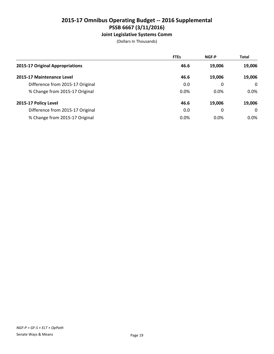#### **Joint Legislative Systems Comm**

|                                  | <b>FTEs</b> | <b>NGF-P</b> | <b>Total</b> |
|----------------------------------|-------------|--------------|--------------|
| 2015-17 Original Appropriations  | 46.6        | 19,006       | 19,006       |
| 2015-17 Maintenance Level        | 46.6        | 19.006       | 19,006       |
| Difference from 2015-17 Original | 0.0         | 0            | $\Omega$     |
| % Change from 2015-17 Original   | 0.0%        | 0.0%         | $0.0\%$      |
| 2015-17 Policy Level             | 46.6        | 19,006       | 19,006       |
| Difference from 2015-17 Original | 0.0         | 0            | $\Omega$     |
| % Change from 2015-17 Original   | 0.0%        | $0.0\%$      | $0.0\%$      |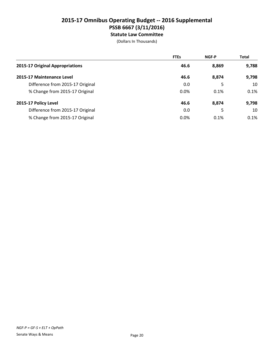#### **2015-17 Omnibus Operating Budget -- 2016 Supplemental PSSB 6667 (3/11/2016) Statute Law Committee**

|                                  | <b>FTEs</b> | <b>NGF-P</b> | <b>Total</b> |
|----------------------------------|-------------|--------------|--------------|
| 2015-17 Original Appropriations  | 46.6        | 8,869        | 9,788        |
| 2015-17 Maintenance Level        | 46.6        | 8,874        | 9,798        |
| Difference from 2015-17 Original | 0.0         | 5            | 10           |
| % Change from 2015-17 Original   | $0.0\%$     | 0.1%         | 0.1%         |
| 2015-17 Policy Level             | 46.6        | 8,874        | 9,798        |
| Difference from 2015-17 Original | 0.0         | 5            | 10           |
| % Change from 2015-17 Original   | $0.0\%$     | 0.1%         | 0.1%         |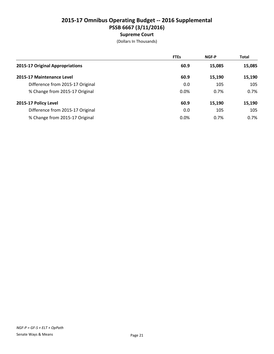|                                  | <b>FTEs</b> | <b>NGF-P</b> | <b>Total</b> |
|----------------------------------|-------------|--------------|--------------|
| 2015-17 Original Appropriations  | 60.9        | 15,085       | 15,085       |
| 2015-17 Maintenance Level        | 60.9        | 15,190       | 15,190       |
| Difference from 2015-17 Original | 0.0         | 105          | 105          |
| % Change from 2015-17 Original   | 0.0%        | 0.7%         | 0.7%         |
| 2015-17 Policy Level             | 60.9        | 15,190       | 15,190       |
| Difference from 2015-17 Original | 0.0         | 105          | 105          |
| % Change from 2015-17 Original   | 0.0%        | 0.7%         | 0.7%         |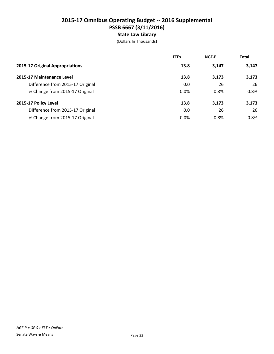## **2015-17 Omnibus Operating Budget -- 2016 Supplemental PSSB 6667 (3/11/2016) State Law Library**

|                                  | <b>FTEs</b> | <b>NGF-P</b> | <b>Total</b> |
|----------------------------------|-------------|--------------|--------------|
| 2015-17 Original Appropriations  | 13.8        | 3,147        | 3,147        |
| 2015-17 Maintenance Level        | 13.8        | 3,173        | 3,173        |
| Difference from 2015-17 Original | 0.0         | 26           | 26           |
| % Change from 2015-17 Original   | 0.0%        | 0.8%         | 0.8%         |
| 2015-17 Policy Level             | 13.8        | 3,173        | 3,173        |
| Difference from 2015-17 Original | 0.0         | 26           | 26           |
| % Change from 2015-17 Original   | 0.0%        | 0.8%         | 0.8%         |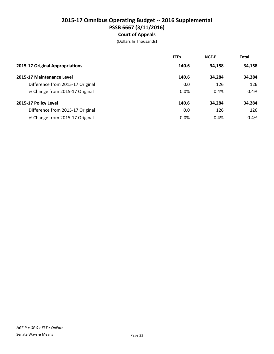## **2015-17 Omnibus Operating Budget -- 2016 Supplemental PSSB 6667 (3/11/2016) Court of Appeals**

|                                  | <b>FTEs</b> | <b>NGF-P</b> | <b>Total</b> |
|----------------------------------|-------------|--------------|--------------|
| 2015-17 Original Appropriations  | 140.6       | 34,158       | 34,158       |
| 2015-17 Maintenance Level        | 140.6       | 34,284       | 34,284       |
| Difference from 2015-17 Original | 0.0         | 126          | 126          |
| % Change from 2015-17 Original   | 0.0%        | 0.4%         | 0.4%         |
| 2015-17 Policy Level             | 140.6       | 34,284       | 34,284       |
| Difference from 2015-17 Original | 0.0         | 126          | 126          |
| % Change from 2015-17 Original   | 0.0%        | 0.4%         | 0.4%         |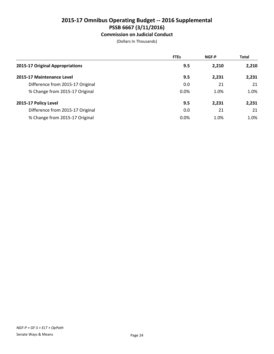#### **Commission on Judicial Conduct**

|                                  | <b>FTEs</b> | <b>NGF-P</b> | <b>Total</b> |
|----------------------------------|-------------|--------------|--------------|
| 2015-17 Original Appropriations  | 9.5         | 2,210        | 2,210        |
| 2015-17 Maintenance Level        | 9.5         | 2,231        | 2,231        |
| Difference from 2015-17 Original | 0.0         | 21           | 21           |
| % Change from 2015-17 Original   | 0.0%        | 1.0%         | 1.0%         |
| 2015-17 Policy Level             | 9.5         | 2,231        | 2,231        |
| Difference from 2015-17 Original | 0.0         | 21           | 21           |
| % Change from 2015-17 Original   | $0.0\%$     | 1.0%         | 1.0%         |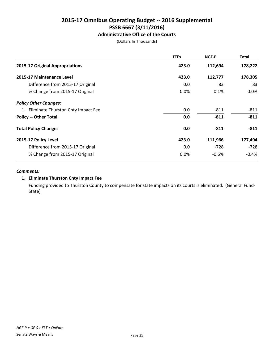**Administrative Office of the Courts**

(Dollars In Thousands)

|                                       | <b>FTEs</b> | NGF-P   | <b>Total</b> |
|---------------------------------------|-------------|---------|--------------|
| 2015-17 Original Appropriations       | 423.0       | 112,694 | 178,222      |
| 2015-17 Maintenance Level             | 423.0       | 112,777 | 178,305      |
| Difference from 2015-17 Original      | 0.0         | 83      | 83           |
| % Change from 2015-17 Original        | $0.0\%$     | 0.1%    | $0.0\%$      |
| <b>Policy Other Changes:</b>          |             |         |              |
| 1. Eliminate Thurston Cnty Impact Fee | 0.0         | $-811$  | $-811$       |
| <b>Policy -- Other Total</b>          | 0.0         | $-811$  | $-811$       |
| <b>Total Policy Changes</b>           | 0.0         | $-811$  | $-811$       |
| 2015-17 Policy Level                  | 423.0       | 111,966 | 177,494      |
| Difference from 2015-17 Original      | 0.0         | $-728$  | $-728$       |
| % Change from 2015-17 Original        | $0.0\%$     | $-0.6%$ | $-0.4%$      |

#### *Comments:*

#### **1. Eliminate Thurston Cnty Impact Fee**

Funding provided to Thurston County to compensate for state impacts on its courts is eliminated. (General Fund-State)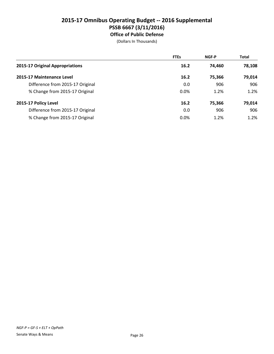#### **2015-17 Omnibus Operating Budget -- 2016 Supplemental PSSB 6667 (3/11/2016) Office of Public Defense**

|                                  | <b>FTEs</b> | <b>NGF-P</b> | <b>Total</b> |
|----------------------------------|-------------|--------------|--------------|
| 2015-17 Original Appropriations  | 16.2        | 74.460       | 78,108       |
| 2015-17 Maintenance Level        | 16.2        | 75,366       | 79,014       |
| Difference from 2015-17 Original | 0.0         | 906          | 906          |
| % Change from 2015-17 Original   | 0.0%        | 1.2%         | 1.2%         |
| 2015-17 Policy Level             | 16.2        | 75,366       | 79,014       |
| Difference from 2015-17 Original | 0.0         | 906          | 906          |
| % Change from 2015-17 Original   | 0.0%        | 1.2%         | 1.2%         |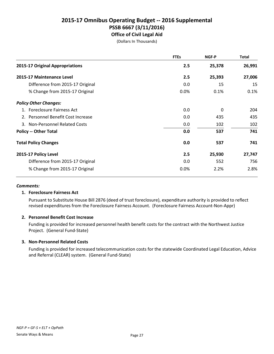#### **2015-17 Omnibus Operating Budget -- 2016 Supplemental PSSB 6667 (3/11/2016) Office of Civil Legal Aid**

(Dollars In Thousands)

|                                    | <b>FTEs</b> | <b>NGF-P</b> | <b>Total</b> |
|------------------------------------|-------------|--------------|--------------|
| 2015-17 Original Appropriations    | 2.5         | 25,378       | 26,991       |
| 2015-17 Maintenance Level          | 2.5         | 25,393       | 27,006       |
| Difference from 2015-17 Original   | 0.0         | 15           | 15           |
| % Change from 2015-17 Original     | 0.0%        | 0.1%         | 0.1%         |
| <b>Policy Other Changes:</b>       |             |              |              |
| 1. Foreclosure Fairness Act        | 0.0         | 0            | 204          |
| 2. Personnel Benefit Cost Increase | 0.0         | 435          | 435          |
| 3. Non-Personnel Related Costs     | 0.0         | 102          | 102          |
| <b>Policy -- Other Total</b>       | 0.0         | 537          | 741          |
| <b>Total Policy Changes</b>        | 0.0         | 537          | 741          |
| 2015-17 Policy Level               | 2.5         | 25,930       | 27,747       |
| Difference from 2015-17 Original   | 0.0         | 552          | 756          |
| % Change from 2015-17 Original     | 0.0%        | 2.2%         | 2.8%         |

#### *Comments:*

#### **1. Foreclosure Fairness Act**

Pursuant to Substitute House Bill 2876 (deed of trust foreclosure), expenditure authority is provided to reflect revised expenditures from the Foreclosure Fairness Account. (Foreclosure Fairness Account-Non-Appr)

#### **2. Personnel Benefit Cost Increase**

Funding is provided for increased personnel health benefit costs for the contract with the Northwest Justice Project. (General Fund-State)

#### **3. Non-Personnel Related Costs**

Funding is provided for increased telecommunication costs for the statewide Coordinated Legal Education, Advice and Referral (CLEAR) system. (General Fund-State)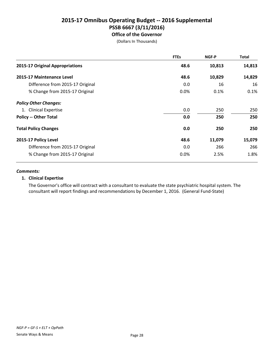#### **2015-17 Omnibus Operating Budget -- 2016 Supplemental PSSB 6667 (3/11/2016) Office of the Governor**

(Dollars In Thousands)

|                                  | <b>FTEs</b> | NGF-P  | <b>Total</b> |
|----------------------------------|-------------|--------|--------------|
| 2015-17 Original Appropriations  | 48.6        | 10,813 | 14,813       |
| 2015-17 Maintenance Level        | 48.6        | 10,829 | 14,829       |
| Difference from 2015-17 Original | 0.0         | 16     | 16           |
| % Change from 2015-17 Original   | 0.0%        | 0.1%   | 0.1%         |
| <b>Policy Other Changes:</b>     |             |        |              |
| 1. Clinical Expertise            | 0.0         | 250    | 250          |
| <b>Policy -- Other Total</b>     | 0.0         | 250    | 250          |
| <b>Total Policy Changes</b>      | 0.0         | 250    | 250          |
| 2015-17 Policy Level             | 48.6        | 11,079 | 15,079       |
| Difference from 2015-17 Original | 0.0         | 266    | 266          |
| % Change from 2015-17 Original   | 0.0%        | 2.5%   | 1.8%         |

#### *Comments:*

#### **1. Clinical Expertise**

The Governor's office will contract with a consultant to evaluate the state psychiatric hospital system. The consultant will report findings and recommendations by December 1, 2016. (General Fund-State)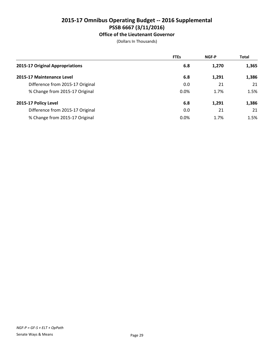#### **Office of the Lieutenant Governor**

|                                  | <b>FTEs</b> | <b>NGF-P</b> | <b>Total</b> |
|----------------------------------|-------------|--------------|--------------|
| 2015-17 Original Appropriations  | 6.8         | 1,270        | 1,365        |
| 2015-17 Maintenance Level        | 6.8         | 1,291        | 1,386        |
| Difference from 2015-17 Original | 0.0         | 21           | 21           |
| % Change from 2015-17 Original   | 0.0%        | 1.7%         | 1.5%         |
| 2015-17 Policy Level             | 6.8         | 1,291        | 1,386        |
| Difference from 2015-17 Original | 0.0         | 21           | 21           |
| % Change from 2015-17 Original   | 0.0%        | 1.7%         | 1.5%         |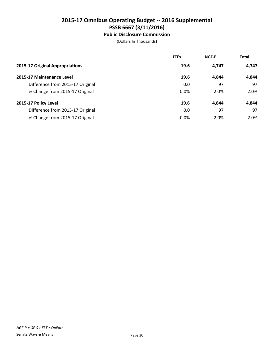#### **Public Disclosure Commission**

|                                  | <b>FTEs</b> | <b>NGF-P</b> | <b>Total</b> |
|----------------------------------|-------------|--------------|--------------|
| 2015-17 Original Appropriations  | 19.6        | 4.747        | 4,747        |
| 2015-17 Maintenance Level        | 19.6        | 4.844        | 4,844        |
| Difference from 2015-17 Original | 0.0         | 97           | 97           |
| % Change from 2015-17 Original   | 0.0%        | 2.0%         | 2.0%         |
| 2015-17 Policy Level             | 19.6        | 4.844        | 4,844        |
| Difference from 2015-17 Original | 0.0         | 97           | 97           |
| % Change from 2015-17 Original   | 0.0%        | 2.0%         | 2.0%         |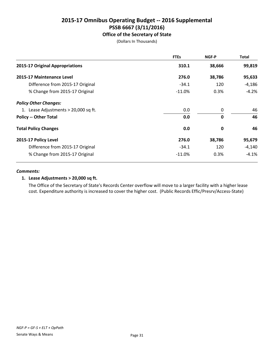**Office of the Secretary of State**

(Dollars In Thousands)

|                                      | <b>FTEs</b> | <b>NGF-P</b> | <b>Total</b> |
|--------------------------------------|-------------|--------------|--------------|
| 2015-17 Original Appropriations      | 310.1       | 38,666       | 99,819       |
| 2015-17 Maintenance Level            | 276.0       | 38,786       | 95,633       |
| Difference from 2015-17 Original     | $-34.1$     | 120          | -4,186       |
| % Change from 2015-17 Original       | $-11.0\%$   | 0.3%         | $-4.2%$      |
| <b>Policy Other Changes:</b>         |             |              |              |
| 1. Lease Adjustments > 20,000 sq ft. | 0.0         | 0            | 46           |
| <b>Policy -- Other Total</b>         | 0.0         | $\mathbf{0}$ | 46           |
| <b>Total Policy Changes</b>          | 0.0         | 0            | 46           |
| 2015-17 Policy Level                 | 276.0       | 38,786       | 95,679       |
| Difference from 2015-17 Original     | $-34.1$     | 120          | $-4,140$     |
| % Change from 2015-17 Original       | $-11.0\%$   | 0.3%         | $-4.1\%$     |

#### *Comments:*

#### **1. Lease Adjustments > 20,000 sq ft.**

The Office of the Secretary of State's Records Center overflow will move to a larger facility with a higher lease cost. Expenditure authority is increased to cover the higher cost. (Public Records Effic/Presrv/Access-State)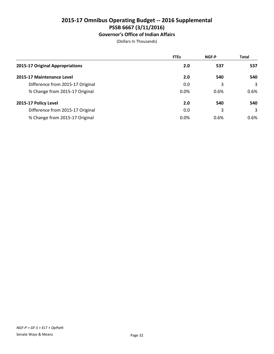# **Governor's Office of Indian Affairs**

|                                  | <b>FTEs</b> | <b>NGF-P</b> | <b>Total</b> |
|----------------------------------|-------------|--------------|--------------|
| 2015-17 Original Appropriations  | 2.0         | 537          | 537          |
| 2015-17 Maintenance Level        | 2.0         | 540          | 540          |
| Difference from 2015-17 Original | 0.0         | 3            | 3            |
| % Change from 2015-17 Original   | 0.0%        | 0.6%         | 0.6%         |
| 2015-17 Policy Level             | 2.0         | 540          | 540          |
| Difference from 2015-17 Original | 0.0         | 3            | 3            |
| % Change from 2015-17 Original   | 0.0%        | 0.6%         | $0.6\%$      |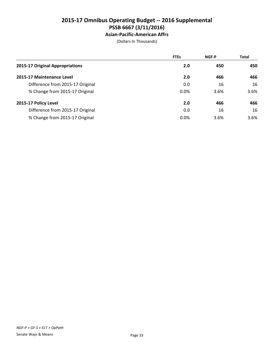## **2015-17 Omnibus Operating Budget -- 2016 Supplemental PSSB 6667 (3/11/2016) Asian-Pacific-American Affrs**

|                                  | <b>FTEs</b> | <b>NGF-P</b> | <b>Total</b> |
|----------------------------------|-------------|--------------|--------------|
| 2015-17 Original Appropriations  | 2.0         | 450          | 450          |
| 2015-17 Maintenance Level        | 2.0         | 466          | 466          |
| Difference from 2015-17 Original | 0.0         | 16           | 16           |
| % Change from 2015-17 Original   | $0.0\%$     | 3.6%         | 3.6%         |
| 2015-17 Policy Level             | 2.0         | 466          | 466          |
| Difference from 2015-17 Original | 0.0         | 16           | 16           |
| % Change from 2015-17 Original   | $0.0\%$     | 3.6%         | 3.6%         |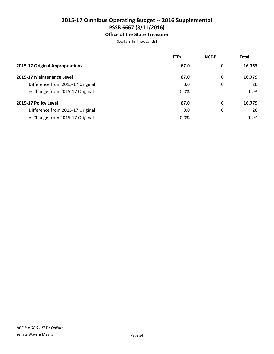## **2015-17 Omnibus Operating Budget -- 2016 Supplemental PSSB 6667 (3/11/2016) Office of the State Treasurer**

|                                  | <b>FTEs</b> | NGF-P | <b>Total</b> |
|----------------------------------|-------------|-------|--------------|
| 2015-17 Original Appropriations  | 67.0        | 0     | 16,753       |
| 2015-17 Maintenance Level        | 67.0        | 0     | 16,779       |
| Difference from 2015-17 Original | 0.0         | 0     | 26           |
| % Change from 2015-17 Original   | 0.0%        |       | 0.2%         |
| 2015-17 Policy Level             | 67.0        | 0     | 16,779       |
| Difference from 2015-17 Original | 0.0         | 0     | 26           |
| % Change from 2015-17 Original   | 0.0%        |       | 0.2%         |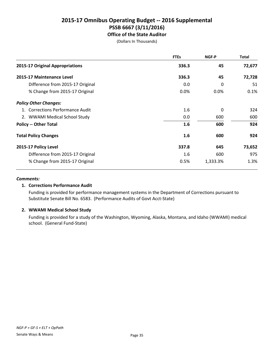## **2015-17 Omnibus Operating Budget -- 2016 Supplemental PSSB 6667 (3/11/2016) Office of the State Auditor**

(Dollars In Thousands)

|                                  | <b>FTEs</b> | NGF-P    | <b>Total</b> |
|----------------------------------|-------------|----------|--------------|
| 2015-17 Original Appropriations  | 336.3       | 45       | 72,677       |
| 2015-17 Maintenance Level        | 336.3       | 45       | 72,728       |
| Difference from 2015-17 Original | 0.0         | 0        | 51           |
| % Change from 2015-17 Original   | 0.0%        | 0.0%     | 0.1%         |
| <b>Policy Other Changes:</b>     |             |          |              |
| 1. Corrections Performance Audit | 1.6         | 0        | 324          |
| 2. WWAMI Medical School Study    | 0.0         | 600      | 600          |
| <b>Policy -- Other Total</b>     | 1.6         | 600      | 924          |
| <b>Total Policy Changes</b>      | 1.6         | 600      | 924          |
| 2015-17 Policy Level             | 337.8       | 645      | 73,652       |
| Difference from 2015-17 Original | 1.6         | 600      | 975          |
| % Change from 2015-17 Original   | 0.5%        | 1,333.3% | 1.3%         |

### *Comments:*

## **1. Corrections Performance Audit**

Funding is provided for performance management systems in the Department of Corrections pursuant to Substitute Senate Bill No. 6583. (Performance Audits of Govt Acct-State)

## **2. WWAMI Medical School Study**

Funding is provided for a study of the Washington, Wyoming, Alaska, Montana, and Idaho (WWAMI) medical school. (General Fund-State)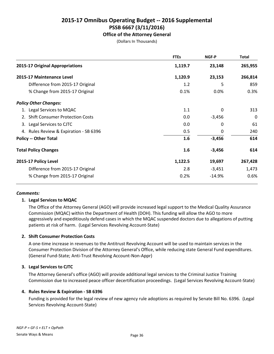## **Office of the Attorney General**

(Dollars In Thousands)

|                                        | <b>FTEs</b> | NGF-P    | Total   |
|----------------------------------------|-------------|----------|---------|
| 2015-17 Original Appropriations        | 1,119.7     | 23,148   | 265,955 |
| 2015-17 Maintenance Level              | 1,120.9     | 23,153   | 266,814 |
| Difference from 2015-17 Original       | 1.2         | 5        | 859     |
| % Change from 2015-17 Original         | 0.1%        | 0.0%     | 0.3%    |
| <b>Policy Other Changes:</b>           |             |          |         |
| 1. Legal Services to MQAC              | 1.1         | 0        | 313     |
| 2. Shift Consumer Protection Costs     | 0.0         | $-3,456$ | 0       |
| 3. Legal Services to CJTC              | 0.0         | 0        | 61      |
| 4. Rules Review & Expiration - SB 6396 | 0.5         | 0        | 240     |
| <b>Policy -- Other Total</b>           | 1.6         | $-3,456$ | 614     |
| <b>Total Policy Changes</b>            | 1.6         | $-3,456$ | 614     |
| 2015-17 Policy Level                   | 1,122.5     | 19,697   | 267,428 |
| Difference from 2015-17 Original       | 2.8         | $-3,451$ | 1,473   |
| % Change from 2015-17 Original         | 0.2%        | $-14.9%$ | 0.6%    |

### *Comments:*

## **1. Legal Services to MQAC**

The Office of the Attorney General (AGO) will provide increased legal support to the Medical Quality Assurance Commission (MQAC) within the Department of Health (DOH). This funding will allow the AGO to more aggressively and expeditiously defend cases in which the MQAC suspended doctors due to allegations of putting patients at risk of harm. (Legal Services Revolving Account-State)

## **2. Shift Consumer Protection Costs**

A one-time increase in revenues to the Antitrust Revolving Account will be used to maintain services in the Consumer Protection Division of the Attorney General's Office, while reducing state General Fund expenditures. (General Fund-State; Anti-Trust Revolving Account-Non-Appr)

## **3. Legal Services to CJTC**

The Attorney General's office (AGO) will provide additional legal services to the Criminal Justice Training Commission due to increased peace officer decertification proceedings. (Legal Services Revolving Account-State)

### **4. Rules Review & Expiration - SB 6396**

Funding is provided for the legal review of new agency rule adoptions as required by Senate Bill No. 6396. (Legal Services Revolving Account-State)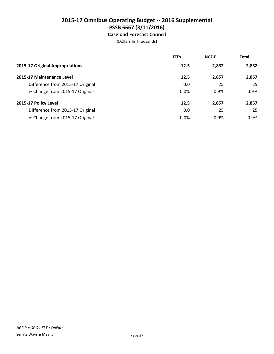## **2015-17 Omnibus Operating Budget -- 2016 Supplemental PSSB 6667 (3/11/2016) Caseload Forecast Council**

|                                  | <b>FTEs</b> | <b>NGF-P</b> | <b>Total</b> |
|----------------------------------|-------------|--------------|--------------|
| 2015-17 Original Appropriations  | 12.5        | 2,832        | 2,832        |
| 2015-17 Maintenance Level        | 12.5        | 2,857        | 2,857        |
| Difference from 2015-17 Original | 0.0         | 25           | 25           |
| % Change from 2015-17 Original   | 0.0%        | 0.9%         | 0.9%         |
| 2015-17 Policy Level             | 12.5        | 2,857        | 2,857        |
| Difference from 2015-17 Original | 0.0         | 25           | 25           |
| % Change from 2015-17 Original   | 0.0%        | 0.9%         | 0.9%         |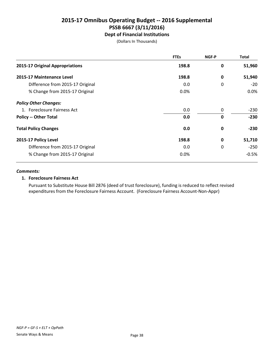## **2015-17 Omnibus Operating Budget -- 2016 Supplemental PSSB 6667 (3/11/2016) Dept of Financial Institutions**

(Dollars In Thousands)

|                                  | <b>FTEs</b> | <b>NGF-P</b> | <b>Total</b> |
|----------------------------------|-------------|--------------|--------------|
| 2015-17 Original Appropriations  | 198.8       | 0            | 51,960       |
| 2015-17 Maintenance Level        | 198.8       | 0            | 51,940       |
| Difference from 2015-17 Original | 0.0         | 0            | $-20$        |
| % Change from 2015-17 Original   | 0.0%        |              | 0.0%         |
| <b>Policy Other Changes:</b>     |             |              |              |
| 1. Foreclosure Fairness Act      | 0.0         | 0            | $-230$       |
| <b>Policy -- Other Total</b>     | 0.0         | $\mathbf 0$  | $-230$       |
| <b>Total Policy Changes</b>      | 0.0         | $\mathbf 0$  | $-230$       |
| 2015-17 Policy Level             | 198.8       | $\mathbf 0$  | 51,710       |
| Difference from 2015-17 Original | 0.0         | 0            | $-250$       |
| % Change from 2015-17 Original   | 0.0%        |              | $-0.5%$      |

### *Comments:*

### **1. Foreclosure Fairness Act**

Pursuant to Substitute House Bill 2876 (deed of trust foreclosure), funding is reduced to reflect revised expenditures from the Foreclosure Fairness Account. (Foreclosure Fairness Account-Non-Appr)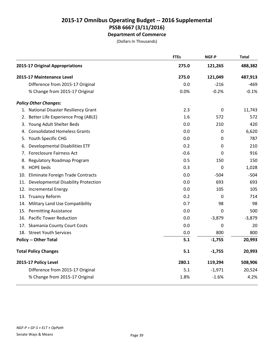|     |                                       | <b>FTEs</b> | NGF-P            | <b>Total</b> |
|-----|---------------------------------------|-------------|------------------|--------------|
|     | 2015-17 Original Appropriations       | 275.0       | 121,265          | 488,382      |
|     | 2015-17 Maintenance Level             | 275.0       | 121,049          | 487,913      |
|     | Difference from 2015-17 Original      | 0.0         | $-216$           | $-469$       |
|     | % Change from 2015-17 Original        | 0.0%        | $-0.2%$          | $-0.1%$      |
|     | <b>Policy Other Changes:</b>          |             |                  |              |
|     | 1. National Disaster Resiliency Grant | 2.3         | $\boldsymbol{0}$ | 11,743       |
| 2.  | Better Life Experience Prog (ABLE)    | 1.6         | 572              | 572          |
|     | 3. Young Adult Shelter Beds           | 0.0         | 210              | 420          |
| 4.  | <b>Consolidated Homeless Grants</b>   | 0.0         | 0                | 6,620        |
|     | 5. Youth Specific CHG                 | 0.0         | 0                | 787          |
| 6.  | Developmental Disabilities ETF        | 0.2         | 0                | 210          |
| 7.  | <b>Foreclosure Fairness Act</b>       | $-0.6$      | 0                | 916          |
| 8.  | Regulatory Roadmap Program            | 0.5         | 150              | 150          |
|     | 9. HOPE beds                          | 0.3         | 0                | 1,028        |
| 10. | Eliminate Foreign Trade Contracts     | 0.0         | $-504$           | $-504$       |
| 11. | Developmental Disability Protection   | 0.0         | 693              | 693          |
|     | 12. Incremental Energy                | 0.0         | 105              | 105          |
|     | 13. Truancy Reform                    | 0.2         | 0                | 714          |
|     | 14. Military Land Use Compatibility   | 0.7         | 98               | 98           |
| 15. | <b>Permitting Assistance</b>          | 0.0         | 0                | 500          |
|     | 16. Pacific Tower Reduction           | 0.0         | $-3,879$         | $-3,879$     |
|     | 17. Skamania County Court Costs       | 0.0         | 0                | 20           |
|     | 18. Street Youth Services             | 0.0         | 800              | 800          |
|     | <b>Policy -- Other Total</b>          | 5.1         | $-1,755$         | 20,993       |
|     | <b>Total Policy Changes</b>           | 5.1         | $-1,755$         | 20,993       |
|     | 2015-17 Policy Level                  | 280.1       | 119,294          | 508,906      |
|     | Difference from 2015-17 Original      | 5.1         | $-1,971$         | 20,524       |
|     | % Change from 2015-17 Original        | 1.8%        | $-1.6%$          | 4.2%         |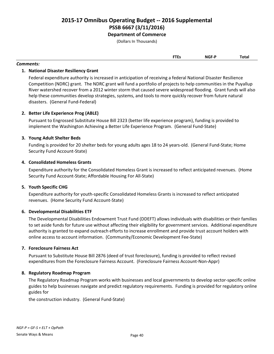(Dollars In Thousands)

**FTEs NGF-P Total**

### *Comments:*

## **1. National Disaster Resiliency Grant**

Federal expenditure authority is increased in anticipation of receiving a federal National Disaster Resilience Competition (NDRC) grant. The NDRC grant will fund a portfolio of projects to help communities in the Puyallup River watershed recover from a 2012 winter storm that caused severe widespread flooding. Grant funds will also help these communities develop strategies, systems, and tools to more quickly recover from future natural disasters. (General Fund-Federal)

## **2. Better Life Experience Prog (ABLE)**

Pursuant to Engrossed Substitute House Bill 2323 (better life experience program), funding is provided to implement the Washington Achieving a Better Life Experience Program. (General Fund-State)

## **3. Young Adult Shelter Beds**

Funding is provided for 20 shelter beds for young adults ages 18 to 24 years-old. (General Fund-State; Home Security Fund Account-State)

## **4. Consolidated Homeless Grants**

Expenditure authority for the Consolidated Homeless Grant is increased to reflect anticipated revenues. (Home Security Fund Account-State; Affordable Housing For All-State)

## **5. Youth Specific CHG**

Expenditure authority for youth-specific Consolidated Homeless Grants is increased to reflect anticipated revenues. (Home Security Fund Account-State)

## **6. Developmental Disabilities ETF**

The Developmental Disabilities Endowment Trust Fund (DDEFT) allows individuals with disabilities or their families to set aside funds for future use without affecting their eligibility for government services. Additional expenditure authority is granted to expand outreach efforts to increase enrollment and provide trust account holders with online access to account information. (Community/Economic Development Fee-State)

## **7. Foreclosure Fairness Act**

Pursuant to Substitute House Bill 2876 (deed of trust foreclosure), funding is provided to reflect revised expenditures from the Foreclosure Fairness Account. (Foreclosure Fairness Account-Non-Appr)

### **8. Regulatory Roadmap Program**

The Regulatory Roadmap Program works with businesses and local governments to develop sector-specific online guides to help businesses navigate and predict regulatory requirements. Funding is provided for regulatory online guides for

the construction industry. (General Fund-State)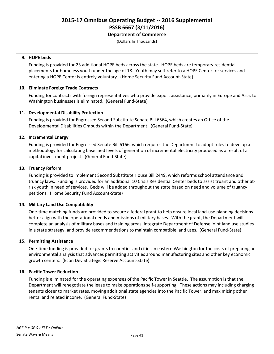(Dollars In Thousands)

### **9. HOPE beds**

Funding is provided for 23 additional HOPE beds across the state. HOPE beds are temporary residential placements for homeless youth under the age of 18. Youth may self-refer to a HOPE Center for services and entering a HOPE Center is entirely voluntary. (Home Security Fund Account-State)

## **10. Eliminate Foreign Trade Contracts**

Funding for contracts with foreign representatives who provide export assistance, primarily in Europe and Asia, to Washington businesses is eliminated. (General Fund-State)

## **11. Developmental Disability Protection**

Funding is provided for Engrossed Second Substitute Senate Bill 6564, which creates an Office of the Developmental Disabilities Ombuds within the Department. (General Fund-State)

## **12. Incremental Energy**

Funding is provided for Engrossed Senate Bill 6166, which requires the Department to adopt rules to develop a methodology for calculating baselined levels of generation of incremental electricity produced as a result of a capital investment project. (General Fund-State)

## **13. Truancy Reform**

Funding is provided to implement Second Substitute House Bill 2449, which reforms school attendance and truancy laws. Funding is provided for an additional 10 Crisis Residential Center beds to assist truant and other atrisk youth in need of services. Beds will be added throughout the state based on need and volume of truancy petitions. (Home Security Fund Account-State)

## **14. Military Land Use Compatibility**

One-time matching funds are provided to secure a federal grant to help ensure local land-use planning decisions better align with the operational needs and missions of military bases. With the grant, the Department will complete an analysis of military bases and training areas, integrate Department of Defense joint land use studies in a state strategy, and provide recommendations to maintain compatible land uses. (General Fund-State)

### **15. Permitting Assistance**

One-time funding is provided for grants to counties and cities in eastern Washington for the costs of preparing an environmental analysis that advances permitting activities around manufacturing sites and other key economic growth centers. (Econ Dev Strategic Reserve Account-State)

## **16. Pacific Tower Reduction**

Funding is eliminated for the operating expenses of the Pacific Tower in Seattle. The assumption is that the Department will renegotiate the lease to make operations self-supporting. These actions may including charging tenants closer to market rates, moving additional state agencies into the Pacific Tower, and maximizing other rental and related income. (General Fund-State)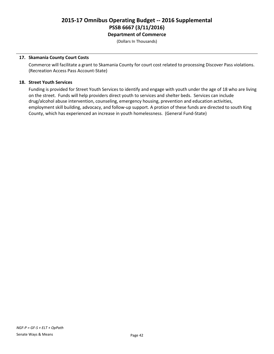(Dollars In Thousands)

## **17. Skamania County Court Costs**

Commerce will facilitate a grant to Skamania County for court cost related to processing Discover Pass violations. (Recreation Access Pass Account-State)

## **18. Street Youth Services**

Funding is provided for Street Youth Services to identify and engage with youth under the age of 18 who are living on the street. Funds will help providers direct youth to services and shelter beds. Services can include drug/alcohol abuse intervention, counseling, emergency housing, prevention and education activities, employment skill building, advocacy, and follow-up support. A protion of these funds are directed to south King County, which has experienced an increase in youth homelessness. (General Fund-State)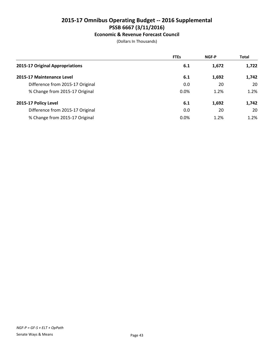## **Economic & Revenue Forecast Council**

|                                  | <b>FTEs</b> | <b>NGF-P</b> | <b>Total</b> |
|----------------------------------|-------------|--------------|--------------|
| 2015-17 Original Appropriations  | 6.1         | 1,672        | 1,722        |
| 2015-17 Maintenance Level        | 6.1         | 1,692        | 1,742        |
| Difference from 2015-17 Original | 0.0         | 20           | 20           |
| % Change from 2015-17 Original   | 0.0%        | 1.2%         | 1.2%         |
| 2015-17 Policy Level             | 6.1         | 1,692        | 1,742        |
| Difference from 2015-17 Original | 0.0         | 20           | 20           |
| % Change from 2015-17 Original   | 0.0%        | 1.2%         | 1.2%         |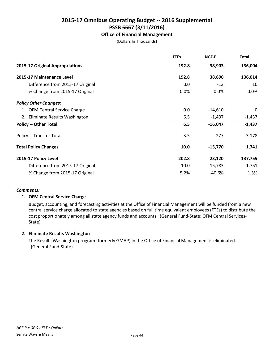## **Office of Financial Management**

(Dollars In Thousands)

|                                  | <b>FTEs</b> | NGF-P     | Total    |
|----------------------------------|-------------|-----------|----------|
| 2015-17 Original Appropriations  | 192.8       | 38,903    | 136,004  |
| 2015-17 Maintenance Level        | 192.8       | 38,890    | 136,014  |
| Difference from 2015-17 Original | 0.0         | $-13$     | 10       |
| % Change from 2015-17 Original   | 0.0%        | 0.0%      | 0.0%     |
| <b>Policy Other Changes:</b>     |             |           |          |
| 1. OFM Central Service Charge    | 0.0         | $-14,610$ | 0        |
| 2. Eliminate Results Washington  | 6.5         | $-1,437$  | $-1,437$ |
| <b>Policy -- Other Total</b>     | 6.5         | $-16,047$ | $-1,437$ |
| Policy -- Transfer Total         | 3.5         | 277       | 3,178    |
| <b>Total Policy Changes</b>      | 10.0        | $-15,770$ | 1,741    |
| 2015-17 Policy Level             | 202.8       | 23,120    | 137,755  |
| Difference from 2015-17 Original | 10.0        | $-15,783$ | 1,751    |
| % Change from 2015-17 Original   | 5.2%        | $-40.6%$  | 1.3%     |

### *Comments:*

## **1. OFM Central Service Charge**

Budget, accounting, and forecasting activities at the Office of Financial Management will be funded from a new central service charge allocated to state agencies based on full time equivalent employees (FTEs) to distribute the cost proportionately among all state agency funds and accounts. (General Fund-State; OFM Central Services-State)

## **2. Eliminate Results Washington**

The Results Washington program (formerly GMAP) in the Office of Financial Management is eliminated. (General Fund-State)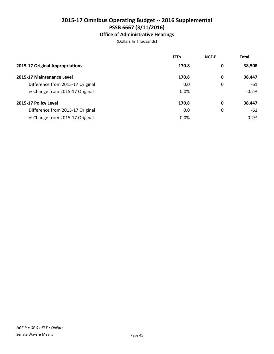# **Office of Administrative Hearings**

|                                  | <b>FTEs</b> | <b>NGF-P</b> | <b>Total</b> |
|----------------------------------|-------------|--------------|--------------|
| 2015-17 Original Appropriations  | 170.8       | 0            | 38,508       |
| 2015-17 Maintenance Level        | 170.8       | 0            | 38,447       |
| Difference from 2015-17 Original | 0.0         | 0            | -61          |
| % Change from 2015-17 Original   | 0.0%        |              | $-0.2%$      |
| 2015-17 Policy Level             | 170.8       | 0            | 38,447       |
| Difference from 2015-17 Original | 0.0         | 0            | -61          |
| % Change from 2015-17 Original   | 0.0%        |              | $-0.2%$      |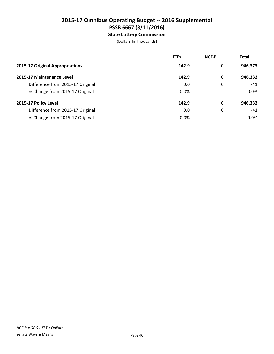# **2015-17 Omnibus Operating Budget -- 2016 Supplemental PSSB 6667 (3/11/2016) State Lottery Commission**

|                                  | <b>FTEs</b> | <b>NGF-P</b> | <b>Total</b> |
|----------------------------------|-------------|--------------|--------------|
| 2015-17 Original Appropriations  | 142.9       | 0            | 946,373      |
| 2015-17 Maintenance Level        | 142.9       | 0            | 946,332      |
| Difference from 2015-17 Original | 0.0         | 0            | $-41$        |
| % Change from 2015-17 Original   | 0.0%        |              | $0.0\%$      |
| 2015-17 Policy Level             | 142.9       | 0            | 946,332      |
| Difference from 2015-17 Original | 0.0         | 0            | $-41$        |
| % Change from 2015-17 Original   | 0.0%        |              | $0.0\%$      |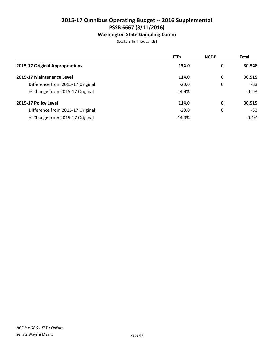# **Washington State Gambling Comm**

|                                  | <b>FTEs</b> | <b>NGF-P</b> | <b>Total</b> |
|----------------------------------|-------------|--------------|--------------|
| 2015-17 Original Appropriations  | 134.0       | 0            | 30,548       |
| 2015-17 Maintenance Level        | 114.0       | 0            | 30,515       |
| Difference from 2015-17 Original | $-20.0$     | 0            | $-33$        |
| % Change from 2015-17 Original   | $-14.9%$    |              | $-0.1%$      |
| 2015-17 Policy Level             | 114.0       | 0            | 30,515       |
| Difference from 2015-17 Original | $-20.0$     | 0            | $-33$        |
| % Change from 2015-17 Original   | $-14.9%$    |              | $-0.1%$      |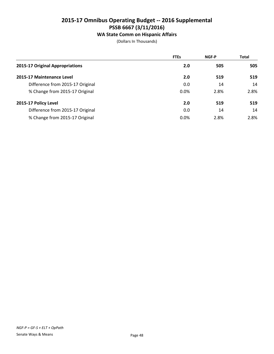## **WA State Comm on Hispanic Affairs**

|                                  | <b>FTEs</b> | <b>NGF-P</b> | <b>Total</b> |
|----------------------------------|-------------|--------------|--------------|
| 2015-17 Original Appropriations  | 2.0         | 505          | 505          |
| 2015-17 Maintenance Level        | 2.0         | 519          | 519          |
| Difference from 2015-17 Original | 0.0         | 14           | 14           |
| % Change from 2015-17 Original   | 0.0%        | 2.8%         | 2.8%         |
| 2015-17 Policy Level             | 2.0         | 519          | 519          |
| Difference from 2015-17 Original | 0.0         | 14           | 14           |
| % Change from 2015-17 Original   | 0.0%        | 2.8%         | 2.8%         |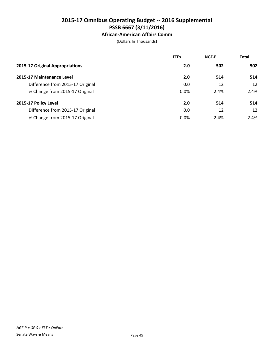# **African-American Affairs Comm**

|                                  | <b>FTEs</b> | <b>NGF-P</b> | <b>Total</b> |
|----------------------------------|-------------|--------------|--------------|
| 2015-17 Original Appropriations  | 2.0         | 502          | 502          |
| 2015-17 Maintenance Level        | 2.0         | 514          | 514          |
| Difference from 2015-17 Original | 0.0         | 12           | 12           |
| % Change from 2015-17 Original   | 0.0%        | 2.4%         | 2.4%         |
| 2015-17 Policy Level             | 2.0         | 514          | 514          |
| Difference from 2015-17 Original | 0.0         | 12           | 12           |
| % Change from 2015-17 Original   | $0.0\%$     | 2.4%         | 2.4%         |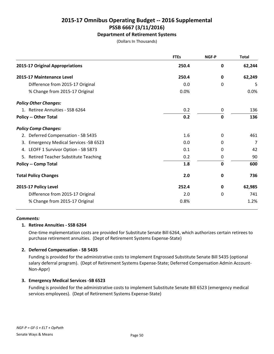## **Department of Retirement Systems**

(Dollars In Thousands)

|                                         | <b>FTEs</b> | NGF-P       | <b>Total</b> |
|-----------------------------------------|-------------|-------------|--------------|
| 2015-17 Original Appropriations         | 250.4       | 0           | 62,244       |
| 2015-17 Maintenance Level               | 250.4       | 0           | 62,249       |
| Difference from 2015-17 Original        | 0.0         | $\Omega$    | 5            |
| % Change from 2015-17 Original          | 0.0%        |             | 0.0%         |
| <b>Policy Other Changes:</b>            |             |             |              |
| 1. Retiree Annuities - SSB 6264         | 0.2         | 0           | 136          |
| <b>Policy -- Other Total</b>            | 0.2         | $\mathbf 0$ | 136          |
| <b>Policy Comp Changes:</b>             |             |             |              |
| 2. Deferred Compensation - SB 5435      | 1.6         | $\Omega$    | 461          |
| 3. Emergency Medical Services - SB 6523 | 0.0         | 0           | 7            |
| 4. LEOFF 1 Survivor Option - SB 5873    | 0.1         | $\Omega$    | 42           |
| 5. Retired Teacher Substitute Teaching  | 0.2         | 0           | 90           |
| <b>Policy -- Comp Total</b>             | 1.8         | $\mathbf 0$ | 600          |
| <b>Total Policy Changes</b>             | 2.0         | 0           | 736          |
| 2015-17 Policy Level                    | 252.4       | 0           | 62,985       |
| Difference from 2015-17 Original        | 2.0         | $\Omega$    | 741          |
| % Change from 2015-17 Original          | 0.8%        |             | 1.2%         |

### *Comments:*

## **1. Retiree Annuities - SSB 6264**

One-time mplementation costs are provided for Substitute Senate Bill 6264, which authorizes certain retirees to purchase retirement annuities. (Dept of Retirement Systems Expense-State)

## **2. Deferred Compensation - SB 5435**

Funding is provided for the administrative costs to implement Engrossed Substitute Senate Bill 5435 (optional salary deferral program). (Dept of Retirement Systems Expense-State; Deferred Compensation Admin Account-Non-Appr)

## **3. Emergency Medical Services -SB 6523**

Funding is provided for the administrative costs to implement Substitute Senate Bill 6523 (emergency medical services employees). (Dept of Retirement Systems Expense-State)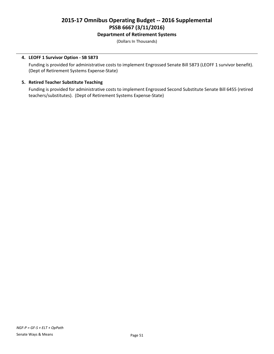## **Department of Retirement Systems**

(Dollars In Thousands)

## **4. LEOFF 1 Survivor Option - SB 5873**

Funding is provided for administrative costs to implement Engrossed Senate Bill 5873 (LEOFF 1 survivor benefit). (Dept of Retirement Systems Expense-State)

## **5. Retired Teacher Substitute Teaching**

Funding is provided for administrative costs to implement Engrossed Second Substitute Senate Bill 6455 (retired teachers/substitutes). (Dept of Retirement Systems Expense-State)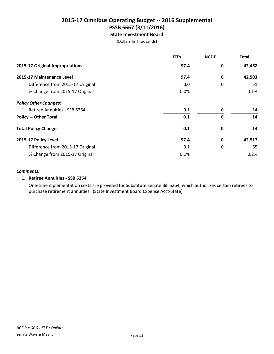# **2015-17 Omnibus Operating Budget -- 2016 Supplemental PSSB 6667 (3/11/2016) State Investment Board**

(Dollars In Thousands)

|                                  | <b>FTEs</b> | NGF-P       | <b>Total</b> |
|----------------------------------|-------------|-------------|--------------|
| 2015-17 Original Appropriations  | 97.4        | $\mathbf 0$ | 42,452       |
| 2015-17 Maintenance Level        | 97.4        | 0           | 42,503       |
| Difference from 2015-17 Original | 0.0         | 0           | 51           |
| % Change from 2015-17 Original   | 0.0%        |             | 0.1%         |
| <b>Policy Other Changes:</b>     |             |             |              |
| 1. Retiree Annuities - SSB 6264  | 0.1         | 0           | 14           |
| <b>Policy -- Other Total</b>     | 0.1         | 0           | 14           |
| <b>Total Policy Changes</b>      | 0.1         | 0           | 14           |
| 2015-17 Policy Level             | 97.4        | 0           | 42,517       |
| Difference from 2015-17 Original | 0.1         | 0           | 65           |
| % Change from 2015-17 Original   | 0.1%        |             | 0.2%         |

## *Comments:*

## **1. Retiree Annuities - SSB 6264**

One-time mplementation costs are provided for Substitute Senate Bill 6264, which authorizes certain retirees to purchase retirement annuities. (State Investment Board Expense Acct-State)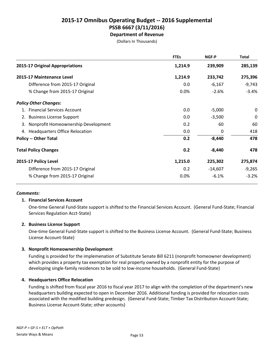**Department of Revenue** (Dollars In Thousands)

|                                        | <b>FTEs</b> | NGF-P     | <b>Total</b> |
|----------------------------------------|-------------|-----------|--------------|
| 2015-17 Original Appropriations        | 1,214.9     | 239,909   | 285,139      |
| 2015-17 Maintenance Level              | 1,214.9     | 233,742   | 275,396      |
| Difference from 2015-17 Original       | 0.0         | $-6,167$  | $-9,743$     |
| % Change from 2015-17 Original         | 0.0%        | $-2.6%$   | $-3.4%$      |
| <b>Policy Other Changes:</b>           |             |           |              |
| <b>Financial Services Account</b>      | 0.0         | $-5,000$  | 0            |
| <b>Business License Support</b><br>2.  | 0.0         | $-3,500$  | 0            |
| 3. Nonprofit Homeownership Development | 0.2         | 60        | 60           |
| 4. Headquarters Office Relocation      | 0.0         | 0         | 418          |
| <b>Policy -- Other Total</b>           | 0.2         | $-8,440$  | 478          |
| <b>Total Policy Changes</b>            | 0.2         | $-8,440$  | 478          |
| 2015-17 Policy Level                   | 1,215.0     | 225,302   | 275,874      |
| Difference from 2015-17 Original       | 0.2         | $-14,607$ | $-9,265$     |
| % Change from 2015-17 Original         | 0.0%        | $-6.1%$   | $-3.2%$      |

### *Comments:*

### **1. Financial Services Account**

One-time General Fund-State support is shifted to the Financial Services Account. (General Fund-State; Financial Services Regulation Acct-State)

## **2. Business License Support**

One-time General Fund-State support is shifted to the Business License Account. (General Fund-State; Business License Account-State)

## **3. Nonprofit Homeownership Development**

Funding is provided for the implemenation of Substitute Senate Bill 6211 (nonprofit homeowner development) which provides a property tax exemption for real property owned by a nonprofit entity for the purpose of developing single-family residences to be sold to low-income households. (General Fund-State)

### **4. Headquarters Office Relocation**

Funding is shifted from fiscal year 2016 to fiscal year 2017 to align with the completion of the department's new headquarters building expected to open in December 2016. Additional funding is provided for relocation costs associated with the modified building predesign. (General Fund-State; Timber Tax Distribution Account-State; Business License Account-State; other accounts)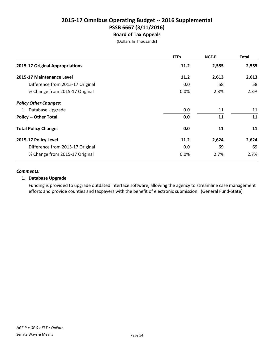## **2015-17 Omnibus Operating Budget -- 2016 Supplemental PSSB 6667 (3/11/2016) Board of Tax Appeals**

(Dollars In Thousands)

|                                  | <b>FTEs</b> | NGF-P | Total |
|----------------------------------|-------------|-------|-------|
| 2015-17 Original Appropriations  | 11.2        | 2,555 | 2,555 |
| 2015-17 Maintenance Level        | 11.2        | 2,613 | 2,613 |
| Difference from 2015-17 Original | 0.0         | 58    | 58    |
| % Change from 2015-17 Original   | $0.0\%$     | 2.3%  | 2.3%  |
| <b>Policy Other Changes:</b>     |             |       |       |
| 1. Database Upgrade              | 0.0         | 11    | 11    |
| <b>Policy -- Other Total</b>     | 0.0         | 11    | 11    |
| <b>Total Policy Changes</b>      | 0.0         | 11    | 11    |
| 2015-17 Policy Level             | 11.2        | 2,624 | 2,624 |
| Difference from 2015-17 Original | 0.0         | 69    | 69    |
| % Change from 2015-17 Original   | 0.0%        | 2.7%  | 2.7%  |

### *Comments:*

## **1. Database Upgrade**

Funding is provided to upgrade outdated interface software, allowing the agency to streamline case management efforts and provide counties and taxpayers with the benefit of electronic submission. (General Fund-State)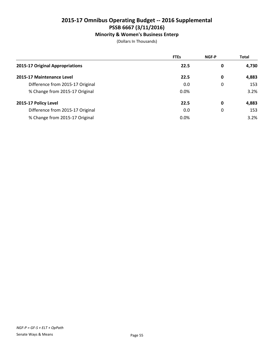## **Minority & Women's Business Enterp**

|                                  | <b>FTEs</b> | <b>NGF-P</b> | <b>Total</b> |
|----------------------------------|-------------|--------------|--------------|
| 2015-17 Original Appropriations  | 22.5        | 0            | 4,730        |
| 2015-17 Maintenance Level        | 22.5        | 0            | 4,883        |
| Difference from 2015-17 Original | 0.0         | 0            | 153          |
| % Change from 2015-17 Original   | $0.0\%$     |              | 3.2%         |
| 2015-17 Policy Level             | 22.5        | 0            | 4,883        |
| Difference from 2015-17 Original | 0.0         | 0            | 153          |
| % Change from 2015-17 Original   | $0.0\%$     |              | 3.2%         |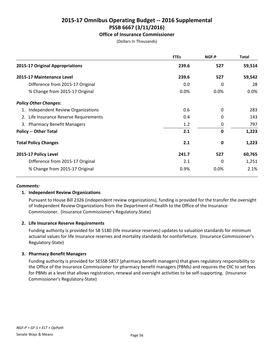## **Office of Insurance Commissioner**

(Dollars In Thousands)

|                                        | <b>FTEs</b> | <b>NGF-P</b> | <b>Total</b> |
|----------------------------------------|-------------|--------------|--------------|
| 2015-17 Original Appropriations        | 239.6       | 527          | 59,514       |
| 2015-17 Maintenance Level              | 239.6       | 527          | 59,542       |
| Difference from 2015-17 Original       | 0.0         | 0            | 28           |
| % Change from 2015-17 Original         | $0.0\%$     | $0.0\%$      | 0.0%         |
| <b>Policy Other Changes:</b>           |             |              |              |
| 1. Independent Review Organizations    | 0.6         | 0            | 283          |
| 2. Life Insurance Reserve Requirements | 0.4         | $\Omega$     | 143          |
| 3. Pharmacy Benefit Managers           | 1.2         | 0            | 797          |
| <b>Policy -- Other Total</b>           | 2.1         | $\mathbf 0$  | 1,223        |
| <b>Total Policy Changes</b>            | 2.1         | 0            | 1,223        |
| 2015-17 Policy Level                   | 241.7       | 527          | 60,765       |
| Difference from 2015-17 Original       | 2.1         | 0            | 1,251        |
| % Change from 2015-17 Original         | 0.9%        | 0.0%         | 2.1%         |

### *Comments:*

## **1. Independent Review Organizations**

Pursuant to House Bill 2326 (independent review organizations), funding is provided for the transfer the oversight of Independent Review Organizations from the Department of Health to the Office of the Insurance Commissioner. (Insurance Commissioner's Regulatory-State)

## **2. Life Insurance Reserve Requirements**

Funding authority is provided for SB 5180 (life insurance reserves) updates to valuation standards for minimum actuarial values for life insurance reserves and mortality standards for nonforfeiture. (Insurance Commissioner's Regulatory-State)

## **3. Pharmacy Benefit Managers**

Funding authority is provided for 5ESSB 5857 (pharmacy benefit managers) that gives regulatory responsibility to the Office of the Insurance Commissioner for pharmacy benefit managers (PBMs) and requires the OIC to set fees for PBMs at a level that allows registration, renewal and oversight activities to be self-supporting. (Insurance Commissioner's Regulatory-State)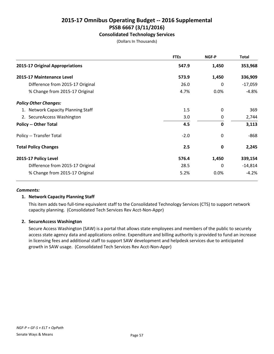## **Consolidated Technology Services**

(Dollars In Thousands)

|                                    | <b>FTEs</b> | NGF-P        | <b>Total</b> |
|------------------------------------|-------------|--------------|--------------|
| 2015-17 Original Appropriations    | 547.9       | 1,450        | 353,968      |
| 2015-17 Maintenance Level          | 573.9       | 1,450        | 336,909      |
| Difference from 2015-17 Original   | 26.0        | 0            | $-17,059$    |
| % Change from 2015-17 Original     | 4.7%        | 0.0%         | $-4.8%$      |
| <b>Policy Other Changes:</b>       |             |              |              |
| 1. Network Capacity Planning Staff | 1.5         | 0            | 369          |
| 2. SecureAccess Washington         | 3.0         | 0            | 2,744        |
| <b>Policy -- Other Total</b>       | 4.5         | $\mathbf 0$  | 3,113        |
| Policy -- Transfer Total           | $-2.0$      | 0            | $-868$       |
| <b>Total Policy Changes</b>        | 2.5         | 0            | 2,245        |
| 2015-17 Policy Level               | 576.4       | 1,450        | 339,154      |
| Difference from 2015-17 Original   | 28.5        | $\mathbf{0}$ | $-14,814$    |
| % Change from 2015-17 Original     | 5.2%        | 0.0%         | $-4.2%$      |

### *Comments:*

## **1. Network Capacity Planning Staff**

This item adds two full-time equivalent staff to the Consolidated Technology Services (CTS) to support network capacity planning. (Consolidated Tech Services Rev Acct-Non-Appr)

### **2. SecureAccess Washington**

Secure Access Washington (SAW) is a portal that allows state employees and members of the public to securely access state agency data and applications online. Expenditure and billing authority is provided to fund an increase in licensing fees and additional staff to support SAW development and helpdesk services due to anticipated growth in SAW usage. (Consolidated Tech Services Rev Acct-Non-Appr)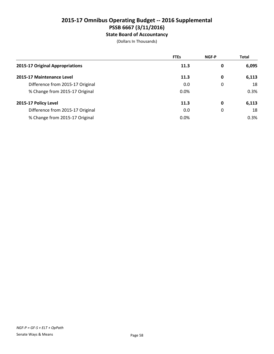# **2015-17 Omnibus Operating Budget -- 2016 Supplemental PSSB 6667 (3/11/2016) State Board of Accountancy**

|                                  | <b>FTEs</b> | <b>NGF-P</b> | <b>Total</b> |
|----------------------------------|-------------|--------------|--------------|
| 2015-17 Original Appropriations  | 11.3        | 0            | 6,095        |
| 2015-17 Maintenance Level        | 11.3        | 0            | 6,113        |
| Difference from 2015-17 Original | 0.0         | 0            | 18           |
| % Change from 2015-17 Original   | 0.0%        |              | 0.3%         |
| 2015-17 Policy Level             | 11.3        | 0            | 6,113        |
| Difference from 2015-17 Original | 0.0         | 0            | 18           |
| % Change from 2015-17 Original   | 0.0%        |              | 0.3%         |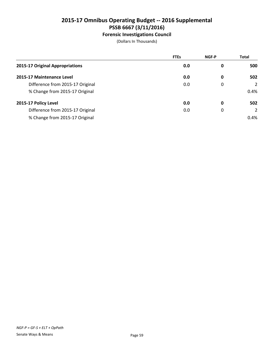# **Forensic Investigations Council**

|                                  | <b>FTEs</b> | <b>NGF-P</b> | <b>Total</b> |
|----------------------------------|-------------|--------------|--------------|
| 2015-17 Original Appropriations  | 0.0         | 0            | 500          |
| 2015-17 Maintenance Level        | 0.0         | 0            | 502          |
| Difference from 2015-17 Original | 0.0         | 0            | 2            |
| % Change from 2015-17 Original   |             |              | 0.4%         |
| 2015-17 Policy Level             | 0.0         | 0            | 502          |
| Difference from 2015-17 Original | 0.0         | 0            | 2            |
| % Change from 2015-17 Original   |             |              | 0.4%         |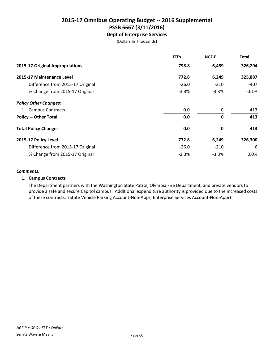## **2015-17 Omnibus Operating Budget -- 2016 Supplemental PSSB 6667 (3/11/2016) Dept of Enterprise Services**

(Dollars In Thousands)

|                                  | <b>FTEs</b> | NGF-P        | <b>Total</b> |
|----------------------------------|-------------|--------------|--------------|
| 2015-17 Original Appropriations  | 798.8       | 6,459        | 326,294      |
| 2015-17 Maintenance Level        | 772.8       | 6,249        | 325,887      |
| Difference from 2015-17 Original | $-26.0$     | $-210$       | -407         |
| % Change from 2015-17 Original   | $-3.3%$     | $-3.3%$      | $-0.1\%$     |
| <b>Policy Other Changes:</b>     |             |              |              |
| 1. Campus Contracts              | 0.0         | 0            | 413          |
| <b>Policy -- Other Total</b>     | 0.0         | $\mathbf{0}$ | 413          |
| <b>Total Policy Changes</b>      | 0.0         | $\mathbf 0$  | 413          |
| 2015-17 Policy Level             | 772.8       | 6,249        | 326,300      |
| Difference from 2015-17 Original | $-26.0$     | $-210$       | 6            |
| % Change from 2015-17 Original   | $-3.3%$     | $-3.3%$      | 0.0%         |

### *Comments:*

## **1. Campus Contracts**

The Department partners with the Washington State Patrol, Olympia Fire Department, and private vendors to provide a safe and secure Capitol campus. Additional expenditure authority is provided due to the increased costs of these contracts. (State Vehicle Parking Account-Non-Appr; Enterprise Services Account-Non-Appr)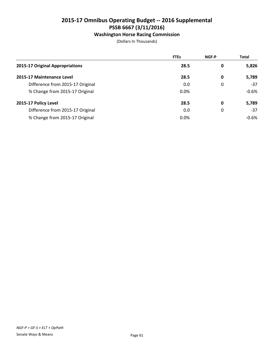## **Washington Horse Racing Commission**

|                                  | <b>FTEs</b> | <b>NGF-P</b> | <b>Total</b> |
|----------------------------------|-------------|--------------|--------------|
| 2015-17 Original Appropriations  | 28.5        | 0            | 5,826        |
| 2015-17 Maintenance Level        | 28.5        | 0            | 5,789        |
| Difference from 2015-17 Original | 0.0         | 0            | $-37$        |
| % Change from 2015-17 Original   | $0.0\%$     |              | $-0.6%$      |
| 2015-17 Policy Level             | 28.5        | 0            | 5,789        |
| Difference from 2015-17 Original | 0.0         | 0            | $-37$        |
| % Change from 2015-17 Original   | 0.0%        |              | $-0.6%$      |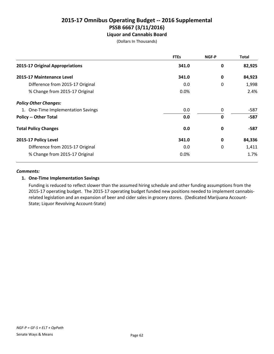## **2015-17 Omnibus Operating Budget -- 2016 Supplemental PSSB 6667 (3/11/2016) Liquor and Cannabis Board**

(Dollars In Thousands)

|                                    | <b>FTEs</b> | NGF-P | <b>Total</b> |
|------------------------------------|-------------|-------|--------------|
| 2015-17 Original Appropriations    | 341.0       | 0     | 82,925       |
| 2015-17 Maintenance Level          | 341.0       | 0     | 84,923       |
| Difference from 2015-17 Original   | 0.0         | 0     | 1,998        |
| % Change from 2015-17 Original     | 0.0%        |       | 2.4%         |
| <b>Policy Other Changes:</b>       |             |       |              |
| 1. One-Time Implementation Savings | 0.0         | 0     | -587         |
| <b>Policy -- Other Total</b>       | 0.0         | 0     | $-587$       |
| <b>Total Policy Changes</b>        | 0.0         | 0     | -587         |
| 2015-17 Policy Level               | 341.0       | 0     | 84,336       |
| Difference from 2015-17 Original   | 0.0         | 0     | 1,411        |
| % Change from 2015-17 Original     | 0.0%        |       | 1.7%         |

## *Comments:*

## **1. One-Time Implementation Savings**

Funding is reduced to reflect slower than the assumed hiring schedule and other funding assumptions from the 2015-17 operating budget. The 2015-17 operating budget funded new positions needed to implement cannabisrelated legislation and an expansion of beer and cider sales in grocery stores. (Dedicated Marijuana Account-State; Liquor Revolving Account-State)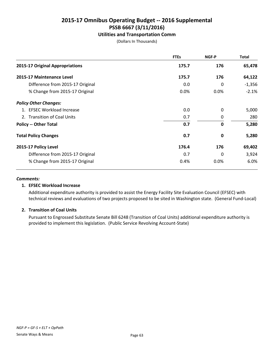## **Utilities and Transportation Comm**

(Dollars In Thousands)

|                                  | <b>FTEs</b> | NGF-P       | <b>Total</b> |
|----------------------------------|-------------|-------------|--------------|
| 2015-17 Original Appropriations  | 175.7       | 176         | 65,478       |
| 2015-17 Maintenance Level        | 175.7       | 176         | 64,122       |
| Difference from 2015-17 Original | 0.0         | 0           | $-1,356$     |
| % Change from 2015-17 Original   | 0.0%        | 0.0%        | $-2.1%$      |
| <b>Policy Other Changes:</b>     |             |             |              |
| 1. EFSEC Workload Increase       | 0.0         | $\Omega$    | 5,000        |
| 2. Transition of Coal Units      | 0.7         | 0           | 280          |
| <b>Policy -- Other Total</b>     | 0.7         | $\mathbf 0$ | 5,280        |
| <b>Total Policy Changes</b>      | 0.7         | 0           | 5,280        |
| 2015-17 Policy Level             | 176.4       | 176         | 69,402       |
| Difference from 2015-17 Original | 0.7         | 0           | 3,924        |
| % Change from 2015-17 Original   | 0.4%        | 0.0%        | 6.0%         |

### *Comments:*

### **1. EFSEC Workload Increase**

Additional expenditure authority is provided to assist the Energy Facility Site Evaluation Council (EFSEC) with technical reviews and evaluations of two projects proposed to be sited in Washington state. (General Fund-Local)

## **2. Transition of Coal Units**

Pursuant to Engrossed Substitute Senate Bill 6248 (Transition of Coal Units) additional expenditure authority is provided to implement this legislation. (Public Service Revolving Account-State)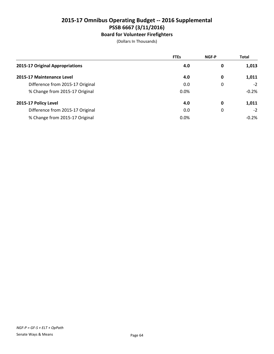# **Board for Volunteer Firefighters**

|                                  | <b>FTEs</b> | <b>NGF-P</b> | <b>Total</b> |
|----------------------------------|-------------|--------------|--------------|
| 2015-17 Original Appropriations  | 4.0         | 0            | 1,013        |
| 2015-17 Maintenance Level        | 4.0         | 0            | 1,011        |
| Difference from 2015-17 Original | 0.0         | 0            | $-2$         |
| % Change from 2015-17 Original   | 0.0%        |              | $-0.2%$      |
| 2015-17 Policy Level             | 4.0         | 0            | 1,011        |
| Difference from 2015-17 Original | 0.0         | 0            | $-2$         |
| % Change from 2015-17 Original   | 0.0%        |              | $-0.2%$      |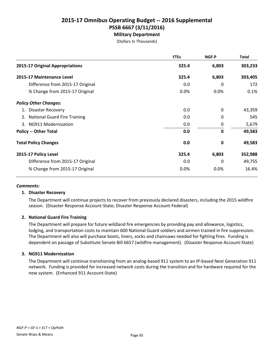# **Military Department**

(Dollars In Thousands)

|                                  | <b>FTEs</b> | NGF-P       | <b>Total</b> |
|----------------------------------|-------------|-------------|--------------|
| 2015-17 Original Appropriations  | 325.4       | 6,803       | 303,233      |
| 2015-17 Maintenance Level        | 325.4       | 6,803       | 303,405      |
| Difference from 2015-17 Original | 0.0         | 0           | 172          |
| % Change from 2015-17 Original   | 0.0%        | 0.0%        | 0.1%         |
| <b>Policy Other Changes:</b>     |             |             |              |
| Disaster Recovery<br>1.          | 0.0         | $\Omega$    | 43,359       |
| 2. National Guard Fire Training  | 0.0         | 0           | 545          |
| 3. NG911 Modernization           | 0.0         | 0           | 5,679        |
| <b>Policy -- Other Total</b>     | 0.0         | $\mathbf 0$ | 49,583       |
| <b>Total Policy Changes</b>      | 0.0         | 0           | 49,583       |
| 2015-17 Policy Level             | 325.4       | 6,803       | 352,988      |
| Difference from 2015-17 Original | 0.0         | 0           | 49,755       |
| % Change from 2015-17 Original   | 0.0%        | 0.0%        | 16.4%        |

### *Comments:*

### **1. Disaster Recovery**

The Department will continue projects to recover from previously declared disasters, including the 2015 wildfire season. (Disaster Response Account-State; Disaster Response Account-Federal)

### **2. National Guard Fire Training**

The Department will prepare for future wildland fire emergencies by providing pay and allowance, logistics, lodging, and transportation costs to maintain 600 National Guard soldiers and airmen trained in fire suppression. The Department will also will purchase boots, liners, socks and chainsaws needed for fighting fires. Funding is dependent on passage of Substitute Senate Bill 6657 (wildfire management). (Disaster Response Account-State)

### **3. NG911 Modernization**

The Department will continue transitioning from an analog-based 911 system to an IP-based Next Generation 911 network. Funding is provided for increased network costs during the transition and for hardware required for the new system. (Enhanced 911 Account-State)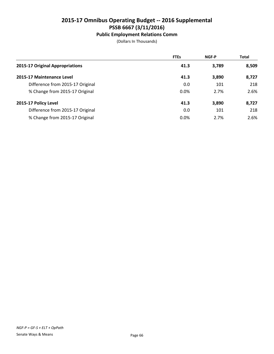## **Public Employment Relations Comm**

|                                  | <b>FTEs</b> | <b>NGF-P</b> | <b>Total</b> |
|----------------------------------|-------------|--------------|--------------|
| 2015-17 Original Appropriations  | 41.3        | 3,789        | 8,509        |
| 2015-17 Maintenance Level        | 41.3        | 3,890        | 8,727        |
| Difference from 2015-17 Original | 0.0         | 101          | 218          |
| % Change from 2015-17 Original   | $0.0\%$     | 2.7%         | 2.6%         |
| 2015-17 Policy Level             | 41.3        | 3,890        | 8,727        |
| Difference from 2015-17 Original | 0.0         | 101          | 218          |
| % Change from 2015-17 Original   | 0.0%        | 2.7%         | 2.6%         |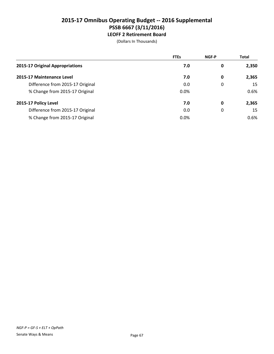## **2015-17 Omnibus Operating Budget -- 2016 Supplemental PSSB 6667 (3/11/2016) LEOFF 2 Retirement Board**

|                                  | <b>FTEs</b> | <b>NGF-P</b> | <b>Total</b> |
|----------------------------------|-------------|--------------|--------------|
| 2015-17 Original Appropriations  | 7.0         | 0            | 2,350        |
| 2015-17 Maintenance Level        | 7.0         | 0            | 2,365        |
| Difference from 2015-17 Original | 0.0         | 0            | 15           |
| % Change from 2015-17 Original   | 0.0%        |              | 0.6%         |
| 2015-17 Policy Level             | 7.0         | 0            | 2,365        |
| Difference from 2015-17 Original | 0.0         | 0            | 15           |
| % Change from 2015-17 Original   | 0.0%        |              | 0.6%         |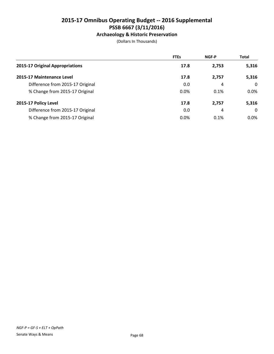## **Archaeology & Historic Preservation**

(Dollars In Thousands)

|                                  | <b>FTEs</b> | <b>NGF-P</b> | <b>Total</b> |
|----------------------------------|-------------|--------------|--------------|
| 2015-17 Original Appropriations  | 17.8        | 2,753        | 5,316        |
| 2015-17 Maintenance Level        | 17.8        | 2,757        | 5,316        |
| Difference from 2015-17 Original | 0.0         | 4            | $\Omega$     |
| % Change from 2015-17 Original   | 0.0%        | 0.1%         | 0.0%         |
| 2015-17 Policy Level             | 17.8        | 2,757        | 5,316        |
| Difference from 2015-17 Original | 0.0         | 4            | $\Omega$     |
| % Change from 2015-17 Original   | 0.0%        | 0.1%         | $0.0\%$      |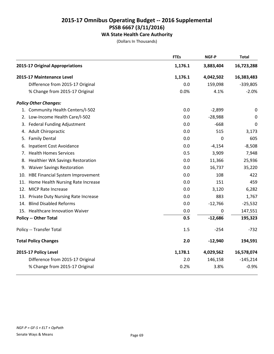## **WA State Health Care Authority**

(Dollars In Thousands)

|    |                                        | <b>FTEs</b> | NGF-P     | <b>Total</b>     |
|----|----------------------------------------|-------------|-----------|------------------|
|    | 2015-17 Original Appropriations        | 1,176.1     | 3,883,404 | 16,723,288       |
|    | 2015-17 Maintenance Level              | 1,176.1     | 4,042,502 | 16,383,483       |
|    | Difference from 2015-17 Original       | 0.0         | 159,098   | $-339,805$       |
|    | % Change from 2015-17 Original         | 0.0%        | 4.1%      | $-2.0%$          |
|    | <b>Policy Other Changes:</b>           |             |           |                  |
|    | 1. Community Health Centers/I-502      | 0.0         | $-2,899$  | $\boldsymbol{0}$ |
|    | 2. Low-Income Health Care/I-502        | 0.0         | $-28,988$ | $\boldsymbol{0}$ |
|    | 3. Federal Funding Adjustment          | 0.0         | $-668$    | 0                |
|    | 4. Adult Chiropractic                  | 0.0         | 515       | 3,173            |
|    | 5. Family Dental                       | 0.0         | 0         | 605              |
| 6. | <b>Inpatient Cost Avoidance</b>        | 0.0         | $-4,154$  | $-8,508$         |
|    | 7. Health Homes Services               | 0.5         | 3,909     | 7,948            |
|    | 8. Healthier WA Savings Restoration    | 0.0         | 11,366    | 25,936           |
|    | 9. Waiver Savings Restoration          | 0.0         | 16,737    | 35,220           |
|    | 10. HBE Financial System Improvement   | 0.0         | 108       | 422              |
|    | 11. Home Health Nursing Rate Increase  | 0.0         | 151       | 459              |
|    | 12. MICP Rate Increase                 | 0.0         | 3,120     | 6,282            |
|    | 13. Private Duty Nursing Rate Increase | 0.0         | 883       | 1,767            |
|    | 14. Blind Disabled Reforms             | 0.0         | $-12,766$ | $-25,532$        |
|    | 15. Healthcare Innovation Waiver       | 0.0         | 0         | 147,551          |
|    | <b>Policy -- Other Total</b>           | 0.5         | $-12,686$ | 195,323          |
|    | Policy -- Transfer Total               | 1.5         | $-254$    | $-732$           |
|    | <b>Total Policy Changes</b>            | 2.0         | $-12,940$ | 194,591          |
|    | 2015-17 Policy Level                   | 1,178.1     | 4,029,562 | 16,578,074       |
|    | Difference from 2015-17 Original       | 2.0         | 146,158   | $-145,214$       |
|    | % Change from 2015-17 Original         | 0.2%        | 3.8%      | $-0.9%$          |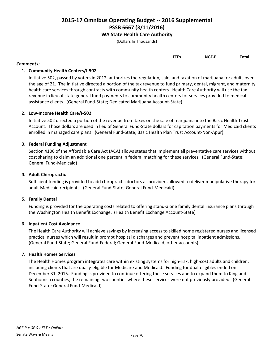## **WA State Health Care Authority**

(Dollars In Thousands)

| <b>FTEs</b> | <b>NGF-P</b> | Total |
|-------------|--------------|-------|
|             |              |       |

#### *Comments:*

## **1. Community Health Centers/I-502**

Initiative 502, passed by voters in 2012, authorizes the regulation, sale, and taxation of marijuana for adults over the age of 21. The initiative directed a portion of the tax revenue to fund primary, dental, migrant, and maternity health care services through contracts with community health centers. Health Care Authority will use the tax revenue in lieu of state general fund payments to community health centers for services provided to medical assistance clients. (General Fund-State; Dedicated Marijuana Account-State)

## **2. Low-Income Health Care/I-502**

Initiative 502 directed a portion of the revenue from taxes on the sale of marijuana into the Basic Health Trust Account. Those dollars are used in lieu of General Fund-State dollars for capitation payments for Medicaid clients enrolled in managed care plans. (General Fund-State; Basic Health Plan Trust Account-Non-Appr)

## **3. Federal Funding Adjustment**

Section 4106 of the Affordable Care Act (ACA) allows states that implement all preventative care services without cost sharing to claim an additional one percent in federal matching for these services. (General Fund-State; General Fund-Medicaid)

## **4. Adult Chiropractic**

Sufficient funding is provided to add chiropractic doctors as providers allowed to deliver manipulative therapy for adult Medicaid recipients. (General Fund-State; General Fund-Medicaid)

## **5. Family Dental**

Funding is provided for the operating costs related to offering stand-alone family dental insurance plans through the Washington Health Benefit Exchange. (Health Benefit Exchange Account-State)

## **6. Inpatient Cost Avoidance**

The Health Care Authority will achieve savings by increasing access to skilled home registered nurses and licensed practical nurses which will result in prompt hospital discharges and prevent hospital inpatient admissions. (General Fund-State; General Fund-Federal; General Fund-Medicaid; other accounts)

## **7. Health Homes Services**

The Health Homes program integrates care within existing systems for high-risk, high-cost adults and children, including clients that are dually-eligible for Medicare and Medicaid. Funding for dual-eligibles ended on December 31, 2015. Funding is provided to continue offering these services and to expand them to King and Snohomish counties, the remaining two counties where these services were not previously provided. (General Fund-State; General Fund-Medicaid)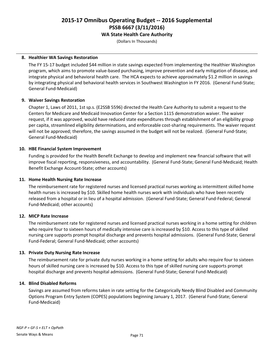**WA State Health Care Authority**

(Dollars In Thousands)

## **8. Healthier WA Savings Restoration**

The FY 15-17 budget included \$44 million in state savings expected from implementing the Healthier Washington program, which aims to promote value-based purchasing, improve prevention and early mitigation of disease, and integrate physical and behavioral health care. The HCA expects to achieve approximately \$1.2 million in savings by integrating physical and behavioral health services in Southwest Washington in FY 2016. (General Fund-State; General Fund-Medicaid)

## **9. Waiver Savings Restoration**

Chapter 1, Laws of 2011, 1st sp.s. (E2SSB 5596) directed the Health Care Authority to submit a request to the Centers for Medicare and Medicaid Innovation Center for a Section 1115 demonstration waiver. The waiver request, if it was approved, would have reduced state expenditures through establishment of an eligibility group per capita, streamlined eligibility determinations, and enforceable cost-sharing requirements. The waiver request will not be approved; therefore, the savings assumed in the budget will not be realized. (General Fund-State; General Fund-Medicaid)

## **10. HBE Financial System Improvement**

Funding is provided for the Health Benefit Exchange to develop and implement new financial software that will improve fiscal reporting, responsiveness, and accountability. (General Fund-State; General Fund-Medicaid; Health Benefit Exchange Account-State; other accounts)

## **11. Home Health Nursing Rate Increase**

The reimbursement rate for registered nurses and licensed practical nurses working as intermittent skilled home health nurses is increased by \$10. Skilled home health nurses work with individuals who have been recently released from a hospital or in lieu of a hospital admission. (General Fund-State; General Fund-Federal; General Fund-Medicaid; other accounts)

## **12. MICP Rate Increase**

The reimbursement rate for registered nurses and licensed practical nurses working in a home setting for children who require four to sixteen hours of medically intensive care is increased by \$10. Access to this type of skilled nursing care supports prompt hospital discharge and prevents hospital admissions. (General Fund-State; General Fund-Federal; General Fund-Medicaid; other accounts)

## **13. Private Duty Nursing Rate Increase**

The reimbursement rate for private duty nurses working in a home setting for adults who require four to sixteen hours of skilled nursing care is increased by \$10. Access to this type of skilled nursing care supports prompt hospital discharge and prevents hospital admissions. (General Fund-State; General Fund-Medicaid)

## **14. Blind Disabled Reforms**

Savings are assumed from reforms taken in rate setting for the Categorically Needy Blind Disabled and Community Options Program Entry System (COPES) populations beginning January 1, 2017. (General Fund-State; General Fund-Medicaid)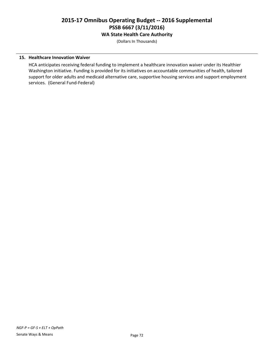**WA State Health Care Authority**

(Dollars In Thousands)

## **15. Healthcare Innovation Waiver**

HCA anticipates receiving federal funding to implement a healthcare innovation waiver under its Healthier Washington initiative. Funding is provided for its initiatives on accountable communities of health, tailored support for older adults and medicaid alternative care, supportive housing services and support employment services. (General Fund-Federal)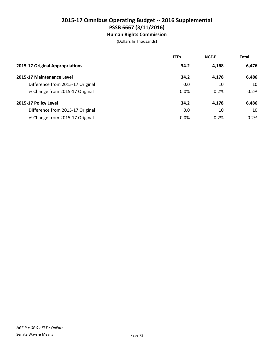**Human Rights Commission**

(Dollars In Thousands)

|                                  | <b>FTEs</b> | <b>NGF-P</b> | <b>Total</b> |
|----------------------------------|-------------|--------------|--------------|
| 2015-17 Original Appropriations  | 34.2        | 4,168        | 6,476        |
| 2015-17 Maintenance Level        | 34.2        | 4,178        | 6,486        |
| Difference from 2015-17 Original | 0.0         | 10           | 10           |
| % Change from 2015-17 Original   | 0.0%        | 0.2%         | 0.2%         |
| 2015-17 Policy Level             | 34.2        | 4,178        | 6,486        |
| Difference from 2015-17 Original | 0.0         | 10           | 10           |
| % Change from 2015-17 Original   | 0.0%        | 0.2%         | 0.2%         |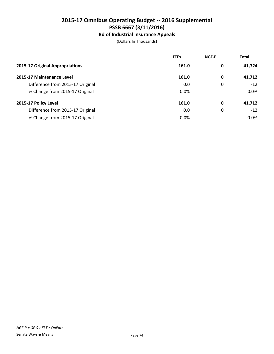## **Bd of Industrial Insurance Appeals**

(Dollars In Thousands)

|                                  | <b>FTEs</b> | <b>NGF-P</b> | <b>Total</b> |
|----------------------------------|-------------|--------------|--------------|
| 2015-17 Original Appropriations  | 161.0       | 0            | 41,724       |
| 2015-17 Maintenance Level        | 161.0       | 0            | 41,712       |
| Difference from 2015-17 Original | 0.0         | 0            | $-12$        |
| % Change from 2015-17 Original   | 0.0%        |              | $0.0\%$      |
| 2015-17 Policy Level             | 161.0       | 0            | 41,712       |
| Difference from 2015-17 Original | 0.0         | 0            | $-12$        |
| % Change from 2015-17 Original   | 0.0%        |              | $0.0\%$      |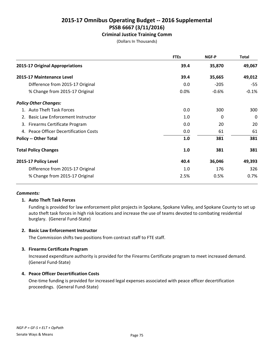## **Criminal Justice Training Comm**

(Dollars In Thousands)

|                                        | <b>FTEs</b> | <b>NGF-P</b> | <b>Total</b> |
|----------------------------------------|-------------|--------------|--------------|
| 2015-17 Original Appropriations        | 39.4        | 35,870       | 49,067       |
| 2015-17 Maintenance Level              | 39.4        | 35,665       | 49,012       |
| Difference from 2015-17 Original       | 0.0         | $-205$       | $-55$        |
| % Change from 2015-17 Original         | 0.0%        | $-0.6%$      | $-0.1%$      |
| <b>Policy Other Changes:</b>           |             |              |              |
| 1. Auto Theft Task Forces              | 0.0         | 300          | 300          |
| Basic Law Enforcement Instructor<br>2. | 1.0         | 0            | 0            |
| 3. Firearms Certificate Program        | 0.0         | 20           | 20           |
| 4. Peace Officer Decertification Costs | 0.0         | 61           | 61           |
| <b>Policy -- Other Total</b>           | 1.0         | 381          | 381          |
| <b>Total Policy Changes</b>            | 1.0         | 381          | 381          |
| 2015-17 Policy Level                   | 40.4        | 36,046       | 49,393       |
| Difference from 2015-17 Original       | 1.0         | 176          | 326          |
| % Change from 2015-17 Original         | 2.5%        | 0.5%         | 0.7%         |

#### *Comments:*

## **1. Auto Theft Task Forces**

Funding is provided for law enforcement pilot projects in Spokane, Spokane Valley, and Spokane County to set up auto theft task forces in high risk locations and increase the use of teams devoted to combating residential burglary. (General Fund-State)

#### **2. Basic Law Enforcement Instructor**

The Commission shifts two positions from contract staff to FTE staff.

## **3. Firearms Certificate Program**

Increased expenditure authority is provided for the Firearms Certificate program to meet increased demand. (General Fund-State)

## **4. Peace Officer Decertification Costs**

One-time funding is provided for increased legal expenses associated with peace officer decertification proceedings. (General Fund-State)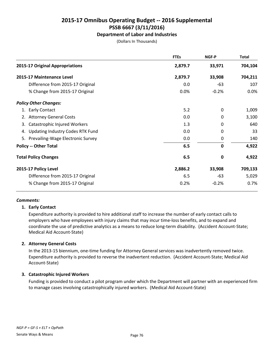## **Department of Labor and Industries**

(Dollars In Thousands)

|                                        | <b>FTEs</b> | NGF-P        | Total   |
|----------------------------------------|-------------|--------------|---------|
| 2015-17 Original Appropriations        | 2,879.7     | 33,971       | 704,104 |
| 2015-17 Maintenance Level              | 2,879.7     | 33,908       | 704,211 |
| Difference from 2015-17 Original       | 0.0         | -63          | 107     |
| % Change from 2015-17 Original         | 0.0%        | $-0.2%$      | 0.0%    |
| <b>Policy Other Changes:</b>           |             |              |         |
| 1. Early Contact                       | 5.2         | 0            | 1,009   |
| 2. Attorney General Costs              | 0.0         | 0            | 3,100   |
| Catastrophic Injured Workers<br>3.     | 1.3         | 0            | 640     |
| Updating Industry Codes RTK Fund<br>4. | 0.0         | 0            | 33      |
| 5. Prevailing-Wage Electronic Survey   | 0.0         | 0            | 140     |
| <b>Policy -- Other Total</b>           | 6.5         | $\mathbf{0}$ | 4,922   |
| <b>Total Policy Changes</b>            | 6.5         | 0            | 4,922   |
| 2015-17 Policy Level                   | 2,886.2     | 33,908       | 709,133 |
| Difference from 2015-17 Original       | 6.5         | -63          | 5,029   |
| % Change from 2015-17 Original         | 0.2%        | $-0.2%$      | 0.7%    |

## *Comments:*

## **1. Early Contact**

Expenditure authority is provided to hire additional staff to increase the number of early contact calls to employers who have employees with injury claims that may incur time-loss benefits, and to expand and coordinate the use of predictive analytics as a means to reduce long-term disability. (Accident Account-State; Medical Aid Account-State)

## **2. Attorney General Costs**

In the 2013-15 biennium, one-time funding for Attorney General services was inadvertently removed twice. Expenditure authority is provided to reverse the inadvertent reduction. (Accident Account-State; Medical Aid Account-State)

## **3. Catastrophic Injured Workers**

Funding is provided to conduct a pilot program under which the Department will partner with an experienced firm to manage cases involving catastrophically injured workers. (Medical Aid Account-State)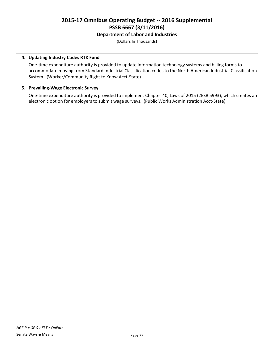## **Department of Labor and Industries**

(Dollars In Thousands)

## **4. Updating Industry Codes RTK Fund**

One-time expenditure authority is provided to update information technology systems and billing forms to accommodate moving from Standard Industrial Classification codes to the North American Industrial Classification System. (Worker/Community Right to Know Acct-State)

## **5. Prevailing-Wage Electronic Survey**

One-time expenditure authority is provided to implement Chapter 40, Laws of 2015 (2ESB 5993), which creates an electronic option for employers to submit wage surveys. (Public Works Administration Acct-State)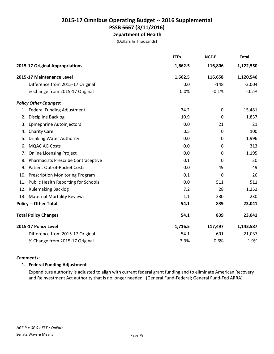## **2015-17 Omnibus Operating Budget -- 2016 Supplemental PSSB 6667 (3/11/2016) Department of Health**

(Dollars In Thousands)

|     |                                            | <b>FTEs</b> | NGF-P       | <b>Total</b> |
|-----|--------------------------------------------|-------------|-------------|--------------|
|     | 2015-17 Original Appropriations            | 1,662.5     | 116,806     | 1,122,550    |
|     | 2015-17 Maintenance Level                  | 1,662.5     | 116,658     | 1,120,546    |
|     | Difference from 2015-17 Original           | 0.0         | $-148$      | $-2,004$     |
|     | % Change from 2015-17 Original             | 0.0%        | $-0.1%$     | $-0.2%$      |
|     | <b>Policy Other Changes:</b>               |             |             |              |
|     | 1. Federal Funding Adjustment              | 34.2        | $\mathbf 0$ | 15,481       |
| 2.  | <b>Discipline Backlog</b>                  | 10.9        | 0           | 1,837        |
| 3.  | Epinephrine Autoinjectors                  | 0.0         | 21          | 21           |
| 4.  | <b>Charity Care</b>                        | 0.5         | 0           | 100          |
| 5.  | <b>Drinking Water Authority</b>            | 0.0         | 0           | 1,996        |
| 6.  | <b>MQAC AG Costs</b>                       | 0.0         | 0           | 313          |
| 7.  | <b>Online Licensing Project</b>            | 0.0         | 0           | 1,195        |
| 8.  | <b>Pharmacists Prescribe Contraceptive</b> | 0.1         | 0           | 30           |
| 9.  | Patient Out-of-Pocket Costs                | 0.0         | 49          | 49           |
| 10. | <b>Prescription Monitoring Program</b>     | 0.1         | 0           | 26           |
|     | 11. Public Health Reporting for Schools    | 0.0         | 511         | 511          |
|     | 12. Rulemaking Backlog                     | 7.2         | 28          | 1,252        |
|     | 13. Maternal Mortality Reviews             | 1.1         | 230         | 230          |
|     | <b>Policy -- Other Total</b>               | 54.1        | 839         | 23,041       |
|     | <b>Total Policy Changes</b>                | 54.1        | 839         | 23,041       |
|     | 2015-17 Policy Level                       | 1,716.5     | 117,497     | 1,143,587    |
|     | Difference from 2015-17 Original           | 54.1        | 691         | 21,037       |
|     | % Change from 2015-17 Original             | 3.3%        | 0.6%        | 1.9%         |

## *Comments:*

## **1. Federal Funding Adjustment**

Expenditure authority is adjusted to align with current federal grant funding and to eliminate American Recovery and Reinvestment Act authority that is no longer needed. (General Fund-Federal; General Fund-Fed ARRA)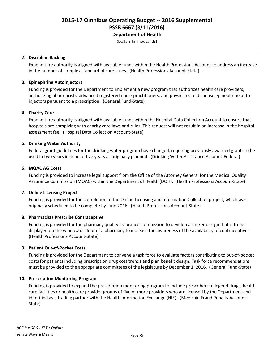(Dollars In Thousands)

#### **2. Discipline Backlog**

Expenditure authority is aligned with available funds within the Health Professions Account to address an increase in the number of complex standard of care cases. (Health Professions Account-State)

### **3. Epinephrine Autoinjectors**

Funding is provided for the Department to implement a new program that authorizes health care providers, authorizing pharmacists, advanced registered nurse practitioners, and physicians to dispense epinephrine autoinjectors pursuant to a prescription. (General Fund-State)

#### **4. Charity Care**

Expenditure authority is aligned with available funds within the Hospital Data Collection Account to ensure that hospitals are complying with charity care laws and rules. This request will not result in an increase in the hospital assessment fee. (Hospital Data Collection Account-State)

## **5. Drinking Water Authority**

Federal grant guidelines for the drinking water program have changed, requiring previously awarded grants to be used in two years instead of five years as originally planned. (Drinking Water Assistance Account-Federal)

#### **6. MQAC AG Costs**

Funding is provided to increase legal support from the Office of the Attorney General for the Medical Quality Assurance Commission (MQAC) within the Department of Health (DOH). (Health Professions Account-State)

## **7. Online Licensing Project**

Funding is provided for the completion of the Online Licensing and Information Collection project, which was originally scheduled to be complete by June 2016. (Health Professions Account-State)

## **8. Pharmacists Prescribe Contraceptive**

Funding is provided for the pharmacy quality assurance commission to develop a sticker or sign that is to be displayed on the window or door of a pharmacy to increase the awareness of the availability of contraceptives. (Health Professions Account-State)

## **9. Patient Out-of-Pocket Costs**

Funding is provided for the Department to convene a task force to evaluate factors contributing to out-of-pocket costs for patients including prescription drug cost trends and plan benefit design. Task force recommendations must be provided to the appropriate committees of the legislature by December 1, 2016. (General Fund-State)

## **10. Prescription Monitoring Program**

Funding is provided to expand the prescription monitoring program to include prescribers of legend drugs, health care facilities or health care provider groups of five or more providers who are licensed by the Department and identified as a trading partner with the Health Information Exchange (HIE). (Medicaid Fraud Penalty Account-State)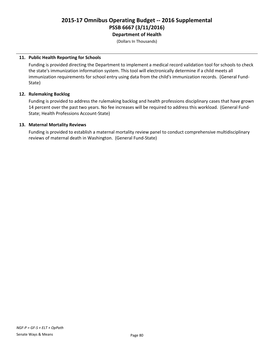## **2015-17 Omnibus Operating Budget -- 2016 Supplemental PSSB 6667 (3/11/2016) Department of Health**

(Dollars In Thousands)

### **11. Public Health Reporting for Schools**

Funding is provided directing the Department to implement a medical record validation tool for schools to check the state's immunization information system. This tool will electronically determine if a child meets all immunization requirements for school entry using data from the child's immunization records. (General Fund-State)

#### **12. Rulemaking Backlog**

Funding is provided to address the rulemaking backlog and health professions disciplinary cases that have grown 14 percent over the past two years. No fee increases will be required to address this workload. (General Fund-State; Health Professions Account-State)

#### **13. Maternal Mortality Reviews**

Funding is provided to establish a maternal mortality review panel to conduct comprehensive multidisciplinary reviews of maternal death in Washington. (General Fund-State)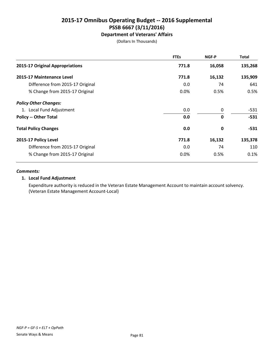## **Department of Veterans' Affairs**

(Dollars In Thousands)

|                                  | <b>FTEs</b> | NGF-P       | <b>Total</b> |
|----------------------------------|-------------|-------------|--------------|
| 2015-17 Original Appropriations  | 771.8       | 16,058      | 135,268      |
| 2015-17 Maintenance Level        | 771.8       | 16,132      | 135,909      |
| Difference from 2015-17 Original | 0.0         | 74          | 641          |
| % Change from 2015-17 Original   | $0.0\%$     | 0.5%        | 0.5%         |
| <b>Policy Other Changes:</b>     |             |             |              |
| 1. Local Fund Adjustment         | 0.0         | 0           | $-531$       |
| <b>Policy -- Other Total</b>     | 0.0         | $\mathbf 0$ | $-531$       |
| <b>Total Policy Changes</b>      | 0.0         | 0           | $-531$       |
| 2015-17 Policy Level             | 771.8       | 16,132      | 135,378      |
| Difference from 2015-17 Original | 0.0         | 74          | 110          |
| % Change from 2015-17 Original   | 0.0%        | 0.5%        | 0.1%         |

#### *Comments:*

## **1. Local Fund Adjustment**

Expenditure authority is reduced in the Veteran Estate Management Account to maintain account solvency. (Veteran Estate Management Account-Local)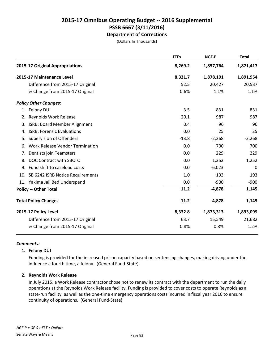## **2015-17 Omnibus Operating Budget -- 2016 Supplemental PSSB 6667 (3/11/2016) Department of Corrections**

(Dollars In Thousands)

|                                 |                                        | <b>FTEs</b> | NGF-P     | <b>Total</b> |
|---------------------------------|----------------------------------------|-------------|-----------|--------------|
| 2015-17 Original Appropriations |                                        | 8,269.2     | 1,857,764 | 1,871,417    |
| 2015-17 Maintenance Level       |                                        | 8,321.7     | 1,878,191 | 1,891,954    |
|                                 | Difference from 2015-17 Original       | 52.5        | 20,427    | 20,537       |
|                                 | % Change from 2015-17 Original         | 0.6%        | 1.1%      | 1.1%         |
| <b>Policy Other Changes:</b>    |                                        |             |           |              |
| 1. Felony DUI                   |                                        | 3.5         | 831       | 831          |
| Reynolds Work Release<br>2.     |                                        | 20.1        | 987       | 987          |
| 3.                              | <b>ISRB: Board Member Alignment</b>    | 0.4         | 96        | 96           |
| 4.                              | <b>ISRB: Forensic Evaluations</b>      | 0.0         | 25        | 25           |
| Supervision of Offenders<br>5.  |                                        | $-13.8$     | $-2,268$  | $-2,268$     |
| 6.                              | <b>Work Release Vendor Termination</b> | 0.0         | 700       | 700          |
| Dentists join Teamsters<br>7.   |                                        | 0.0         | 229       | 229          |
| 8.                              | DOC Contract with SBCTC                | 0.0         | 1,252     | 1,252        |
| 9. Fund shift to caseload costs |                                        | 0.0         | $-6,023$  | 0            |
|                                 | 10. SB 6242 ISRB Notice Requirements   | 1.0         | 193       | 193          |
| 11. Yakima Jail Bed Underspend  |                                        | 0.0         | $-900$    | $-900$       |
| <b>Policy -- Other Total</b>    |                                        | 11.2        | $-4,878$  | 1,145        |
| <b>Total Policy Changes</b>     |                                        | 11.2        | $-4,878$  | 1,145        |
| 2015-17 Policy Level            |                                        | 8,332.8     | 1,873,313 | 1,893,099    |
|                                 | Difference from 2015-17 Original       | 63.7        | 15,549    | 21,682       |
|                                 | % Change from 2015-17 Original         | 0.8%        | 0.8%      | 1.2%         |

#### *Comments:*

## **1. Felony DUI**

Funding is provided for the increased prison capacity based on sentencing changes, making driving under the influence a fourth time, a felony. (General Fund-State)

## **2. Reynolds Work Release**

In July 2015, a Work Release contractor chose not to renew its contract with the department to run the daily operations at the Reynolds Work Release facility. Funding is provided to cover costs to operate Reynolds as a state-run facility, as well as the one-time emergency operations costs incurred in fiscal year 2016 to ensure continuity of operations. (General Fund-State)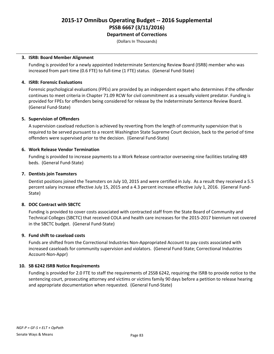**Department of Corrections**

(Dollars In Thousands)

#### **3. ISRB: Board Member Alignment**

Funding is provided for a newly appointed Indeterminate Sentencing Review Board (ISRB) member who was increased from part-time (0.6 FTE) to full-time (1 FTE) status. (General Fund-State)

### **4. ISRB: Forensic Evaluations**

Forensic psychological evaluations (FPEs) are provided by an independent expert who determines if the offender continues to meet criteria in Chapter 71.09 RCW for civil commitment as a sexually violent predator. Funding is provided for FPEs for offenders being considered for release by the Indeterminate Sentence Review Board. (General Fund-State)

#### **5. Supervision of Offenders**

A supervision caseload reduction is achieved by reverting from the length of community supervision that is required to be served pursuant to a recent Washington State Supreme Court decision, back to the period of time offenders were supervised prior to the decision. (General Fund-State)

#### **6. Work Release Vendor Termination**

Funding is provided to increase payments to a Work Release contractor overseeing nine facilities totaling 489 beds. (General Fund-State)

#### **7. Dentists join Teamsters**

Dentist positions joined the Teamsters on July 10, 2015 and were certified in July. As a result they received a 5.5 percent salary increase effective July 15, 2015 and a 4.3 percent increase effective July 1, 2016. (General Fund-State)

## **8. DOC Contract with SBCTC**

Funding is provided to cover costs associated with contracted staff from the State Board of Community and Technical Colleges (SBCTC) that received COLA and health care increases for the 2015-2017 biennium not covered in the SBCTC budget. (General Fund-State)

## **9. Fund shift to caseload costs**

Funds are shifted from the Correctional Industries Non-Appropriated Account to pay costs associated with increased caseloads for community supervision and violators. (General Fund-State; Correctional Industries Account-Non-Appr)

#### **10. SB 6242 ISRB Notice Requirements**

Funding is provided for 2.0 FTE to staff the requirements of 2SSB 6242, requiring the ISRB to provide notice to the sentencing court, prosecuting attorney and victims or victims family 90 days before a petition to release hearing and appropriate documentation when requested. (General Fund-State)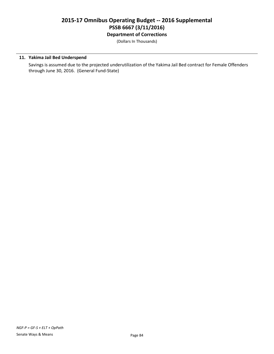## **2015-17 Omnibus Operating Budget -- 2016 Supplemental PSSB 6667 (3/11/2016) Department of Corrections**

(Dollars In Thousands)

## **11. Yakima Jail Bed Underspend**

Savings is assumed due to the projected underutilization of the Yakima Jail Bed contract for Female Offenders through June 30, 2016. (General Fund-State)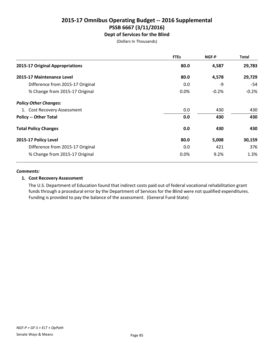## **2015-17 Omnibus Operating Budget -- 2016 Supplemental PSSB 6667 (3/11/2016) Dept of Services for the Blind**

(Dollars In Thousands)

|                                  | <b>FTEs</b> | NGF-P   | <b>Total</b> |
|----------------------------------|-------------|---------|--------------|
| 2015-17 Original Appropriations  | 80.0        | 4,587   | 29,783       |
| 2015-17 Maintenance Level        | 80.0        | 4,578   | 29,729       |
| Difference from 2015-17 Original | 0.0         | -9      | -54          |
| % Change from 2015-17 Original   | 0.0%        | $-0.2%$ | $-0.2%$      |
| <b>Policy Other Changes:</b>     |             |         |              |
| 1. Cost Recovery Assessment      | 0.0         | 430     | 430          |
| <b>Policy -- Other Total</b>     | 0.0         | 430     | 430          |
| <b>Total Policy Changes</b>      | 0.0         | 430     | 430          |
| 2015-17 Policy Level             | 80.0        | 5,008   | 30,159       |
| Difference from 2015-17 Original | 0.0         | 421     | 376          |
| % Change from 2015-17 Original   | 0.0%        | 9.2%    | 1.3%         |

#### *Comments:*

## **1. Cost Recovery Assessment**

The U.S. Department of Education found that indirect costs paid out of federal vocational rehabilitation grant funds through a procedural error by the Department of Services for the Blind were not qualified expenditures. Funding is provided to pay the balance of the assessment. (General Fund-State)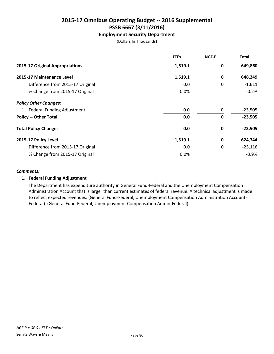## **Employment Security Department**

(Dollars In Thousands)

|                                  | <b>FTEs</b> | NGF-P       | <b>Total</b> |
|----------------------------------|-------------|-------------|--------------|
| 2015-17 Original Appropriations  | 1,519.1     | 0           | 649,860      |
| 2015-17 Maintenance Level        | 1,519.1     | 0           | 648,249      |
| Difference from 2015-17 Original | 0.0         | 0           | $-1,611$     |
| % Change from 2015-17 Original   | 0.0%        |             | $-0.2%$      |
| <b>Policy Other Changes:</b>     |             |             |              |
| 1. Federal Funding Adjustment    | 0.0         | 0           | $-23,505$    |
| <b>Policy -- Other Total</b>     | 0.0         | $\mathbf 0$ | $-23,505$    |
| <b>Total Policy Changes</b>      | 0.0         | 0           | $-23,505$    |
| 2015-17 Policy Level             | 1,519.1     | $\mathbf 0$ | 624,744      |
| Difference from 2015-17 Original | 0.0         | 0           | $-25,116$    |
| % Change from 2015-17 Original   | 0.0%        |             | $-3.9%$      |

#### *Comments:*

## **1. Federal Funding Adjustment**

The Department has expenditure authority in General Fund-Federal and the Unemployment Compensation Administration Account that is larger than current estimates of federal revenue. A technical adjustment is made to reflect expected revenues. (General Fund-Federal, Unemployment Compensation Administration Account-Federal) (General Fund-Federal; Unemployment Compensation Admin-Federal)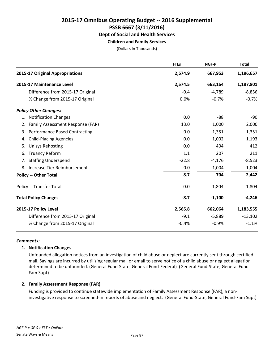## **Children and Family Services**

(Dollars In Thousands)

|                                      | <b>FTEs</b>                                                                                                                                                                                                                                                                                                                                         | NGF-P    | <b>Total</b> |
|--------------------------------------|-----------------------------------------------------------------------------------------------------------------------------------------------------------------------------------------------------------------------------------------------------------------------------------------------------------------------------------------------------|----------|--------------|
|                                      | 2,574.9                                                                                                                                                                                                                                                                                                                                             | 667,953  | 1,196,657    |
|                                      | 2,574.5                                                                                                                                                                                                                                                                                                                                             | 663,164  | 1,187,801    |
| Difference from 2015-17 Original     | $-0.4$                                                                                                                                                                                                                                                                                                                                              | $-4,789$ | $-8,856$     |
| % Change from 2015-17 Original       | 0.0%                                                                                                                                                                                                                                                                                                                                                | $-0.7%$  | $-0.7%$      |
|                                      |                                                                                                                                                                                                                                                                                                                                                     |          |              |
|                                      | 0.0                                                                                                                                                                                                                                                                                                                                                 | -88      | $-90$        |
|                                      | 13.0                                                                                                                                                                                                                                                                                                                                                | 1,000    | 2,000        |
| <b>Performance Based Contracting</b> | 0.0                                                                                                                                                                                                                                                                                                                                                 | 1,351    | 1,351        |
| <b>Child-Placing Agencies</b>        | 0.0                                                                                                                                                                                                                                                                                                                                                 | 1,002    | 1,193        |
| <b>Unisys Rehosting</b>              | 0.0                                                                                                                                                                                                                                                                                                                                                 | 404      | 412          |
| <b>Truancy Reform</b>                | 1.1                                                                                                                                                                                                                                                                                                                                                 | 207      | 211          |
|                                      | $-22.8$                                                                                                                                                                                                                                                                                                                                             | $-4,176$ | $-8,523$     |
|                                      | 0.0                                                                                                                                                                                                                                                                                                                                                 | 1,004    | 1,004        |
|                                      | $-8.7$                                                                                                                                                                                                                                                                                                                                              | 704      | $-2,442$     |
|                                      | 0.0                                                                                                                                                                                                                                                                                                                                                 | $-1,804$ | $-1,804$     |
|                                      | $-8.7$                                                                                                                                                                                                                                                                                                                                              | $-1,100$ | $-4,246$     |
|                                      | 2,565.8                                                                                                                                                                                                                                                                                                                                             | 662,064  | 1,183,555    |
| Difference from 2015-17 Original     | $-9.1$                                                                                                                                                                                                                                                                                                                                              | $-5,889$ | $-13,102$    |
| % Change from 2015-17 Original       | $-0.4%$                                                                                                                                                                                                                                                                                                                                             | $-0.9%$  | $-1.1%$      |
| 4.<br>5.                             | 2015-17 Original Appropriations<br>2015-17 Maintenance Level<br><b>Policy Other Changes:</b><br>1. Notification Changes<br>2. Family Assessment Response (FAR)<br>6.<br>7. Staffing Underspend<br>8. Increase Tier Reimbursement<br><b>Policy -- Other Total</b><br>Policy -- Transfer Total<br><b>Total Policy Changes</b><br>2015-17 Policy Level |          |              |

#### *Comments:*

#### **1. Notification Changes**

Unfounded allegation notices from an investigation of child abuse or neglect are currently sent through certified mail. Savings are incurred by utilizing regular mail or email to serve notice of a child abuse or neglect allegation determined to be unfounded. (General Fund-State, General Fund-Federal) (General Fund-State; General Fund-Fam Supt)

## **2. Family Assessment Response (FAR)**

Funding is provided to continue statewide implementation of Family Assessment Response (FAR), a noninvestigative response to screened-in reports of abuse and neglect. (General Fund-State; General Fund-Fam Supt)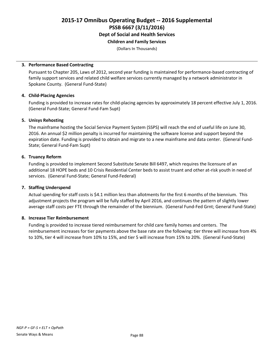## **Children and Family Services**

(Dollars In Thousands)

#### **3. Performance Based Contracting**

Pursuant to Chapter 205, Laws of 2012, second year funding is maintained for performance-based contracting of family support services and related child welfare services currently managed by a network administrator in Spokane County. (General Fund-State)

#### **4. Child-Placing Agencies**

Funding is provided to increase rates for child-placing agencies by approximately 18 percent effective July 1, 2016. (General Fund-State; General Fund-Fam Supt)

#### **5. Unisys Rehosting**

The mainframe hosting the Social Service Payment System (SSPS) will reach the end of useful life on June 30, 2016. An annual \$2 million penalty is incurred for maintaining the software license and support beyond the expiration date. Funding is provided to obtain and migrate to a new mainframe and data center. (General Fund-State; General Fund-Fam Supt)

#### **6. Truancy Reform**

Funding is provided to implement Second Substitute Senate Bill 6497, which requires the licensure of an additional 18 HOPE beds and 10 Crisis Residential Center beds to assist truant and other at-risk youth in need of services. (General Fund-State; General Fund-Federal)

## **7. Staffing Underspend**

Actual spending for staff costs is \$4.1 million less than allotments for the first 6 months of the biennium. This adjustment projects the program will be fully staffed by April 2016, and continues the pattern of slightly lower average staff costs per FTE through the remainder of the biennium. (General Fund-Fed Grnt; General Fund-State)

## **8. Increase Tier Reimbursement**

Funding is provided to increase tiered reimbursement for child care family homes and centers. The reimbursement increases for tier payments above the base rate are the following: tier three will increase from 4% to 10%, tier 4 will increase from 10% to 15%, and tier 5 will increase from 15% to 20%. (General Fund-State)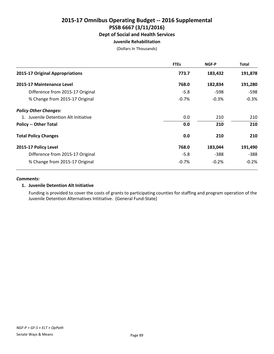## **Juvenile Rehabilitation**

(Dollars In Thousands)

|                                      | <b>FTEs</b> | NGF-P   | Total   |
|--------------------------------------|-------------|---------|---------|
| 2015-17 Original Appropriations      | 773.7       | 183,432 | 191,878 |
| 2015-17 Maintenance Level            | 768.0       | 182,834 | 191,280 |
| Difference from 2015-17 Original     | $-5.8$      | -598    | $-598$  |
| % Change from 2015-17 Original       | $-0.7%$     | $-0.3%$ | $-0.3%$ |
| <b>Policy Other Changes:</b>         |             |         |         |
| 1. Juvenile Detention Alt Initiative | 0.0         | 210     | 210     |
| <b>Policy -- Other Total</b>         | 0.0         | 210     | 210     |
| <b>Total Policy Changes</b>          | 0.0         | 210     | 210     |
| 2015-17 Policy Level                 | 768.0       | 183,044 | 191,490 |
| Difference from 2015-17 Original     | $-5.8$      | -388    | $-388$  |
| % Change from 2015-17 Original       | $-0.7%$     | $-0.2%$ | $-0.2%$ |

#### *Comments:*

## **1. Juvenile Detention Alt Initiative**

Funding is provided to cover the costs of grants to participating counties for staffing and program operation of the Juvenile Detention Alternatives Intitiative. (General Fund-State)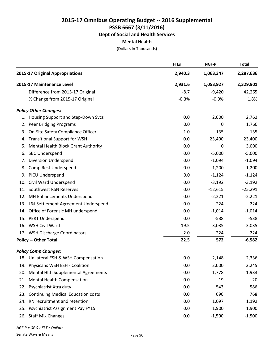#### **Mental Health**

(Dollars In Thousands)

|     |                                         | <b>FTEs</b> | <b>NGF-P</b> | <b>Total</b> |
|-----|-----------------------------------------|-------------|--------------|--------------|
|     | 2015-17 Original Appropriations         | 2,940.3     | 1,063,347    | 2,287,636    |
|     | 2015-17 Maintenance Level               | 2,931.6     | 1,053,927    | 2,329,901    |
|     | Difference from 2015-17 Original        | $-8.7$      | $-9,420$     | 42,265       |
|     | % Change from 2015-17 Original          | $-0.3%$     | $-0.9%$      | 1.8%         |
|     | <b>Policy Other Changes:</b>            |             |              |              |
|     | 1. Housing Support and Step-Down Svcs   | 0.0         | 2,000        | 2,762        |
| 2.  | Peer Bridging Programs                  | 0.0         | 0            | 1,760        |
| 3.  | On-Site Safety Compliance Officer       | 1.0         | 135          | 135          |
| 4.  | <b>Transitional Support for WSH</b>     | 0.0         | 23,400       | 23,400       |
| 5.  | Mental Health Block Grant Authority     | 0.0         | 0            | 3,000        |
| 6.  | <b>SBC Underspend</b>                   | 0.0         | $-5,000$     | $-5,000$     |
| 7.  | <b>Diversion Underspend</b>             | 0.0         | $-1,094$     | $-1,094$     |
| 8.  | Comp Rest Underspend                    | 0.0         | $-1,200$     | $-1,200$     |
|     | 9. PICU Underspend                      | 0.0         | $-1,124$     | $-1,124$     |
| 10. | Civil Ward Underspend                   | 0.0         | $-3,192$     | $-3,192$     |
| 11. | Southwest RSN Reserves                  | 0.0         | $-12,615$    | $-25,291$    |
|     | 12. MH Enhancements Underspend          | 0.0         | $-2,221$     | $-2,221$     |
|     | 13. L&I Settlement Agreement Underspend | 0.0         | $-224$       | $-224$       |
|     | 14. Office of Forensic MH underspend    | 0.0         | $-1,014$     | $-1,014$     |
|     | 15. PERT Underspend                     | 0.0         | $-538$       | $-538$       |
|     | 16. WSH Civil Ward                      | 19.5        | 3,035        | 3,035        |
|     | 17. WSH Discharge Coordinators          | 2.0         | 224          | 224          |
|     | <b>Policy -- Other Total</b>            | 22.5        | 572          | $-6,582$     |
|     | <b>Policy Comp Changes:</b>             |             |              |              |
|     | 18. Unilateral ESH & WSH Compensation   | 0.0         | 2,148        | 2,336        |
|     | 19. Physicans WSH ESH - Coalition       | 0.0         | 2,000        | 2,245        |
|     | 20. Mental Hlth Supplemental Agreements | 0.0         | 1,778        | 1,933        |
|     | 21. Mental Health Compensation          | 0.0         | 19           | 20           |
|     | 22. Psychiatrist Xtra duty              | 0.0         | 543          | 586          |
|     | 23. Continuing Medical Education costs  | 0.0         | 696          | 768          |
|     | 24. RN recruitment and retention        | 0.0         | 1,097        | 1,192        |
|     | 25. Psychiatrist Assignment Pay FY15    | 0.0         | 1,900        | 1,900        |
|     | 26. Staff Mix Changes                   | 0.0         | $-1,500$     | $-1,500$     |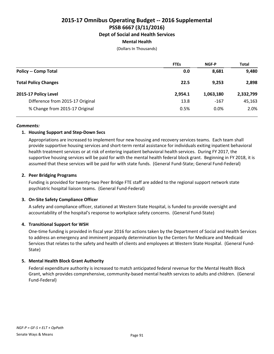## **Mental Health**

(Dollars In Thousands)

|                                  | <b>FTEs</b> | NGF-P     | <b>Total</b> |
|----------------------------------|-------------|-----------|--------------|
| <b>Policy -- Comp Total</b>      | 0.0         | 8,681     | 9,480        |
| <b>Total Policy Changes</b>      | 22.5        | 9,253     | 2,898        |
| 2015-17 Policy Level             | 2,954.1     | 1,063,180 | 2,332,799    |
| Difference from 2015-17 Original | 13.8        | $-167$    | 45,163       |
| % Change from 2015-17 Original   | 0.5%        | $0.0\%$   | 2.0%         |

#### *Comments:*

## **1. Housing Support and Step-Down Svcs**

Appropriations are increased to implement four new housing and recovery services teams. Each team shall provide supportive housing services and short-term rental assistance for individuals exiting inpatient behavioral health treatment services or at risk of entering inpatient behavioral health services. During FY 2017, the supportive housing services will be paid for with the mental health federal block grant. Beginning in FY 2018, it is assumed that these services will be paid for with state funds. (General Fund-State; General Fund-Federal)

## **2. Peer Bridging Programs**

Funding is provided for twenty-two Peer Bridge FTE staff are added to the regional support network state psychiatric hospital liaison teams. (General Fund-Federal)

## **3. On-Site Safety Compliance Officer**

A safety and compliance officer, stationed at Western State Hospital, is funded to provide oversight and accountability of the hospital's response to workplace safety concerns. (General Fund-State)

## **4. Transitional Support for WSH**

One-time funding is provided in fiscal year 2016 for actions taken by the Department of Social and Health Services to address an emergency and imminent jeopardy determination by the Centers for Medicare and Medicaid Services that relates to the safety and health of clients and employees at Western State Hospital. (General Fund-State)

## **5. Mental Health Block Grant Authority**

Federal expenditure authority is increased to match anticipated federal revenue for the Mental Health Block Grant, which provides comprehensive, community-based mental health services to adults and children. (General Fund-Federal)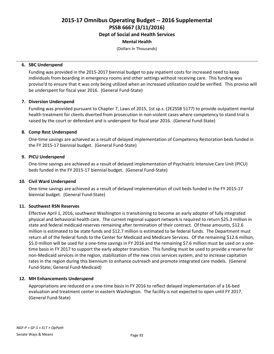**Dept of Social and Health Services**

## **Mental Health**

(Dollars In Thousands)

#### **6. SBC Underspend**

Funding was provided in the 2015-2017 biennial budget to pay inpatient costs for increased need to keep individuals from boarding in emergency rooms and other settings without receiving care. This funding was proviso'd to ensure that it was only being utilized when an increased utilization could be verified. This proviso will be underspent for fiscal year 2016. (General Fund-State)

## **7. Diversion Underspend**

Funding was provided pursuant to Chapter 7, Laws of 2015, 1st sp.s. (2E2SSB 5177) to provide outpatient mental health treatment for clients diverted from prosecution in non-violent cases where competency to stand trial is raised by the court or defendant and is underspent for fiscal year 2016. (General Fund-State)

#### **8. Comp Rest Underspend**

One-time savings are achieved as a result of delayed implementation of Competency Restoration beds funded in the FY 2015-17 biennial budget. (General Fund-State)

#### **9. PICU Underspend**

One-time savings are achieved as a result of delayed implementation of Psychiatric Intensive Care Unit (PICU) beds funded in the FY 2015-17 biennial budget. (General Fund-State)

## **10. Civil Ward Underspend**

One-time savings are achieved as a result of delayed implementation of civil beds funded in the FY 2015-17 biennial budget. (General Fund-State)

## **11. Southwest RSN Reserves**

Effective April 1, 2016, southwest Washington is transitioning to become an early adopter of fully integrated physical and behavioral health care. The current regional support network is required to return \$25.3 million in state and federal medicaid reserves remaining after termination of their contract. Of these amounts, \$12.6 million is estimated to be state funds and \$12.7 million is estimated to be federal funds. The Department must return all of the federal funds to the Center for Medicaid and Medicare Services. Of the remaining \$12.6 million, \$5.0 million will be used for a one-time savings in FY 2016 and the remaining \$7.6 million must be used on a onetime basis in FY 2017 to support the early adopter transition. This funding must be used to provide a reserve for non-Medicaid services in the region, stabilization of the new crisis services system, and to increase capitation rates in the region during this biennium to enhance outreach and promote integrated care models. (General Fund-State; General Fund-Medicaid)

## **12. MH Enhancements Underspend**

Appropriations are reduced on a one-time basis in FY 2016 to reflect delayed implementation of a 16-bed evaluation and treatment center in eastern Washington. The facility is not expected to open until FY 2017. (General Fund-State)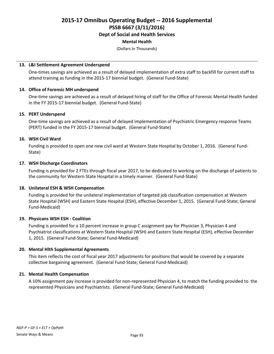**Dept of Social and Health Services**

#### **Mental Health**

(Dollars In Thousands)

#### **13. L&I Settlement Agreement Underspend**

One-times savings are achieved as a result of delayed implementation of extra staff to backfill for current staff to attend training as funding in the 2015-17 biennial budget. (General Fund-State)

## **14. Office of Forensic MH underspend**

One-time savings are achieved as a result of delayed hiring of staff for the Office of Forensic Mental Health funded in the FY 2015-17 biennial budget. (General Fund-State)

#### **15. PERT Underspend**

One-time savings are achieved as a result of delayed implementation of Psychiatric Emergency response Teams (PERT) funded in the FY 2015-17 biennial budget. (General Fund-State)

#### **16. WSH Civil Ward**

Funding is provided to open one new civil ward at Western State Hospital by October 1, 2016. (General Fund-State)

#### **17. WSH Discharge Coordinators**

Funding is provided for 2 FTEs through fiscal year 2017, to be dedicated to working on the discharge of patients to the community for Western State Hospital in a timely manner. (General Fund-State)

## **18. Unilateral ESH & WSH Compensation**

Funding is provided for the unilateral implementation of targeted job classification compensation at Western State Hospital (WSH) and Eastern State Hospital (ESH), effective December 1, 2015. (General Fund-State; General Fund-Medicaid)

## **19. Physicans WSH ESH - Coalition**

Funding is provided for a 10 percent increase in group C assignment pay for Physician 3, Physician 4 and Psychiatrist classifications at Western State Hospital (WSH) and Eastern State Hospital (ESH), effective December 1, 2015. (General Fund-State; General Fund-Medicaid)

## **20. Mental Hlth Supplemental Agreements**

This item reflects the cost of fiscal year 2017 adjustments for positions that would be covered by a separate collective bargaining agreement. (General Fund-State; General Fund-Medicaid)

## **21. Mental Health Compensation**

A 10% assignment pay increase is provided for non-represented Physician 4, to match the funding provided to the represented Physicians and Psychiatrists. (General Fund-State; General Fund-Medicaid)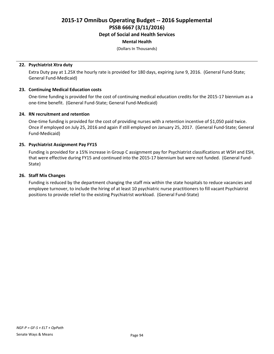## **Dept of Social and Health Services**

### **Mental Health**

(Dollars In Thousands)

#### **22. Psychiatrist Xtra duty**

Extra Duty pay at 1.25X the hourly rate is provided for 180 days, expiring June 9, 2016. (General Fund-State; General Fund-Medicaid)

#### **23. Continuing Medical Education costs**

One-time funding is provided for the cost of continuing medical education credits for the 2015-17 biennium as a one-time benefit. (General Fund-State; General Fund-Medicaid)

#### **24. RN recruitment and retention**

One-time funding is provided for the cost of providing nurses with a retention incentive of \$1,050 paid twice. Once if employed on July 25, 2016 and again if still employed on January 25, 2017. (General Fund-State; General Fund-Medicaid)

#### **25. Psychiatrist Assignment Pay FY15**

Funding is provided for a 15% increase in Group C assignment pay for Psychiatrist classifications at WSH and ESH, that were effective during FY15 and continued into the 2015-17 biennium but were not funded. (General Fund-State)

#### **26. Staff Mix Changes**

Funding is reduced by the department changing the staff mix within the state hospitals to reduce vacancies and employee turnover, to include the hiring of at least 10 psychiatric nurse practitioners to fill vacant Psychiatrist positions to provide relief to the existing Psychiatrist workload. (General Fund-State)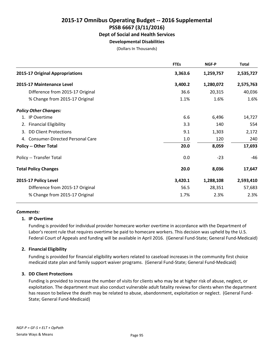## **Developmental Disabilities**

(Dollars In Thousands)

|                                              | <b>FTEs</b> | <b>NGF-P</b> | <b>Total</b> |
|----------------------------------------------|-------------|--------------|--------------|
| 2015-17 Original Appropriations              | 3,363.6     | 1,259,757    | 2,535,727    |
| 2015-17 Maintenance Level                    | 3,400.2     | 1,280,072    | 2,575,763    |
| Difference from 2015-17 Original             | 36.6        | 20,315       | 40,036       |
| % Change from 2015-17 Original               | 1.1%        | 1.6%         | 1.6%         |
| <b>Policy Other Changes:</b>                 |             |              |              |
| 1. IP Overtime                               | 6.6         | 6,496        | 14,727       |
| 2. Financial Eligibility                     | 3.3         | 140          | 554          |
| 3. DD Client Protections                     | 9.1         | 1,303        | 2,172        |
| <b>Consumer-Directed Personal Care</b><br>4. | 1.0         | 120          | 240          |
| <b>Policy -- Other Total</b>                 | 20.0        | 8,059        | 17,693       |
| Policy -- Transfer Total                     | 0.0         | $-23$        | -46          |
| <b>Total Policy Changes</b>                  | 20.0        | 8,036        | 17,647       |
| 2015-17 Policy Level                         | 3,420.1     | 1,288,108    | 2,593,410    |
| Difference from 2015-17 Original             | 56.5        | 28,351       | 57,683       |
| % Change from 2015-17 Original               | 1.7%        | 2.3%         | 2.3%         |
|                                              |             |              |              |

#### *Comments:*

#### **1. IP Overtime**

Funding is provided for individual provider homecare worker overtime in accordance with the Department of Labor's recent rule that requires overtime be paid to homecare workers. This decision was upheld by the U.S. Federal Court of Appeals and funding will be available in April 2016. (General Fund-State; General Fund-Medicaid)

## **2. Financial Eligibility**

Funding is provided for financial eligibility workers related to caseload increases in the community first choice medicaid state plan and family support waiver programs. (General Fund-State; General Fund-Medicaid)

#### **3. DD Client Protections**

Funding is provided to increase the number of visits for clients who may be at higher risk of abuse, neglect, or exploitation. The department must also conduct vulnerable adult fatality reviews for clients when the department has reason to believe the death may be related to abuse, abandonment, exploitation or neglect. (General Fund-State; General Fund-Medicaid)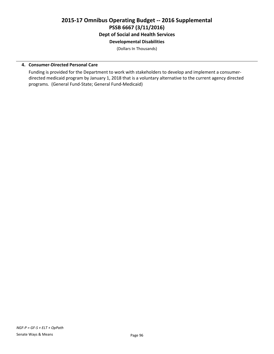## **2015-17 Omnibus Operating Budget -- 2016 Supplemental PSSB 6667 (3/11/2016) Dept of Social and Health Services Developmental Disabilities**

(Dollars In Thousands)

#### **4. Consumer-Directed Personal Care**

Funding is provided for the Department to work with stakeholders to develop and implement a consumerdirected medicaid program by January 1, 2018 that is a voluntary alternative to the current agency directed programs. (General Fund-State; General Fund-Medicaid)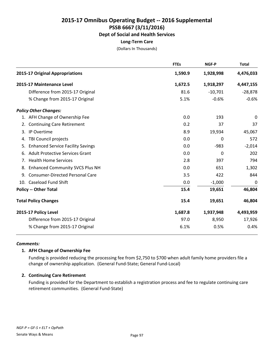## **Long-Term Care**

(Dollars In Thousands)

|    |                                          | <b>FTEs</b> | NGF-P     | <b>Total</b> |
|----|------------------------------------------|-------------|-----------|--------------|
|    | 2015-17 Original Appropriations          | 1,590.9     | 1,928,998 | 4,476,033    |
|    | 2015-17 Maintenance Level                | 1,672.5     | 1,918,297 | 4,447,155    |
|    | Difference from 2015-17 Original         | 81.6        | $-10,701$ | $-28,878$    |
|    | % Change from 2015-17 Original           | 5.1%        | $-0.6%$   | $-0.6%$      |
|    | <b>Policy Other Changes:</b>             |             |           |              |
|    | 1. AFH Change of Ownership Fee           | 0.0         | 193       | $\mathbf 0$  |
| 2. | <b>Continuing Care Retirement</b>        | 0.2         | 37        | 37           |
| 3. | IP Overtime                              | 8.9         | 19,934    | 45,067       |
| 4. | TBI Council projects                     | 0.0         | 0         | 572          |
| 5. | <b>Enhanced Service Facility Savings</b> | 0.0         | $-983$    | $-2,014$     |
| 6. | <b>Adult Protective Services Grant</b>   | 0.0         | 0         | 202          |
|    | 7. Health Home Services                  | 2.8         | 397       | 794          |
| 8. | <b>Enhanced Community SVCS Plus NH</b>   | 0.0         | 651       | 1,302        |
| 9. | <b>Consumer-Directed Personal Care</b>   | 3.5         | 422       | 844          |
|    | 10. Caseload Fund Shift                  | 0.0         | $-1,000$  | 0            |
|    | <b>Policy -- Other Total</b>             | 15.4        | 19,651    | 46,804       |
|    | <b>Total Policy Changes</b>              | 15.4        | 19,651    | 46,804       |
|    | 2015-17 Policy Level                     | 1,687.8     | 1,937,948 | 4,493,959    |
|    | Difference from 2015-17 Original         | 97.0        | 8,950     | 17,926       |
|    | % Change from 2015-17 Original           | 6.1%        | 0.5%      | 0.4%         |

#### *Comments:*

## **1. AFH Change of Ownership Fee**

Funding is provided reducing the processing fee from \$2,750 to \$700 when adult family home providers file a change of ownership application. (General Fund-State; General Fund-Local)

## **2. Continuing Care Retirement**

Funding is provided for the Department to establish a registration process and fee to regulate continuing care retirement communities. (General Fund-State)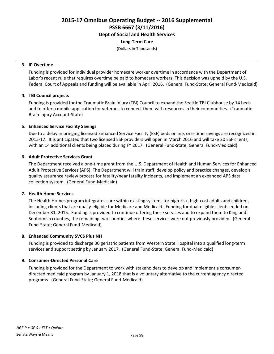**Dept of Social and Health Services**

#### **Long-Term Care**

(Dollars In Thousands)

#### **3. IP Overtime**

Funding is provided for individual provider homecare worker overtime in accordance with the Department of Labor's recent rule that requires overtime be paid to homecare workers. This decision was upheld by the U.S. Federal Court of Appeals and funding will be available in April 2016. (General Fund-State; General Fund-Medicaid)

## **4. TBI Council projects**

Funding is provided for the Traumatic Brain Injury (TBI) Council to expand the Seattle TBI Clubhouse by 14 beds and to offer a mobile application for veterans to connect them with resources in their communities. (Traumatic Brain Injury Account-State)

## **5. Enhanced Service Facility Savings**

Due to a delay in bringing licensed Enhanced Service Facility (ESF) beds online, one-time savings are recognized in 2015-17. It is anticipated that two licensed ESF providers will open in March 2016 and will take 20 ESF clients, with an 14 additional clients being placed during FY 2017. (General Fund-State; General Fund-Medicaid)

#### **6. Adult Protective Services Grant**

The Department received a one-time grant from the U.S. Department of Health and Human Services for Enhanced Adult Protective Services (APS). The Department will train staff, develop policy and practice changes, develop a quality assurance review process for fatality/near fatality incidents, and implement an expanded APS data collection system. (General Fund-Medicaid)

## **7. Health Home Services**

The Health Homes program integrates care within existing systems for high-risk, high-cost adults and children, including clients that are dually-eligible for Medicare and Medicaid. Funding for dual-eligible clients ended on December 31, 2015. Funding is provided to continue offering these services and to expand them to King and Snohomish counties, the remaining two counties where these services were not previously provided. (General Fund-State; General Fund-Medicaid)

#### **8. Enhanced Community SVCS Plus NH**

Funding is provided to discharge 30 geriatric patients from Western State Hospital into a qualified long-term services and support setting by January 2017. (General Fund-State; General Fund-Medicaid)

## **9. Consumer-Directed Personal Care**

Funding is provided for the Department to work with stakeholders to develop and implement a consumerdirected medicaid program by January 1, 2018 that is a voluntary alternative to the current agency directed programs. (General Fund-State; General Fund-Medicaid)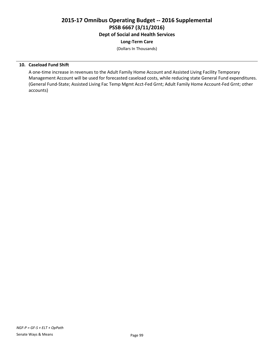### **Long-Term Care**

(Dollars In Thousands)

#### **10. Caseload Fund Shift**

A one-time increase in revenues to the Adult Family Home Account and Assisted Living Facility Temporary Management Account will be used for forecasted caseload costs, while reducing state General Fund expenditures. (General Fund-State; Assisted Living Fac Temp Mgmt Acct-Fed Grnt; Adult Family Home Account-Fed Grnt; other accounts)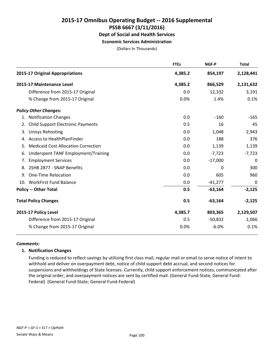## **2015-17 Omnibus Operating Budget -- 2016 Supplemental PSSB 6667 (3/11/2016) Dept of Social and Health Services Economic Services Administration**

(Dollars In Thousands)

|    |                                            | <b>FTEs</b> | NGF-P     | <b>Total</b> |
|----|--------------------------------------------|-------------|-----------|--------------|
|    | 2015-17 Original Appropriations            | 4,385.2     | 854,197   | 2,128,441    |
|    | 2015-17 Maintenance Level                  | 4,385.2     | 866,529   | 2,131,632    |
|    | Difference from 2015-17 Original           | 0.0         | 12,332    | 3,191        |
|    | % Change from 2015-17 Original             | 0.0%        | 1.4%      | 0.1%         |
|    | <b>Policy Other Changes:</b>               |             |           |              |
|    | 1. Notification Changes                    | 0.0         | $-160$    | $-165$       |
| 2. | <b>Child Support Electronic Payments</b>   | 0.5         | 16        | 45           |
| 3. | <b>Unisys Rehosting</b>                    | 0.0         | 1,048     | 2,943        |
|    | 4. Access to HealthPlanFinder              | 0.0         | 188       | 376          |
| 5. | <b>Medicaid Cost Allocation Correction</b> | 0.0         | 1,139     | 1,139        |
| 6. | Underspent TANF Employment/Training        | 0.0         | $-7,723$  | $-7,723$     |
| 7. | <b>Employment Services</b>                 | 0.0         | $-17,000$ | 0            |
| 8. | 2SHB 2877 - SNAP Benefits                  | 0.0         | 0         | 300          |
| 9. | <b>One-Time Relocation</b>                 | 0.0         | 605       | 960          |
|    | 10. WorkFirst Fund Balance                 | 0.0         | $-41,277$ | 0            |
|    | <b>Policy -- Other Total</b>               | 0.5         | $-63,164$ | $-2,125$     |
|    | <b>Total Policy Changes</b>                | 0.5         | $-63,164$ | $-2,125$     |
|    | 2015-17 Policy Level                       | 4,385.7     | 803,365   | 2,129,507    |
|    | Difference from 2015-17 Original           | 0.5         | $-50,832$ | 1,066        |
|    | % Change from 2015-17 Original             | 0.0%        | $-6.0%$   | 0.1%         |

#### *Comments:*

## **1. Notification Changes**

Funding is reduced to reflect savings by utilizing first class mail, regular mail or email to serve notice of intent to withhold and deliver on overpayment debt, notice of child support debt accrual, and second notices for suspensions and withholdings of State licenses. Currently, child support enforcement notices, communicated after the original order, and overpayment notices are sent by certified mail. (General Fund-State, General Fund-Federal) (General Fund-State; General Fund-Federal)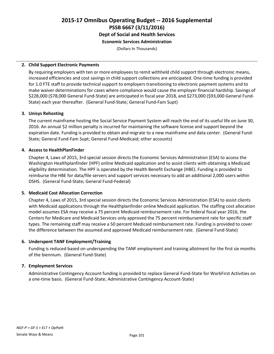## **2015-17 Omnibus Operating Budget -- 2016 Supplemental PSSB 6667 (3/11/2016) Dept of Social and Health Services Economic Services Administration**

(Dollars In Thousands)

#### **2. Child Support Electronic Payments**

By requiring employers with ten or more employees to remit withheld child support through electronic means, increased efficiencies and cost savings in child support collections are anticipated. One-time funding is provided for 1.0 FTE staff to provide technical support to employers transitioning to electronic payment systems and to make waiver determinations for cases where compliance would cause the employer financial hardship. Savings of \$228,000 (\$78,000 General Fund-State) are anticipated in fiscal year 2018, and \$273,000 (\$93,000 General Fund-State) each year thereafter. (General Fund-State; General Fund-Fam Supt)

#### **3. Unisys Rehosting**

The current mainframe hosting the Social Service Payment System will reach the end of its useful life on June 30, 2016. An annual \$2 million penalty is incurred for maintaining the software license and support beyond the expiration date. Funding is provided to obtain and migrate to a new mainframe and data center. (General Fund-State; General Fund-Fam Supt; General Fund-Medicaid; other accounts)

## **4. Access to HealthPlanFinder**

Chapter 4, Laws of 2015, 3rd special session directs the Economic Services Administration (ESA) to access the Washington Healthplanfinder (HPF) online Medicaid application and to assist clients with obtaining a Medicaid eligibility determination. The HPF is operated by the Health Benefit Exchange (HBE). Funding is provided to reimburse the HBE for data/file servers and support services necessary to add an additional 2,000 users within DSHS. (General Fund-State; General Fund-Federal)

## **5. Medicaid Cost Allocation Correction**

Chapter 4, Laws of 2015, 3rd special session directs the Economic Services Administration (ESA) to assist clients with Medicaid applications through the Healthplanfinder online Medicaid application. The staffing cost allocation model assumes ESA may receive a 75 percent Medicaid reimbursement rate. For federal fiscal year 2016, the Centers for Medicare and Medicaid Services only approved the 75 percent reimbursement rate for specific staff types. The remaining staff may receive a 50 percent Medicaid reimbursement rate. Funding is provided to cover the difference between the assumed and approved Medicaid reimbursement rate. (General Fund-State)

## **6. Underspent TANF Employment/Training**

Funding is reduced based on underspending the TANF employment and training allotment for the first six months of the biennium. (General Fund-State)

## **7. Employment Services**

Administrative Contingency Account funding is provided to replace General Fund-State for WorkFirst Activities on a one-time basis. (General Fund-State; Administrative Contingency Account-State)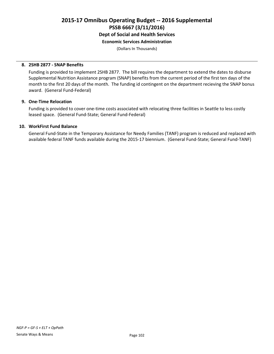**Economic Services Administration**

(Dollars In Thousands)

#### **8. 2SHB 2877 - SNAP Benefits**

Funding is provided to implement 2SHB 2877. The bill requires the department to extend the dates to disburse Supplemental Nutrition Assistance program (SNAP) benefits from the current period of the first ten days of the month to the first 20 days of the month. The funding id contingent on the department recieving the SNAP bonus award. (General Fund-Federal)

#### **9. One-Time Relocation**

Funding is provided to cover one-time costs associated with relocating three facilities in Seattle to less costly leased space. (General Fund-State; General Fund-Federal)

#### **10. WorkFirst Fund Balance**

General Fund-State in the Temporary Assistance for Needy Families (TANF) program is reduced and replaced with available federal TANF funds available during the 2015-17 biennium. (General Fund-State; General Fund-TANF)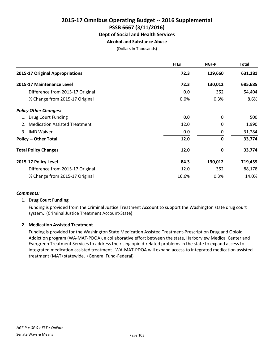## **Alcohol and Substance Abuse**

(Dollars In Thousands)

|                                  | <b>FTEs</b> | NGF-P       | Total   |
|----------------------------------|-------------|-------------|---------|
| 2015-17 Original Appropriations  | 72.3        | 129,660     | 631,281 |
| 2015-17 Maintenance Level        | 72.3        | 130,012     | 685,685 |
| Difference from 2015-17 Original | 0.0         | 352         | 54,404  |
| % Change from 2015-17 Original   | 0.0%        | 0.3%        | 8.6%    |
| <b>Policy Other Changes:</b>     |             |             |         |
| <b>Drug Court Funding</b><br>1.  | 0.0         | 0           | 500     |
| 2. Medication Assisted Treatment | 12.0        | 0           | 1,990   |
| 3. IMD Waiver                    | 0.0         | 0           | 31,284  |
| <b>Policy -- Other Total</b>     | 12.0        | $\mathbf 0$ | 33,774  |
| <b>Total Policy Changes</b>      | 12.0        | 0           | 33,774  |
| 2015-17 Policy Level             | 84.3        | 130,012     | 719,459 |
| Difference from 2015-17 Original | 12.0        | 352         | 88,178  |
| % Change from 2015-17 Original   | 16.6%       | 0.3%        | 14.0%   |

#### *Comments:*

#### **1. Drug Court Funding**

Funding is provided from the Criminal Justice Treatment Account to support the Washington state drug court system. (Criminal Justice Treatment Account-State)

#### **2. Medication Assisted Treatment**

Funding is provided for the Washington State Medication Assisted Treatment-Prescription Drug and Opioid Addiction program (WA-MAT-PDOA), a collaborative effort between the state, Harborview Medical Center and Evergreen Treatment Services to address the rising opioid-related problems in the state to expand access to integrated medication assisted treatment . WA-MAT-PDOA will expand access to integrated medication assisted treatment (MAT) statewide. (General Fund-Federal)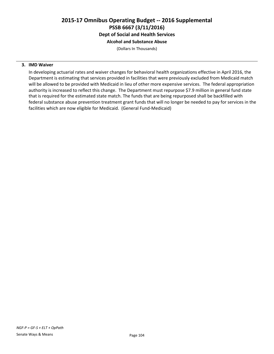# **2015-17 Omnibus Operating Budget -- 2016 Supplemental PSSB 6667 (3/11/2016) Dept of Social and Health Services**

# **Alcohol and Substance Abuse**

(Dollars In Thousands)

### **3. IMD Waiver**

In developing actuarial rates and waiver changes for behavioral health organizations effective in April 2016, the Department is estimating that services provided in facilities that were previously excluded from Medicaid match will be allowed to be provided with Medicaid in lieu of other more expensive services. The federal appropriation authority is increased to reflect this change. The Department must repurpose \$7.9 million in general fund state that is required for the estimated state match. The funds that are being repurposed shall be backfilled with federal substance abuse prevention treatment grant funds that will no longer be needed to pay for services in the facilities which are now eligible for Medicaid. (General Fund-Medicaid)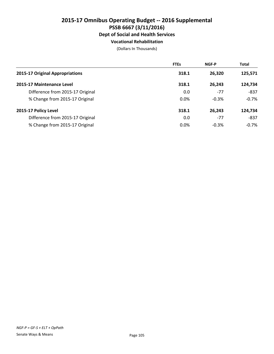# **2015-17 Omnibus Operating Budget -- 2016 Supplemental PSSB 6667 (3/11/2016) Dept of Social and Health Services Vocational Rehabilitation**

|                                  | <b>FTEs</b> | <b>NGF-P</b> | <b>Total</b> |
|----------------------------------|-------------|--------------|--------------|
| 2015-17 Original Appropriations  | 318.1       | 26.320       | 125,571      |
| 2015-17 Maintenance Level        | 318.1       | 26.243       | 124,734      |
| Difference from 2015-17 Original | 0.0         | $-77$        | $-837$       |
| % Change from 2015-17 Original   | 0.0%        | $-0.3%$      | $-0.7%$      |
| 2015-17 Policy Level             | 318.1       | 26.243       | 124,734      |
| Difference from 2015-17 Original | 0.0         | $-77$        | $-837$       |
| % Change from 2015-17 Original   | 0.0%        | $-0.3%$      | $-0.7\%$     |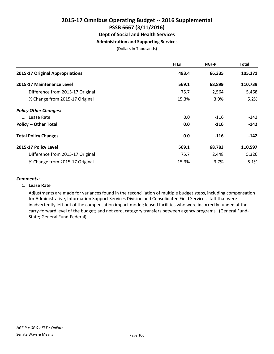# **2015-17 Omnibus Operating Budget -- 2016 Supplemental PSSB 6667 (3/11/2016) Dept of Social and Health Services Administration and Supporting Services**

(Dollars In Thousands)

|                                  | <b>FTEs</b> | NGF-P  | <b>Total</b> |
|----------------------------------|-------------|--------|--------------|
| 2015-17 Original Appropriations  | 493.4       | 66,335 | 105,271      |
| 2015-17 Maintenance Level        | 569.1       | 68,899 | 110,739      |
| Difference from 2015-17 Original | 75.7        | 2,564  | 5,468        |
| % Change from 2015-17 Original   | 15.3%       | 3.9%   | 5.2%         |
| <b>Policy Other Changes:</b>     |             |        |              |
| 1. Lease Rate                    | 0.0         | $-116$ | -142         |
| <b>Policy -- Other Total</b>     | 0.0         | $-116$ | $-142$       |
| <b>Total Policy Changes</b>      | 0.0         | $-116$ | $-142$       |
| 2015-17 Policy Level             | 569.1       | 68,783 | 110,597      |
| Difference from 2015-17 Original | 75.7        | 2,448  | 5,326        |
| % Change from 2015-17 Original   | 15.3%       | 3.7%   | 5.1%         |

### *Comments:*

## **1. Lease Rate**

Adjustments are made for variances found in the reconciliation of multiple budget steps, including compensation for Administrative, Information Support Services Division and Consolidated Field Services staff that were inadvertently left out of the compensation impact model; leased facilities who were incorrectly funded at the carry-forward level of the budget; and net zero, category transfers between agency programs. (General Fund-State; General Fund-Federal)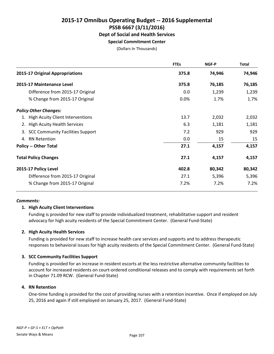# **2015-17 Omnibus Operating Budget -- 2016 Supplemental PSSB 6667 (3/11/2016) Dept of Social and Health Services**

### **Special Commitment Center**

(Dollars In Thousands)

|                                     | <b>FTEs</b> | NGF-P  | <b>Total</b> |
|-------------------------------------|-------------|--------|--------------|
| 2015-17 Original Appropriations     | 375.8       | 74,946 | 74,946       |
| 2015-17 Maintenance Level           | 375.8       | 76,185 | 76,185       |
| Difference from 2015-17 Original    | 0.0         | 1,239  | 1,239        |
| % Change from 2015-17 Original      | 0.0%        | 1.7%   | 1.7%         |
| <b>Policy Other Changes:</b>        |             |        |              |
| 1. High Acuity Client Interventions | 13.7        | 2,032  | 2,032        |
| 2. High Acuity Health Services      | 6.3         | 1,181  | 1,181        |
| 3. SCC Community Facilities Support | 7.2         | 929    | 929          |
| 4. RN Retention                     | 0.0         | 15     | 15           |
| <b>Policy -- Other Total</b>        | 27.1        | 4,157  | 4,157        |
| <b>Total Policy Changes</b>         | 27.1        | 4,157  | 4,157        |
| 2015-17 Policy Level                | 402.8       | 80,342 | 80,342       |
| Difference from 2015-17 Original    | 27.1        | 5,396  | 5,396        |
| % Change from 2015-17 Original      | 7.2%        | 7.2%   | 7.2%         |

### *Comments:*

### **1. High Acuity Client Interventions**

Funding is provided for new staff to provide individualized treatment, rehabilitative support and resident advocacy for high acuity residents of the Special Commitment Center. (General Fund-State)

### **2. High Acuity Health Services**

Funding is provided for new staff to increase health care services and supports and to address therapeutic responses to behavioral issues for high acuity residents of the Special Commitment Center. (General Fund-State)

### **3. SCC Community Facilities Support**

Funding is provided for an increase in resident escorts at the less restrictive alternative community facilities to account for increased residents on court-ordered conditional releases and to comply with requirements set forth in Chapter 71.09 RCW. (General Fund-State)

## **4. RN Retention**

One-time funding is provided for the cost of providing nurses with a retention incentive. Once if employed on July 25, 2016 and again if still employed on January 25, 2017. (General Fund-State)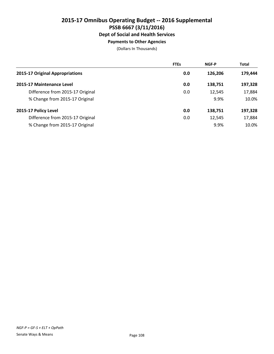# **2015-17 Omnibus Operating Budget -- 2016 Supplemental PSSB 6667 (3/11/2016) Dept of Social and Health Services Payments to Other Agencies**

|                                  | <b>FTEs</b> | <b>NGF-P</b> | <b>Total</b> |
|----------------------------------|-------------|--------------|--------------|
| 2015-17 Original Appropriations  | 0.0         | 126,206      | 179,444      |
| 2015-17 Maintenance Level        | 0.0         | 138,751      | 197,328      |
| Difference from 2015-17 Original | 0.0         | 12,545       | 17,884       |
| % Change from 2015-17 Original   |             | 9.9%         | 10.0%        |
| 2015-17 Policy Level             | 0.0         | 138,751      | 197,328      |
| Difference from 2015-17 Original | 0.0         | 12,545       | 17,884       |
| % Change from 2015-17 Original   |             | 9.9%         | 10.0%        |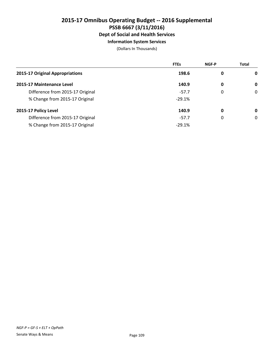# **2015-17 Omnibus Operating Budget -- 2016 Supplemental PSSB 6667 (3/11/2016) Dept of Social and Health Services**

# **Information System Services**

|                                  | <b>FTEs</b> | <b>NGF-P</b> | <b>Total</b> |
|----------------------------------|-------------|--------------|--------------|
| 2015-17 Original Appropriations  | 198.6       | 0            | $\mathbf 0$  |
| 2015-17 Maintenance Level        | 140.9       | 0            | 0            |
| Difference from 2015-17 Original | $-57.7$     | 0            | 0            |
| % Change from 2015-17 Original   | $-29.1%$    |              |              |
| 2015-17 Policy Level             | 140.9       | 0            | 0            |
| Difference from 2015-17 Original | $-57.7$     | 0            | 0            |
| % Change from 2015-17 Original   | $-29.1%$    |              |              |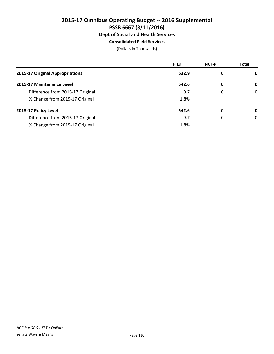# **2015-17 Omnibus Operating Budget -- 2016 Supplemental PSSB 6667 (3/11/2016) Dept of Social and Health Services Consolidated Field Services**

|                                  | <b>FTEs</b> | <b>NGF-P</b> | <b>Total</b> |
|----------------------------------|-------------|--------------|--------------|
| 2015-17 Original Appropriations  | 532.9       | 0            | 0            |
| 2015-17 Maintenance Level        | 542.6       | $\mathbf 0$  | 0            |
| Difference from 2015-17 Original | 9.7         | 0            | 0            |
| % Change from 2015-17 Original   | 1.8%        |              |              |
| 2015-17 Policy Level             | 542.6       | 0            | 0            |
| Difference from 2015-17 Original | 9.7         | 0            | 0            |
| % Change from 2015-17 Original   | 1.8%        |              |              |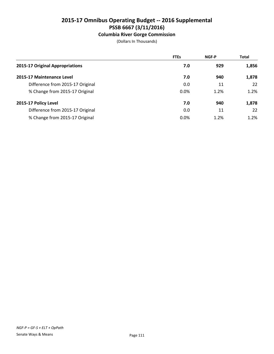# **Columbia River Gorge Commission**

|                                  | <b>FTEs</b> | <b>NGF-P</b> | <b>Total</b> |
|----------------------------------|-------------|--------------|--------------|
| 2015-17 Original Appropriations  | 7.0         | 929          | 1,856        |
| 2015-17 Maintenance Level        | 7.0         | 940          | 1,878        |
| Difference from 2015-17 Original | 0.0         | 11           | 22           |
| % Change from 2015-17 Original   | 0.0%        | 1.2%         | 1.2%         |
| 2015-17 Policy Level             | 7.0         | 940          | 1,878        |
| Difference from 2015-17 Original | 0.0         | 11           | 22           |
| % Change from 2015-17 Original   | 0.0%        | 1.2%         | 1.2%         |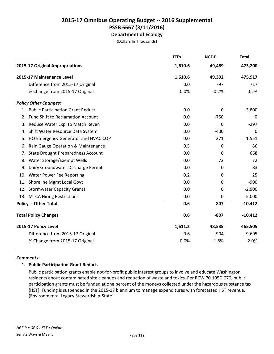# **2015-17 Omnibus Operating Budget -- 2016 Supplemental PSSB 6667 (3/11/2016) Department of Ecology**

(Dollars In Thousands)

|    |                                           | <b>FTEs</b> | NGF-P    | <b>Total</b> |
|----|-------------------------------------------|-------------|----------|--------------|
|    | 2015-17 Original Appropriations           | 1,610.6     | 49,489   | 475,200      |
|    | 2015-17 Maintenance Level                 | 1,610.6     | 49,392   | 475,917      |
|    | Difference from 2015-17 Original          | 0.0         | $-97$    | 717          |
|    | % Change from 2015-17 Original            | 0.0%        | $-0.2%$  | 0.2%         |
|    | <b>Policy Other Changes:</b>              |             |          |              |
|    | 1. Public Participation Grant Reduct.     | 0.0         | 0        | $-3,800$     |
| 2. | <b>Fund Shift to Reclamation Account</b>  | 0.0         | $-750$   | 0            |
| 3. | Reduce Water Exp. to Match Reven          | 0.0         | 0        | $-297$       |
| 4. | Shift Water Resource Data System          | 0.0         | $-400$   | 0            |
| 5. | HQ Emergency Generator and HVAC COP       | 0.0         | 271      | 1,551        |
| 6. | Rain Gauge Operation & Maintenance        | 0.5         | 0        | 86           |
| 7. | <b>State Drought Preparedness Account</b> | 0.0         | $\Omega$ | 668          |
| 8. | Water Storage/Exempt Wells                | 0.0         | 72       | 72           |
| 9. | Dairy Groundwater Discharge Permit        | 0.0         | $\Omega$ | 83           |
|    | 10. Water Power Fee Reporting             | 0.2         | 0        | 25           |
|    | 11. Shoreline Mgmt Local Govt             | 0.0         | 0        | $-900$       |
|    | 12. Stormwater Capacity Grants            | 0.0         | 0        | $-2,900$     |
|    | 13. MTCA Hiring Restrictions              | 0.0         | 0        | $-5,000$     |
|    | <b>Policy -- Other Total</b>              | 0.6         | $-807$   | $-10,412$    |
|    | <b>Total Policy Changes</b>               | 0.6         | $-807$   | $-10,412$    |
|    | 2015-17 Policy Level                      | 1,611.2     | 48,585   | 465,505      |
|    | Difference from 2015-17 Original          | 0.6         | $-904$   | $-9,695$     |
|    | % Change from 2015-17 Original            | 0.0%        | $-1.8%$  | $-2.0%$      |

## *Comments:*

## **1. Public Participation Grant Reduct.**

Public participation grants enable not-for-profit public interest groups to involve and educate Washington residents about contaminated site cleanups and reduction of waste and toxics. Per RCW 70.105D.070, public participation grants must be funded at one percent of the moneys collected under the hazardous substance tax (HST). Funding is suspended in the 2015-17 biennium to manage expenditures with forecasted HST revenue. (Environmental Legacy Stewardship-State)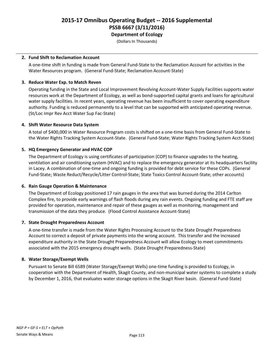(Dollars In Thousands)

### **2. Fund Shift to Reclamation Account**

A one-time shift in funding is made from General Fund-State to the Reclamation Account for activities in the Water Resources program. (General Fund-State; Reclamation Account-State)

### **3. Reduce Water Exp. to Match Reven**

Operating funding in the State and Local Improvement Revolving Account-Water Supply Facilities supports water resources work at the Department of Ecology, as well as bond-supported capital grants and loans for agricultural water supply facilities. In recent years, operating revenue has been insufficient to cover operating expenditure authority. Funding is reduced permanently to a level that can be supported with anticipated operating revenue. (St/Loc Impr Rev Acct Water Sup Fac-State)

### **4. Shift Water Resource Data System**

A total of \$400,000 in Water Resource Program costs is shifted on a one-time basis from General Fund-State to the Water Rights Tracking System Account-State. (General Fund-State; Water Rights Tracking System Acct-State)

### **5. HQ Emergency Generator and HVAC COP**

The Department of Ecology is using certificates of participation (COP) to finance upgrades to the heating, ventilation and air conditioning system (HVAC) and to replace the emergency generator at its headquarters facility in Lacey. A combination of one-time and ongoing funding is provided for debt service for these COPs. (General Fund-State; Waste Reduct/Recycle/Litter Control-State; State Toxics Control Account-State; other accounts)

### **6. Rain Gauge Operation & Maintenance**

The Department of Ecology positioned 17 rain gauges in the area that was burned during the 2014 Carlton Complex fire, to provide early warnings of flash floods during any rain events. Ongoing funding and FTE staff are provided for operation, maintenance and repair of these gauges as well as monitoring, management and transmission of the data they produce. (Flood Control Assistance Account-State)

### **7. State Drought Preparedness Account**

A one-time transfer is made from the Water Rights Processing Account to the State Drought Preparedness Account to correct a deposit of private payments into the wrong account. This transfer and the increased expenditure authority in the State Drought Preparedness Account will allow Ecology to meet commitments associated with the 2015 emergency drought wells. (State Drought Preparedness-State)

### **8. Water Storage/Exempt Wells**

Pursuant to Senate Bill 6589 (Water Storage/Exempt Wells) one-time funding is provided to Ecology, in cooperation with the Department of Health, Skagit County, and non-municipal water systems to complete a study by December 1, 2016, that evaluates water storage options in the Skagit River basin. (General Fund-State)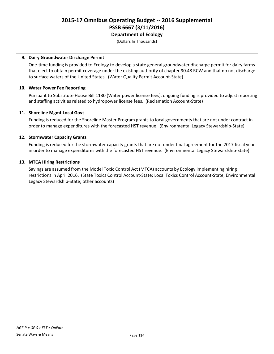(Dollars In Thousands)

### **9. Dairy Groundwater Discharge Permit**

One-time funding is provided to Ecology to develop a state general groundwater discharge permit for dairy farms that elect to obtain permit coverage under the existing authority of chapter 90.48 RCW and that do not discharge to surface waters of the United States. (Water Quality Permit Account-State)

### **10. Water Power Fee Reporting**

Pursuant to Substitute House Bill 1130 (Water power license fees), ongoing funding is provided to adjust reporting and staffing activities related to hydropower license fees. (Reclamation Account-State)

### **11. Shoreline Mgmt Local Govt**

Funding is reduced for the Shoreline Master Program grants to local governments that are not under contract in order to manage expenditures with the forecasted HST revenue. (Environmental Legacy Stewardship-State)

### **12. Stormwater Capacity Grants**

Funding is reduced for the stormwater capacity grants that are not under final agreement for the 2017 fiscal year in order to manage expenditures with the forecasted HST revenue. (Environmental Legacy Stewardship-State)

### **13. MTCA Hiring Restrictions**

Savings are assumed from the Model Toxic Control Act (MTCA) accounts by Ecology implementing hiring restrictions in April 2016. (State Toxics Control Account-State; Local Toxics Control Account-State; Environmental Legacy Stewardship-State; other accounts)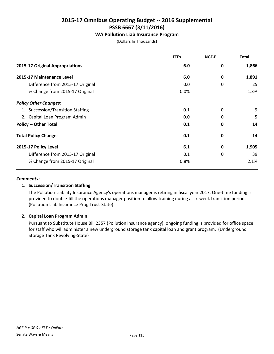# **WA Pollution Liab Insurance Program**

(Dollars In Thousands)

|                                   | <b>FTEs</b> | NGF-P       | <b>Total</b> |
|-----------------------------------|-------------|-------------|--------------|
| 2015-17 Original Appropriations   | 6.0         | 0           | 1,866        |
| 2015-17 Maintenance Level         | 6.0         | 0           | 1,891        |
| Difference from 2015-17 Original  | 0.0         | 0           | 25           |
| % Change from 2015-17 Original    | 0.0%        |             | 1.3%         |
| <b>Policy Other Changes:</b>      |             |             |              |
| 1. Succession/Transition Staffing | 0.1         | 0           | 9            |
| 2. Capital Loan Program Admin     | 0.0         | 0           | 5            |
| <b>Policy -- Other Total</b>      | 0.1         | $\mathbf 0$ | 14           |
| <b>Total Policy Changes</b>       | 0.1         | 0           | 14           |
| 2015-17 Policy Level              | 6.1         | 0           | 1,905        |
| Difference from 2015-17 Original  | 0.1         | 0           | 39           |
| % Change from 2015-17 Original    | 0.8%        |             | 2.1%         |

### *Comments:*

## **1. Succession/Transition Staffing**

The Pollution Liability Insurance Agency's operations manager is retiring in fiscal year 2017. One-time funding is provided to double-fill the operations manager position to allow training during a six-week transition period. (Pollution Liab Insurance Prog Trust-State)

### **2. Capital Loan Program Admin**

Pursuant to Substitute House Bill 2357 (Pollution insurance agency), ongoing funding is provided for office space for staff who will administer a new underground storage tank capital loan and grant program. (Underground Storage Tank Revolving-State)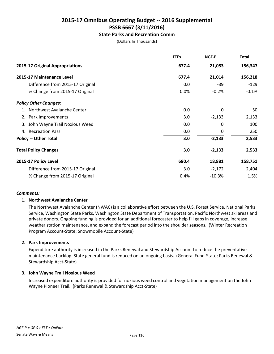# **State Parks and Recreation Comm**

(Dollars In Thousands)

|                                     | <b>FTEs</b> | <b>NGF-P</b> | <b>Total</b> |
|-------------------------------------|-------------|--------------|--------------|
| 2015-17 Original Appropriations     | 677.4       | 21,053       | 156,347      |
| 2015-17 Maintenance Level           | 677.4       | 21,014       | 156,218      |
| Difference from 2015-17 Original    | 0.0         | $-39$        | $-129$       |
| % Change from 2015-17 Original      | 0.0%        | $-0.2%$      | $-0.1%$      |
| <b>Policy Other Changes:</b>        |             |              |              |
| 1. Northwest Avalanche Center       | 0.0         | 0            | 50           |
| 2. Park Improvements                | 3.0         | $-2,133$     | 2,133        |
| John Wayne Trail Noxious Weed<br>3. | 0.0         | 0            | 100          |
| 4. Recreation Pass                  | 0.0         | 0            | 250          |
| <b>Policy -- Other Total</b>        | 3.0         | $-2,133$     | 2,533        |
| <b>Total Policy Changes</b>         | 3.0         | $-2,133$     | 2,533        |
| 2015-17 Policy Level                | 680.4       | 18,881       | 158,751      |
| Difference from 2015-17 Original    | 3.0         | $-2,172$     | 2,404        |
| % Change from 2015-17 Original      | 0.4%        | $-10.3%$     | 1.5%         |

### *Comments:*

## **1. Northwest Avalanche Center**

The Northwest Avalanche Center (NWAC) is a collaborative effort between the U.S. Forest Service, National Parks Service, Washington State Parks, Washington State Department of Transportation, Pacific Northwest ski areas and private donors. Ongoing funding is provided for an additional forecaster to help fill gaps in coverage, increase weather station maintenance, and expand the forecast period into the shoulder seasons. (Winter Recreation Program Account-State; Snowmobile Account-State)

## **2. Park Improvements**

Expenditure authority is increased in the Parks Renewal and Stewardship Account to reduce the preventative maintenance backlog. State general fund is reduced on an ongoing basis. (General Fund-State; Parks Renewal & Stewardship Acct-State)

## **3. John Wayne Trail Noxious Weed**

Increased expenditure authority is provided for noxious weed control and vegetation management on the John Wayne Pioneer Trail. (Parks Renewal & Stewardship Acct-State)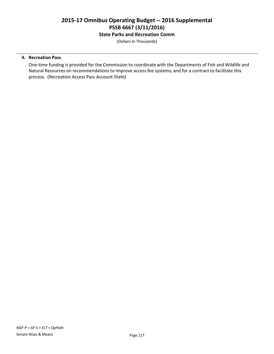**State Parks and Recreation Comm**

(Dollars In Thousands)

## **4. Recreation Pass**

One-time funding is provided for the Commission to coordinate with the Departments of Fish and Wildlife and Natural Resources on recommendations to improve access fee systems, and for a contract to facilitate this process. (Recreation Access Pass Account-State)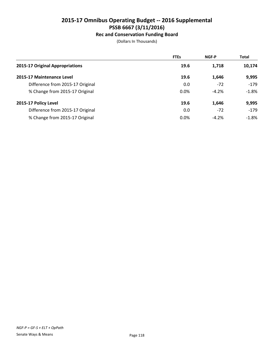# **Rec and Conservation Funding Board**

|                                  | <b>FTEs</b> | <b>NGF-P</b> | <b>Total</b> |
|----------------------------------|-------------|--------------|--------------|
| 2015-17 Original Appropriations  | 19.6        | 1,718        | 10,174       |
| 2015-17 Maintenance Level        | 19.6        | 1,646        | 9,995        |
| Difference from 2015-17 Original | 0.0         | $-72$        | $-179$       |
| % Change from 2015-17 Original   | 0.0%        | $-4.2%$      | $-1.8%$      |
| 2015-17 Policy Level             | 19.6        | 1,646        | 9,995        |
| Difference from 2015-17 Original | 0.0         | $-72$        | $-179$       |
| % Change from 2015-17 Original   | 0.0%        | $-4.2%$      | $-1.8\%$     |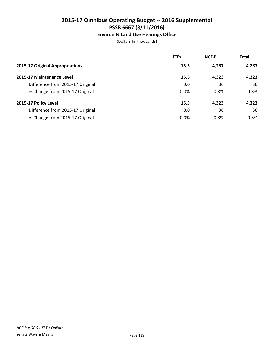# **Environ & Land Use Hearings Office**

|                                  | <b>FTEs</b> | <b>NGF-P</b> | <b>Total</b> |
|----------------------------------|-------------|--------------|--------------|
| 2015-17 Original Appropriations  | 15.5        | 4,287        | 4,287        |
| 2015-17 Maintenance Level        | 15.5        | 4,323        | 4,323        |
| Difference from 2015-17 Original | 0.0         | 36           | 36           |
| % Change from 2015-17 Original   | 0.0%        | 0.8%         | 0.8%         |
| 2015-17 Policy Level             | 15.5        | 4,323        | 4,323        |
| Difference from 2015-17 Original | 0.0         | 36           | 36           |
| % Change from 2015-17 Original   | 0.0%        | 0.8%         | 0.8%         |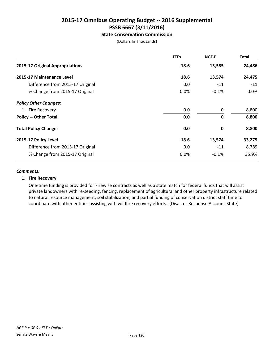# **State Conservation Commission**

(Dollars In Thousands)

|                                  | <b>FTEs</b> | NGF-P       | <b>Total</b> |
|----------------------------------|-------------|-------------|--------------|
| 2015-17 Original Appropriations  | 18.6        | 13,585      | 24,486       |
| 2015-17 Maintenance Level        | 18.6        | 13,574      | 24,475       |
| Difference from 2015-17 Original | 0.0         | $-11$       | $-11$        |
| % Change from 2015-17 Original   | 0.0%        | $-0.1%$     | 0.0%         |
| <b>Policy Other Changes:</b>     |             |             |              |
| 1. Fire Recovery                 | 0.0         | 0           | 8,800        |
| <b>Policy -- Other Total</b>     | 0.0         | $\mathbf 0$ | 8,800        |
| <b>Total Policy Changes</b>      | 0.0         | 0           | 8,800        |
| 2015-17 Policy Level             | 18.6        | 13,574      | 33,275       |
| Difference from 2015-17 Original | 0.0         | $-11$       | 8,789        |
| % Change from 2015-17 Original   | 0.0%        | $-0.1%$     | 35.9%        |

### *Comments:*

### **1. Fire Recovery**

One-time funding is provided for Firewise contracts as well as a state match for federal funds that will assist private landowners with re-seeding, fencing, replacement of agricultural and other property infrastructure related to natural resource management, soil stabilization, and partial funding of conservation district staff time to coordinate with other entities assisting with wildfire recovery efforts. (Disaster Response Account-State)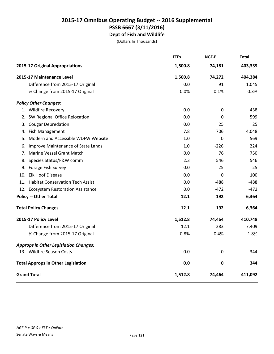# **2015-17 Omnibus Operating Budget -- 2016 Supplemental PSSB 6667 (3/11/2016) Dept of Fish and Wildlife**

|    |                                              | <b>FTEs</b> | NGF-P       | <b>Total</b> |
|----|----------------------------------------------|-------------|-------------|--------------|
|    | 2015-17 Original Appropriations              | 1,500.8     | 74,181      | 403,339      |
|    | 2015-17 Maintenance Level                    | 1,500.8     | 74,272      | 404,384      |
|    | Difference from 2015-17 Original             | 0.0         | 91          | 1,045        |
|    | % Change from 2015-17 Original               | 0.0%        | 0.1%        | 0.3%         |
|    | <b>Policy Other Changes:</b>                 |             |             |              |
|    | 1. Wildfire Recovery                         | 0.0         | 0           | 438          |
|    | 2. SW Regional Office Relocation             | 0.0         | 0           | 599          |
| 3. | <b>Cougar Depredation</b>                    | 0.0         | 25          | 25           |
| 4. | Fish Management                              | 7.8         | 706         | 4,048        |
| 5. | Modern and Accessible WDFW Website           | 1.0         | 0           | 569          |
| 6. | Improve Maintenance of State Lands           | 1.0         | $-226$      | 224          |
| 7. | Marine Vessel Grant Match                    | 0.0         | 76          | 750          |
|    | 8. Species Status/F&W comm                   | 2.3         | 546         | 546          |
|    | 9. Forage Fish Survey                        | 0.0         | 25          | 25           |
|    | 10. Elk Hoof Disease                         | 0.0         | $\mathbf 0$ | 100          |
|    | 11. Habitat Conservation Tech Assist         | 0.0         | $-488$      | $-488$       |
|    | 12. Ecosystem Restoration Assistance         | 0.0         | $-472$      | $-472$       |
|    | <b>Policy -- Other Total</b>                 | 12.1        | 192         | 6,364        |
|    | <b>Total Policy Changes</b>                  | 12.1        | 192         | 6,364        |
|    | 2015-17 Policy Level                         | 1,512.8     | 74,464      | 410,748      |
|    | Difference from 2015-17 Original             | 12.1        | 283         | 7,409        |
|    | % Change from 2015-17 Original               | 0.8%        | 0.4%        | 1.8%         |
|    | <b>Approps in Other Legislation Changes:</b> |             |             |              |
|    | 13. Wildfire Season Costs                    | 0.0         | 0           | 344          |
|    | <b>Total Approps in Other Legislation</b>    | 0.0         | 0           | 344          |
|    | <b>Grand Total</b>                           | 1,512.8     | 74,464      | 411,092      |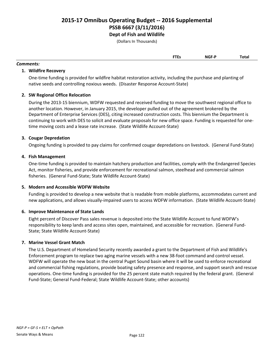# **2015-17 Omnibus Operating Budget -- 2016 Supplemental PSSB 6667 (3/11/2016) Dept of Fish and Wildlife**

(Dollars In Thousands)

| ---<br>. | NGF- <sup>r</sup> | Total |
|----------|-------------------|-------|
|          |                   |       |

# *Comments:*

## **1. Wildfire Recovery**

One-time funding is provided for wildfire habitat restoration activity, including the purchase and planting of native seeds and controlling noxious weeds. (Disaster Response Account-State)

# **2. SW Regional Office Relocation**

During the 2013-15 biennium, WDFW requested and received funding to move the southwest regional office to another location. However, in January 2015, the developer pulled out of the agreement brokered by the Department of Enterprise Services (DES), citing increased construction costs. This biennium the Department is continuing to work with DES to solicit and evaluate proposals for new office space. Funding is requested for onetime moving costs and a lease rate increase. (State Wildlife Account-State)

# **3. Cougar Depredation**

Ongoing funding is provided to pay claims for confirmed cougar depredations on livestock. (General Fund-State)

# **4. Fish Management**

One-time funding is provided to maintain hatchery production and facilities, comply with the Endangered Species Act, monitor fisheries, and provide enforcement for recreational salmon, steelhead and commercial salmon fisheries. (General Fund-State; State Wildlife Account-State)

## **5. Modern and Accessible WDFW Website**

Funding is provided to develop a new website that is readable from mobile platforms, accommodates current and new applications, and allows visually-impaired users to access WDFW information. (State Wildlife Account-State)

## **6. Improve Maintenance of State Lands**

Eight percent of Discover Pass sales revenue is deposited into the State Wildlife Account to fund WDFW's responsibility to keep lands and access sites open, maintained, and accessible for recreation. (General Fund-State; State Wildlife Account-State)

## **7. Marine Vessel Grant Match**

The U.S. Department of Homeland Security recently awarded a grant to the Department of Fish and Wildlife's Enforcement program to replace two aging marine vessels with a new 38-foot command and control vessel. WDFW will operate the new boat in the central Puget Sound basin where it will be used to enforce recreational and commercial fishing regulations, provide boating safety presence and response, and support search and rescue operations. One-time funding is provided for the 25 percent state match required by the federal grant. (General Fund-State; General Fund-Federal; State Wildlife Account-State; other accounts)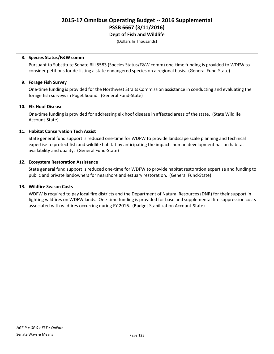(Dollars In Thousands)

### **8. Species Status/F&W comm**

Pursuant to Substitute Senate Bill 5583 (Species Status/F&W comm) one-time funding is provided to WDFW to consider petitions for de-listing a state endangered species on a regional basis. (General Fund-State)

## **9. Forage Fish Survey**

One-time funding is provided for the Northwest Straits Commission assistance in conducting and evaluating the forage fish surveys in Puget Sound. (General Fund-State)

### **10. Elk Hoof Disease**

One-time funding is provided for addressing elk hoof disease in affected areas of the state. (State Wildlife Account-State)

### **11. Habitat Conservation Tech Assist**

State general fund support is reduced one-time for WDFW to provide landscape scale planning and technical expertise to protect fish and wildlife habitat by anticipating the impacts human development has on habitat availability and quality. (General Fund-State)

### **12. Ecosystem Restoration Assistance**

State general fund support is reduced one-time for WDFW to provide habitat restoration expertise and funding to public and private landowners for nearshore and estuary restoration. (General Fund-State)

### **13. Wildfire Season Costs**

WDFW is required to pay local fire districts and the Department of Natural Resources (DNR) for their support in fighting wildfires on WDFW lands. One-time funding is provided for base and supplemental fire suppression costs associated with wildfires occurring during FY 2016. (Budget Stabilization Account-State)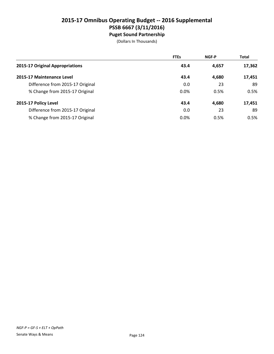# **2015-17 Omnibus Operating Budget -- 2016 Supplemental PSSB 6667 (3/11/2016) Puget Sound Partnership**

|                                  | <b>FTEs</b> | <b>NGF-P</b> | <b>Total</b> |
|----------------------------------|-------------|--------------|--------------|
| 2015-17 Original Appropriations  | 43.4        | 4,657        | 17,362       |
| 2015-17 Maintenance Level        | 43.4        | 4.680        | 17,451       |
| Difference from 2015-17 Original | 0.0         | 23           | 89           |
| % Change from 2015-17 Original   | 0.0%        | 0.5%         | 0.5%         |
| 2015-17 Policy Level             | 43.4        | 4,680        | 17,451       |
| Difference from 2015-17 Original | 0.0         | 23           | 89           |
| % Change from 2015-17 Original   | 0.0%        | 0.5%         | 0.5%         |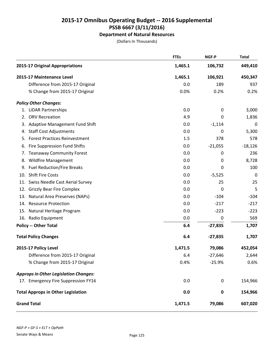# **Department of Natural Resources**

|    |                                              | <b>FTEs</b> | NGF-P     | <b>Total</b> |
|----|----------------------------------------------|-------------|-----------|--------------|
|    | 2015-17 Original Appropriations              | 1,465.1     | 106,732   | 449,410      |
|    | 2015-17 Maintenance Level                    | 1,465.1     | 106,921   | 450,347      |
|    | Difference from 2015-17 Original             | 0.0         | 189       | 937          |
|    | % Change from 2015-17 Original               | 0.0%        | 0.2%      | 0.2%         |
|    | <b>Policy Other Changes:</b>                 |             |           |              |
|    | 1. LiDAR Partnerships                        | 0.0         | 0         | 3,000        |
|    | 2. ORV Recreation                            | 4.9         | 0         | 1,836        |
| 3. | <b>Adaptive Management Fund Shift</b>        | 0.0         | $-1,114$  | 0            |
|    | 4. Staff Cost Adjustments                    | 0.0         | 0         | 5,300        |
|    | 5. Forest Practices Reinvestment             | 1.5         | 378       | 578          |
| 6. | <b>Fire Suppression Fund Shifts</b>          | 0.0         | $-21,055$ | $-18,126$    |
|    | 7. Teanaway Community Forest                 | 0.0         | 0         | 236          |
|    | 8. Wildfire Management                       | 0.0         | 0         | 8,728        |
|    | 9. Fuel Reduction/Fire Breaks                | 0.0         | 0         | 100          |
|    | 10. Shift Fire Costs                         | 0.0         | $-5,525$  | 0            |
|    | 11. Swiss Needle Cast Aerial Survey          | 0.0         | 25        | 25           |
|    | 12. Grizzly Bear Fire Complex                | 0.0         | 0         | 5            |
|    | 13. Natural Area Preserves (NAPs)            | 0.0         | $-104$    | $-104$       |
|    | 14. Resource Protection                      | 0.0         | $-217$    | $-217$       |
|    | 15. Natural Heritage Program                 | 0.0         | $-223$    | $-223$       |
|    | 16. Radio Equipment                          | 0.0         | 0         | 569          |
|    | <b>Policy -- Other Total</b>                 | 6.4         | $-27,835$ | 1,707        |
|    | <b>Total Policy Changes</b>                  | 6.4         | $-27,835$ | 1,707        |
|    | 2015-17 Policy Level                         | 1,471.5     | 79,086    | 452,054      |
|    | Difference from 2015-17 Original             | 6.4         | $-27,646$ | 2,644        |
|    | % Change from 2015-17 Original               | 0.4%        | $-25.9%$  | 0.6%         |
|    | <b>Approps in Other Legislation Changes:</b> |             |           |              |
|    | 17. Emergency Fire Suppression FY16          | 0.0         | 0         | 154,966      |
|    | <b>Total Approps in Other Legislation</b>    | 0.0         | $\pmb{0}$ | 154,966      |
|    | <b>Grand Total</b>                           | 1,471.5     | 79,086    | 607,020      |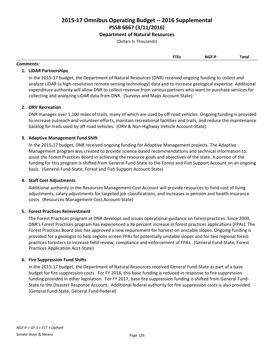# **Department of Natural Resources**

(Dollars In Thousands)

## *Comments:*

## **1. LiDAR Partnerships**

In the 2015-17 budget, the Department of Natural Resources (DNR) received ongoing funding to collect and analyze LiDAR (a high-resolution remote sensing technology) data and to increase geological expertise. Additional expenditure authority will allow DNR to collect revenue from various partners who want to purchase services for collecting and analyzing LiDAR data from DNR. (Surveys and Maps Account-State)

# **2. ORV Recreation**

DNR manages over 1,100 miles of trails, many of which are used by off-road vehicles. Ongoing funding is provided to increase outreach and volunteer efforts, maintain recreational facilities and trails, and reduce the maintenance backlog for trails used by off-road vehicles. (ORV & Non-Highway Vehicle Account-State)

# **3. Adaptive Management Fund Shift**

In the 2015-17 budget, DNR received ongoing funding for Adaptive Management projects. The Adaptive Management program was created to provide science-based recommendations and technical information to assist the Forest Practices Board in achieving the resource goals and objectives of the state. A portion of the funding for this program is shifted from General Fund-State to the Forest and Fish Support Account on an ongoing basis. (General Fund-State; Forest and Fish Support Account-State)

## **4. Staff Cost Adjustments**

Additional authority in the Resources Management Cost Account will provide resources to fund cost of living adjustments, salary adjustments for targeted job classifications, and increases in pension and health insurance costs. (Resources Management Cost Account-State)

## **5. Forest Practices Reinvestment**

The Forest Practices program at DNR develops and issues operational guidance on forest practices. Since 2009, DNR's Forest Practices program has experienced a 36 percent increase in forest practices applications (FPAs). The Forest Practices Board also has approved a new requirement for harvest on unstable slopes. Ongoing funding is provided for a geologist to help regions screen FPAs for potentially unstable slopes and for two regional forest practices foresters to increase field review, compliance and enforcement of FPAs. (General Fund-State; Forest Practices Application Acct-State)

## **6. Fire Suppression Fund Shifts**

In the 2015-17 budget, the Department of Natural Resources received General Fund-State as part of a base budget for fire suppression costs. For FY 2016, this base funding is reduced in response to fire suppression funding provided in other legislation. For FY 2017, base fire suppression funding is shifted from General Fund-State to the Disaster Response Account. Additional federal authority for fire suppression costs is also provided. (General Fund-State; General Fund-Federal)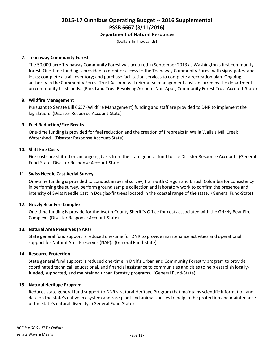# **Department of Natural Resources**

(Dollars In Thousands)

## **7. Teanaway Community Forest**

The 50,000-acre Teanaway Community Forest was acquired in September 2013 as Washington's first community forest. One-time funding is provided to monitor access to the Teanaway Community Forest with signs, gates, and locks; complete a trail inventory; and purchase facilitation services to complete a recreation plan. Ongoing authority in the Community Forest Trust Account will reimburse management costs incurred by the department on community trust lands. (Park Land Trust Revolving Account-Non-Appr; Community Forest Trust Account-State)

### **8. Wildfire Management**

Pursuant to Senate Bill 6657 (Wildfire Management) funding and staff are provided to DNR to implement the legislation. (Disaster Response Account-State)

### **9. Fuel Reduction/Fire Breaks**

One-time funding is provided for fuel reduction and the creation of firebreaks in Walla Walla's Mill Creek Watershed. (Disaster Response Account-State)

### **10. Shift Fire Costs**

Fire costs are shifted on an ongoing basis from the state general fund to the Disaster Response Account. (General Fund-State; Disaster Response Account-State)

### **11. Swiss Needle Cast Aerial Survey**

One-time funding is provided to conduct an aerial survey, train with Oregon and British Columbia for consistency in performing the survey, perform ground sample collection and laboratory work to confirm the presence and intensity of Swiss Needle Cast in Douglas-fir trees located in the coastal range of the state. (General Fund-State)

### **12. Grizzly Bear Fire Complex**

One-time funding is provide for the Asotin County Sheriff's Office for costs associated with the Grizzly Bear Fire Complex. (Disaster Response Account-State)

### **13. Natural Area Preserves (NAPs)**

State general fund support is reduced one-time for DNR to provide maintenance activities and operational support for Natural Area Preserves (NAP). (General Fund-State)

### **14. Resource Protection**

State general fund support is reduced one-time in DNR's Urban and Community Forestry program to provide coordinated technical, educational, and financial assistance to communities and cities to help establish locallyfunded, supported, and maintained urban forestry programs. (General Fund-State)

### **15. Natural Heritage Program**

Reduces state general fund support to DNR's Natural Heritage Program that maintains scientific information and data on the state's native ecosystem and rare plant and animal species to help in the protection and maintenance of the state's natural diversity. (General Fund-State)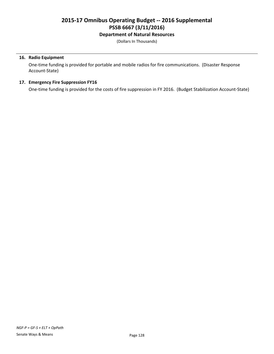# **Department of Natural Resources**

(Dollars In Thousands)

## **16. Radio Equipment**

One-time funding is provided for portable and mobile radios for fire communications. (Disaster Response Account-State)

## **17. Emergency Fire Suppression FY16**

One-time funding is provided for the costs of fire suppression in FY 2016. (Budget Stabilization Account-State)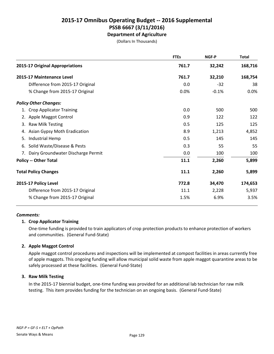# **2015-17 Omnibus Operating Budget -- 2016 Supplemental PSSB 6667 (3/11/2016) Department of Agriculture**

(Dollars In Thousands)

|                                       | <b>FTEs</b> | <b>NGF-P</b> | <b>Total</b> |
|---------------------------------------|-------------|--------------|--------------|
| 2015-17 Original Appropriations       | 761.7       | 32,242       | 168,716      |
| 2015-17 Maintenance Level             | 761.7       | 32,210       | 168,754      |
| Difference from 2015-17 Original      | 0.0         | $-32$        | 38           |
| % Change from 2015-17 Original        | 0.0%        | $-0.1%$      | 0.0%         |
| <b>Policy Other Changes:</b>          |             |              |              |
| 1. Crop Applicator Training           | 0.0         | 500          | 500          |
| 2. Apple Maggot Control               | 0.9         | 122          | 122          |
| Raw Milk Testing<br>3.                | 0.5         | 125          | 125          |
| 4. Asian Gypsy Moth Eradication       | 8.9         | 1,213        | 4,852        |
| Industrial Hemp<br>5.                 | 0.5         | 145          | 145          |
| Solid Waste/Disease & Pests<br>6.     | 0.3         | 55           | 55           |
| 7. Dairy Groundwater Discharge Permit | 0.0         | 100          | 100          |
| <b>Policy -- Other Total</b>          | 11.1        | 2,260        | 5,899        |
| <b>Total Policy Changes</b>           | 11.1        | 2,260        | 5,899        |
| 2015-17 Policy Level                  | 772.8       | 34,470       | 174,653      |
| Difference from 2015-17 Original      | 11.1        | 2,228        | 5,937        |
| % Change from 2015-17 Original        | 1.5%        | 6.9%         | 3.5%         |
|                                       |             |              |              |

### *Comments:*

## **1. Crop Applicator Training**

One-time funding is provided to train applicators of crop protection products to enhance protection of workers and communities. (General Fund-State)

## **2. Apple Maggot Control**

Apple maggot control procedures and inspections will be implemented at compost facilities in areas currently free of apple maggots. This ongoing funding will allow municipal solid waste from apple maggot quarantine areas to be safely processed at these facilities. (General Fund-State)

## **3. Raw Milk Testing**

In the 2015-17 biennial budget, one-time funding was provided for an additional lab technician for raw milk testing. This item provides funding for the technician on an ongoing basis. (General Fund-State)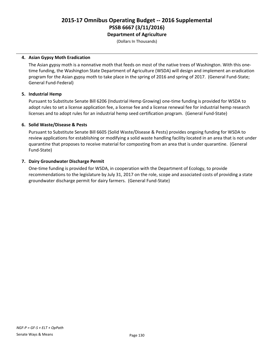# **2015-17 Omnibus Operating Budget -- 2016 Supplemental PSSB 6667 (3/11/2016) Department of Agriculture**

(Dollars In Thousands)

### **4. Asian Gypsy Moth Eradication**

The Asian gypsy moth is a nonnative moth that feeds on most of the native trees of Washington. With this onetime funding, the Washington State Department of Agriculture (WSDA) will design and implement an eradication program for the Asian gypsy moth to take place in the spring of 2016 and spring of 2017. (General Fund-State; General Fund-Federal)

### **5. Industrial Hemp**

Pursuant to Substitute Senate Bill 6206 (Industrial Hemp Growing) one-time funding is provided for WSDA to adopt rules to set a license application fee, a license fee and a license renewal fee for industrial hemp research licenses and to adopt rules for an industrial hemp seed certification program. (General Fund-State)

### **6. Solid Waste/Disease & Pests**

Pursuant to Substitute Senate Bill 6605 (Solid Waste/Disease & Pests) provides ongoing funding for WSDA to review applications for establishing or modifying a solid waste handling facility located in an area that is not under quarantine that proposes to receive material for composting from an area that is under quarantine. (General Fund-State)

### **7. Dairy Groundwater Discharge Permit**

One-time funding is provided for WSDA, in cooperation with the Department of Ecology, to provide recommendations to the legislature by July 31, 2017 on the role, scope and associated costs of providing a state groundwater discharge permit for dairy farmers. (General Fund-State)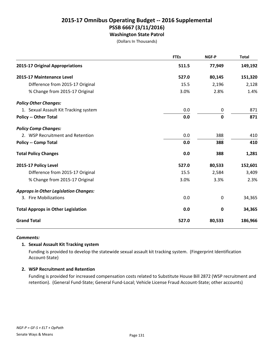# **2015-17 Omnibus Operating Budget -- 2016 Supplemental PSSB 6667 (3/11/2016) Washington State Patrol**

(Dollars In Thousands)

|                                              | <b>FTEs</b> | <b>NGF-P</b> | <b>Total</b> |
|----------------------------------------------|-------------|--------------|--------------|
| 2015-17 Original Appropriations              | 511.5       | 77,949       | 149,192      |
| 2015-17 Maintenance Level                    | 527.0       | 80,145       | 151,320      |
| Difference from 2015-17 Original             | 15.5        | 2,196        | 2,128        |
| % Change from 2015-17 Original               | 3.0%        | 2.8%         | 1.4%         |
| <b>Policy Other Changes:</b>                 |             |              |              |
| 1. Sexual Assault Kit Tracking system        | 0.0         | 0            | 871          |
| <b>Policy -- Other Total</b>                 | 0.0         | 0            | 871          |
| <b>Policy Comp Changes:</b>                  |             |              |              |
| 2. WSP Recruitment and Retention             | 0.0         | 388          | 410          |
| <b>Policy -- Comp Total</b>                  | 0.0         | 388          | 410          |
| <b>Total Policy Changes</b>                  | 0.0         | 388          | 1,281        |
| 2015-17 Policy Level                         | 527.0       | 80,533       | 152,601      |
| Difference from 2015-17 Original             | 15.5        | 2,584        | 3,409        |
| % Change from 2015-17 Original               | 3.0%        | 3.3%         | 2.3%         |
| <b>Approps in Other Legislation Changes:</b> |             |              |              |
| 3. Fire Mobilizations                        | 0.0         | 0            | 34,365       |
| <b>Total Approps in Other Legislation</b>    | 0.0         | 0            | 34,365       |
| <b>Grand Total</b>                           | 527.0       | 80,533       | 186,966      |

### *Comments:*

### **1. Sexual Assault Kit Tracking system**

Funding is provided to develop the statewide sexual assault kit tracking system. (Fingerprint Identification Account-State)

### **2. WSP Recruitment and Retention**

Funding is provided for increased compensation costs related to Substitute House Bill 2872 (WSP recruitment and retention). (General Fund-State; General Fund-Local; Vehicle License Fraud Account-State; other accounts)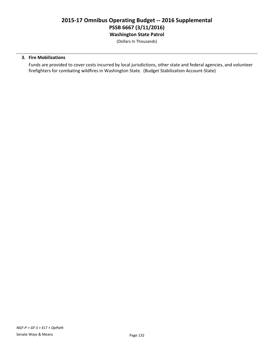# **2015-17 Omnibus Operating Budget -- 2016 Supplemental PSSB 6667 (3/11/2016) Washington State Patrol**

(Dollars In Thousands)

### **3. Fire Mobilizations**

Funds are provided to cover costs incurred by local jurisdictions, other state and federal agencies, and volunteer firefighters for combating wildfires in Washington State. (Budget Stabilization Account-State)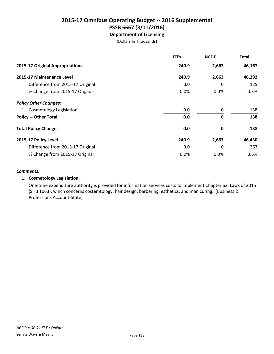# **2015-17 Omnibus Operating Budget -- 2016 Supplemental PSSB 6667 (3/11/2016) Department of Licensing**

(Dollars In Thousands)

|                                  | <b>FTEs</b> | NGF-P | <b>Total</b> |
|----------------------------------|-------------|-------|--------------|
| 2015-17 Original Appropriations  | 240.9       | 2,663 | 46,167       |
| 2015-17 Maintenance Level        | 240.9       | 2,663 | 46,292       |
| Difference from 2015-17 Original | 0.0         | 0     | 125          |
| % Change from 2015-17 Original   | 0.0%        | 0.0%  | 0.3%         |
| <b>Policy Other Changes:</b>     |             |       |              |
| 1. Cosmetology Legislation       | 0.0         | 0     | 138          |
| <b>Policy -- Other Total</b>     | 0.0         | 0     | 138          |
| <b>Total Policy Changes</b>      | 0.0         | 0     | 138          |
| 2015-17 Policy Level             | 240.9       | 2,663 | 46,430       |
| Difference from 2015-17 Original | 0.0         | 0     | 263          |
| % Change from 2015-17 Original   | 0.0%        | 0.0%  | 0.6%         |

### *Comments:*

## **1. Cosmetology Legislation**

One-time expenditure authority is provided for information services costs to implement Chapter 62, Laws of 2015 (SHB 1063), which concerns costemtology, hair design, barbering, esthetics, and manicuring. (Business & Professions Account-State)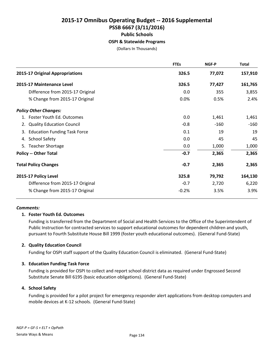# **2015-17 Omnibus Operating Budget -- 2016 Supplemental PSSB 6667 (3/11/2016) Public Schools OSPI & Statewide Programs**

(Dollars In Thousands)

|                                           | <b>FTEs</b> | NGF-P  | <b>Total</b> |
|-------------------------------------------|-------------|--------|--------------|
| 2015-17 Original Appropriations           | 326.5       | 77,072 | 157,910      |
| 2015-17 Maintenance Level                 | 326.5       | 77,427 | 161,765      |
| Difference from 2015-17 Original          | 0.0         | 355    | 3,855        |
| % Change from 2015-17 Original            | 0.0%        | 0.5%   | 2.4%         |
| <b>Policy Other Changes:</b>              |             |        |              |
| 1. Foster Youth Ed. Outcomes              | 0.0         | 1,461  | 1,461        |
| 2. Quality Education Council              | $-0.8$      | $-160$ | $-160$       |
| <b>Education Funding Task Force</b><br>3. | 0.1         | 19     | 19           |
| 4. School Safety                          | 0.0         | 45     | 45           |
| 5. Teacher Shortage                       | 0.0         | 1,000  | 1,000        |
| <b>Policy -- Other Total</b>              | $-0.7$      | 2,365  | 2,365        |
| <b>Total Policy Changes</b>               | $-0.7$      | 2,365  | 2,365        |
| 2015-17 Policy Level                      | 325.8       | 79,792 | 164,130      |
| Difference from 2015-17 Original          | $-0.7$      | 2,720  | 6,220        |
| % Change from 2015-17 Original            | $-0.2%$     | 3.5%   | 3.9%         |

### *Comments:*

## **1. Foster Youth Ed. Outcomes**

Funding is transferred from the Department of Social and Health Services to the Office of the Superintendent of Public Instruction for contracted services to support educational outcomes for dependent children and youth, pursuant to Fourth Substitute House Bill 1999 (foster youth educational outcomes). (General Fund-State)

## **2. Quality Education Council**

Funding for OSPI staff support of the Quality Education Council is eliminated. (General Fund-State)

## **3. Education Funding Task Force**

Funding is provided for OSPI to collect and report school district data as required under Engrossed Second Substitute Senate Bill 6195 (basic education obligations). (General Fund-State)

### **4. School Safety**

Funding is provided for a pilot project for emergency responder alert applications from desktop computers and mobile devices at K-12 schools. (General Fund-State)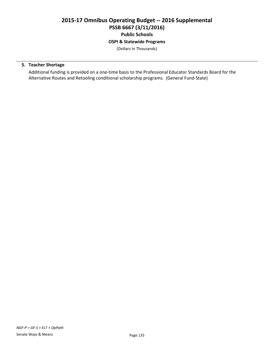# **2015-17 Omnibus Operating Budget -- 2016 Supplemental PSSB 6667 (3/11/2016) Public Schools OSPI & Statewide Programs**

(Dollars In Thousands)

# **5. Teacher Shortage**

Additional funding is provided on a one-time basis to the Professional Educator Standards Board for the Alternative Routes and Retooling conditional scholarship programs. (General Fund-State)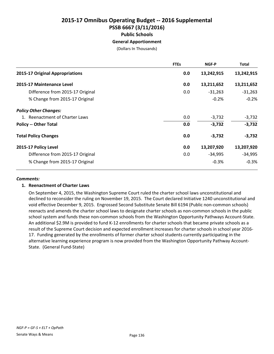# **2015-17 Omnibus Operating Budget -- 2016 Supplemental PSSB 6667 (3/11/2016) Public Schools General Apportionment**

(Dollars In Thousands)

|                                  | <b>FTEs</b> | NGF-P      | <b>Total</b> |
|----------------------------------|-------------|------------|--------------|
| 2015-17 Original Appropriations  | 0.0         | 13,242,915 | 13,242,915   |
| 2015-17 Maintenance Level        | 0.0         | 13,211,652 | 13,211,652   |
| Difference from 2015-17 Original | 0.0         | $-31,263$  | $-31,263$    |
| % Change from 2015-17 Original   |             | $-0.2%$    | $-0.2%$      |
| <b>Policy Other Changes:</b>     |             |            |              |
| 1. Reenactment of Charter Laws   | 0.0         | $-3,732$   | $-3,732$     |
| <b>Policy -- Other Total</b>     | 0.0         | $-3,732$   | $-3,732$     |
| <b>Total Policy Changes</b>      | 0.0         | $-3,732$   | $-3,732$     |
| 2015-17 Policy Level             | 0.0         | 13,207,920 | 13,207,920   |
| Difference from 2015-17 Original | 0.0         | -34,995    | $-34,995$    |
| % Change from 2015-17 Original   |             | $-0.3%$    | $-0.3%$      |

### *Comments:*

## **1. Reenactment of Charter Laws**

On September 4, 2015, the Washington Supreme Court ruled the charter school laws unconstitutional and declined to reconsider the ruling on November 19, 2015. The Court declared Initiative 1240 unconstitutional and void effective December 9, 2015. Engrossed Second Substitute Senate Bill 6194 (Public non-common schools) reenacts and amends the charter school laws to designate charter schools as non-common schools in the public school system and funds these non-common schools from the Washington Opportunity Pathways Account-State. An additional \$2.9M is provided to fund K-12 enrollments for charter schools that became private schools as a result of the Supreme Court decision and expected enrollment increases for charter schools in school year 2016- 17. Funding generated by the enrollments of former charter school students currently participating in the alternative learning experience program is now provided from the Washington Opportunity Pathway Account-State. (General Fund-State)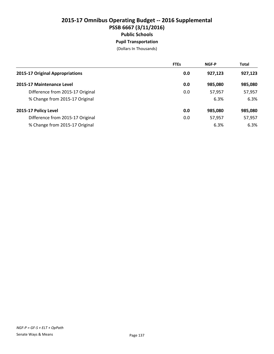# **2015-17 Omnibus Operating Budget -- 2016 Supplemental PSSB 6667 (3/11/2016) Public Schools Pupil Transportation**

|                                  | <b>FTEs</b> | <b>NGF-P</b> | <b>Total</b> |
|----------------------------------|-------------|--------------|--------------|
| 2015-17 Original Appropriations  | 0.0         | 927,123      | 927,123      |
| 2015-17 Maintenance Level        | 0.0         | 985,080      | 985,080      |
| Difference from 2015-17 Original | 0.0         | 57,957       | 57,957       |
| % Change from 2015-17 Original   |             | 6.3%         | 6.3%         |
| 2015-17 Policy Level             | 0.0         | 985,080      | 985,080      |
| Difference from 2015-17 Original | 0.0         | 57,957       | 57,957       |
| % Change from 2015-17 Original   |             | 6.3%         | 6.3%         |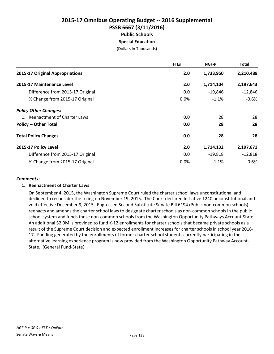# **2015-17 Omnibus Operating Budget -- 2016 Supplemental PSSB 6667 (3/11/2016) Public Schools Special Education**

(Dollars In Thousands)

|                                  | <b>FTEs</b> | <b>NGF-P</b> | Total     |
|----------------------------------|-------------|--------------|-----------|
| 2015-17 Original Appropriations  | 2.0         | 1,733,950    | 2,210,489 |
| 2015-17 Maintenance Level        | 2.0         | 1,714,104    | 2,197,643 |
| Difference from 2015-17 Original | 0.0         | -19,846      | $-12,846$ |
| % Change from 2015-17 Original   | 0.0%        | $-1.1%$      | $-0.6%$   |
| <b>Policy Other Changes:</b>     |             |              |           |
| 1. Reenactment of Charter Laws   | 0.0         | 28           | 28        |
| <b>Policy -- Other Total</b>     | 0.0         | 28           | 28        |
| <b>Total Policy Changes</b>      | 0.0         | 28           | 28        |
| 2015-17 Policy Level             | 2.0         | 1,714,132    | 2,197,671 |
| Difference from 2015-17 Original | 0.0         | $-19,818$    | $-12,818$ |
| % Change from 2015-17 Original   | $0.0\%$     | $-1.1%$      | $-0.6%$   |

### *Comments:*

## **1. Reenactment of Charter Laws**

On September 4, 2015, the Washington Supreme Court ruled the charter school laws unconstitutional and declined to reconsider the ruling on November 19, 2015. The Court declared Initiative 1240 unconstitutional and void effective December 9, 2015. Engrossed Second Substitute Senate Bill 6194 (Public non-common schools) reenacts and amends the charter school laws to designate charter schools as non-common schools in the public school system and funds these non-common schools from the Washington Opportunity Pathways Account-State. An additional \$2.9M is provided to fund K-12 enrollments for charter schools that became private schools as a result of the Supreme Court decision and expected enrollment increases for charter schools in school year 2016- 17. Funding generated by the enrollments of former charter school students currently participating in the alternative learning experience program is now provided from the Washington Opportunity Pathway Account-State. (General Fund-State)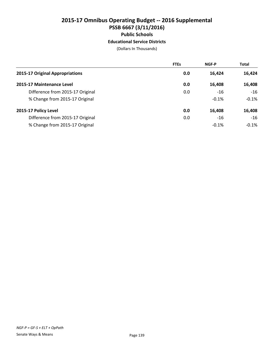# **2015-17 Omnibus Operating Budget -- 2016 Supplemental PSSB 6667 (3/11/2016) Public Schools Educational Service Districts**

|                                  | <b>FTEs</b> | <b>NGF-P</b> | <b>Total</b> |
|----------------------------------|-------------|--------------|--------------|
| 2015-17 Original Appropriations  | 0.0         | 16,424       | 16,424       |
| 2015-17 Maintenance Level        | 0.0         | 16,408       | 16,408       |
| Difference from 2015-17 Original | 0.0         | -16          | $-16$        |
| % Change from 2015-17 Original   |             | $-0.1%$      | $-0.1%$      |
| 2015-17 Policy Level             | 0.0         | 16,408       | 16,408       |
| Difference from 2015-17 Original | 0.0         | $-16$        | $-16$        |
| % Change from 2015-17 Original   |             | $-0.1%$      | $-0.1%$      |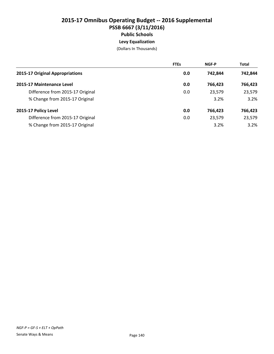# **2015-17 Omnibus Operating Budget -- 2016 Supplemental PSSB 6667 (3/11/2016) Public Schools Levy Equalization**

|                                  | <b>FTEs</b> | <b>NGF-P</b> | <b>Total</b> |
|----------------------------------|-------------|--------------|--------------|
| 2015-17 Original Appropriations  | 0.0         | 742.844      | 742,844      |
| 2015-17 Maintenance Level        | 0.0         | 766.423      | 766,423      |
| Difference from 2015-17 Original | 0.0         | 23,579       | 23,579       |
| % Change from 2015-17 Original   |             | 3.2%         | 3.2%         |
| 2015-17 Policy Level             | 0.0         | 766.423      | 766,423      |
| Difference from 2015-17 Original | 0.0         | 23,579       | 23,579       |
| % Change from 2015-17 Original   |             | 3.2%         | 3.2%         |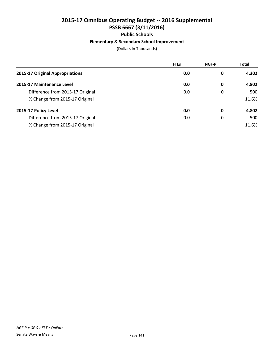# **Elementary & Secondary School Improvement**

|                                  | <b>FTEs</b> | <b>NGF-P</b> | <b>Total</b> |
|----------------------------------|-------------|--------------|--------------|
| 2015-17 Original Appropriations  | 0.0         | 0            | 4,302        |
| 2015-17 Maintenance Level        | 0.0         | 0            | 4,802        |
| Difference from 2015-17 Original | 0.0         | 0            | 500          |
| % Change from 2015-17 Original   |             |              | 11.6%        |
| 2015-17 Policy Level             | 0.0         | 0            | 4,802        |
| Difference from 2015-17 Original | 0.0         | 0            | 500          |
| % Change from 2015-17 Original   |             |              | 11.6%        |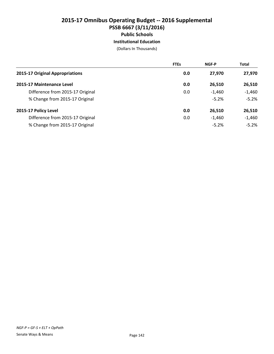**Institutional Education**

|                                  | <b>FTEs</b> | <b>NGF-P</b> | <b>Total</b> |
|----------------------------------|-------------|--------------|--------------|
| 2015-17 Original Appropriations  | 0.0         | 27.970       | 27,970       |
| 2015-17 Maintenance Level        | 0.0         | 26,510       | 26,510       |
| Difference from 2015-17 Original | 0.0         | $-1,460$     | $-1,460$     |
| % Change from 2015-17 Original   |             | $-5.2%$      | $-5.2%$      |
| 2015-17 Policy Level             | 0.0         | 26,510       | 26,510       |
| Difference from 2015-17 Original | 0.0         | $-1,460$     | $-1,460$     |
| % Change from 2015-17 Original   |             | $-5.2%$      | $-5.2%$      |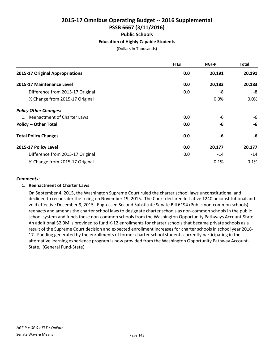# **2015-17 Omnibus Operating Budget -- 2016 Supplemental PSSB 6667 (3/11/2016) Public Schools Education of Highly Capable Students**

(Dollars In Thousands)

|                                  | <b>FTEs</b> | NGF-P   | <b>Total</b> |
|----------------------------------|-------------|---------|--------------|
| 2015-17 Original Appropriations  | 0.0         | 20,191  | 20,191       |
| 2015-17 Maintenance Level        | 0.0         | 20,183  | 20,183       |
| Difference from 2015-17 Original | 0.0         | -8      | -8           |
| % Change from 2015-17 Original   |             | 0.0%    | 0.0%         |
| <b>Policy Other Changes:</b>     |             |         |              |
| 1. Reenactment of Charter Laws   | 0.0         | -6      | -6           |
| <b>Policy -- Other Total</b>     | 0.0         | -6      | -6           |
| <b>Total Policy Changes</b>      | 0.0         | -6      | -6           |
| 2015-17 Policy Level             | 0.0         | 20,177  | 20,177       |
| Difference from 2015-17 Original | 0.0         | $-14$   | $-14$        |
| % Change from 2015-17 Original   |             | $-0.1%$ | $-0.1%$      |

#### *Comments:*

## **1. Reenactment of Charter Laws**

On September 4, 2015, the Washington Supreme Court ruled the charter school laws unconstitutional and declined to reconsider the ruling on November 19, 2015. The Court declared Initiative 1240 unconstitutional and void effective December 9, 2015. Engrossed Second Substitute Senate Bill 6194 (Public non-common schools) reenacts and amends the charter school laws to designate charter schools as non-common schools in the public school system and funds these non-common schools from the Washington Opportunity Pathways Account-State. An additional \$2.9M is provided to fund K-12 enrollments for charter schools that became private schools as a result of the Supreme Court decision and expected enrollment increases for charter schools in school year 2016- 17. Funding generated by the enrollments of former charter school students currently participating in the alternative learning experience program is now provided from the Washington Opportunity Pathway Account-State. (General Fund-State)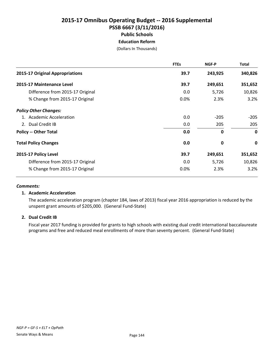# **2015-17 Omnibus Operating Budget -- 2016 Supplemental PSSB 6667 (3/11/2016) Public Schools Education Reform**

(Dollars In Thousands)

|                                  | <b>FTEs</b> | <b>NGF-P</b> | <b>Total</b> |
|----------------------------------|-------------|--------------|--------------|
| 2015-17 Original Appropriations  | 39.7        | 243,925      | 340,826      |
| 2015-17 Maintenance Level        | 39.7        | 249,651      | 351,652      |
| Difference from 2015-17 Original | 0.0         | 5,726        | 10,826       |
| % Change from 2015-17 Original   | 0.0%        | 2.3%         | 3.2%         |
| <b>Policy Other Changes:</b>     |             |              |              |
| 1. Academic Acceleration         | 0.0         | $-205$       | $-205$       |
| 2. Dual Credit IB                | 0.0         | 205          | 205          |
| <b>Policy -- Other Total</b>     | 0.0         | $\mathbf{0}$ | $\mathbf 0$  |
| <b>Total Policy Changes</b>      | 0.0         | 0            | $\mathbf 0$  |
| 2015-17 Policy Level             | 39.7        | 249,651      | 351,652      |
| Difference from 2015-17 Original | 0.0         | 5,726        | 10,826       |
| % Change from 2015-17 Original   | 0.0%        | 2.3%         | 3.2%         |

#### *Comments:*

## **1. Academic Acceleration**

The academic acceleration program (chapter 184, laws of 2013) fiscal year 2016 appropriation is reduced by the unspent grant amounts of \$205,000. (General Fund-State)

## **2. Dual Credit IB**

Fiscal year 2017 funding is provided for grants to high schools with existing dual credit international baccalaureate programs and free and reduced meal enrollments of more than seventy percent. (General Fund-State)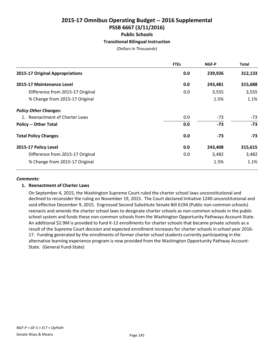# **2015-17 Omnibus Operating Budget -- 2016 Supplemental PSSB 6667 (3/11/2016) Public Schools Transitional Bilingual Instruction**

(Dollars In Thousands)

|                                  | <b>FTEs</b> | NGF-P   | <b>Total</b> |
|----------------------------------|-------------|---------|--------------|
| 2015-17 Original Appropriations  | 0.0         | 239,926 | 312,133      |
| 2015-17 Maintenance Level        | 0.0         | 243,481 | 315,688      |
| Difference from 2015-17 Original | 0.0         | 3,555   | 3,555        |
| % Change from 2015-17 Original   |             | 1.5%    | 1.1%         |
| <b>Policy Other Changes:</b>     |             |         |              |
| 1. Reenactment of Charter Laws   | 0.0         | $-73$   | $-73$        |
| <b>Policy -- Other Total</b>     | 0.0         | $-73$   | $-73$        |
| <b>Total Policy Changes</b>      | 0.0         | -73     | $-73$        |
| 2015-17 Policy Level             | 0.0         | 243,408 | 315,615      |
| Difference from 2015-17 Original | 0.0         | 3,482   | 3,482        |
| % Change from 2015-17 Original   |             | 1.5%    | 1.1%         |

#### *Comments:*

## **1. Reenactment of Charter Laws**

On September 4, 2015, the Washington Supreme Court ruled the charter school laws unconstitutional and declined to reconsider the ruling on November 19, 2015. The Court declared Initiative 1240 unconstitutional and void effective December 9, 2015. Engrossed Second Substitute Senate Bill 6194 (Public non-common schools) reenacts and amends the charter school laws to designate charter schools as non-common schools in the public school system and funds these non-common schools from the Washington Opportunity Pathways Account-State. An additional \$2.9M is provided to fund K-12 enrollments for charter schools that became private schools as a result of the Supreme Court decision and expected enrollment increases for charter schools in school year 2016- 17. Funding generated by the enrollments of former charter school students currently participating in the alternative learning experience program is now provided from the Washington Opportunity Pathway Account-State. (General Fund-State)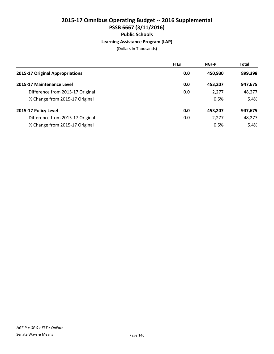# **2015-17 Omnibus Operating Budget -- 2016 Supplemental PSSB 6667 (3/11/2016) Public Schools Learning Assistance Program (LAP)**

|                                  | <b>FTEs</b> | <b>NGF-P</b> | <b>Total</b> |
|----------------------------------|-------------|--------------|--------------|
| 2015-17 Original Appropriations  | 0.0         | 450.930      | 899,398      |
| 2015-17 Maintenance Level        | 0.0         | 453,207      | 947,675      |
| Difference from 2015-17 Original | 0.0         | 2,277        | 48,277       |
| % Change from 2015-17 Original   |             | 0.5%         | 5.4%         |
| 2015-17 Policy Level             | 0.0         | 453,207      | 947,675      |
| Difference from 2015-17 Original | 0.0         | 2,277        | 48,277       |
| % Change from 2015-17 Original   |             | 0.5%         | 5.4%         |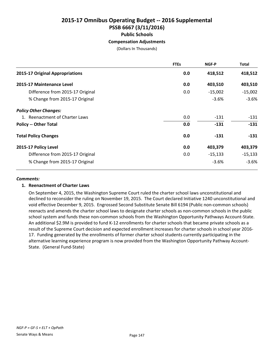# **2015-17 Omnibus Operating Budget -- 2016 Supplemental PSSB 6667 (3/11/2016) Public Schools Compensation Adjustments**

(Dollars In Thousands)

|                                  | <b>FTEs</b> | NGF-P     | <b>Total</b> |
|----------------------------------|-------------|-----------|--------------|
| 2015-17 Original Appropriations  | 0.0         | 418,512   | 418,512      |
| 2015-17 Maintenance Level        | 0.0         | 403,510   | 403,510      |
| Difference from 2015-17 Original | 0.0         | $-15,002$ | $-15,002$    |
| % Change from 2015-17 Original   |             | $-3.6%$   | $-3.6%$      |
| <b>Policy Other Changes:</b>     |             |           |              |
| 1. Reenactment of Charter Laws   | 0.0         | $-131$    | $-131$       |
| <b>Policy -- Other Total</b>     | 0.0         | $-131$    | $-131$       |
| <b>Total Policy Changes</b>      | 0.0         | $-131$    | $-131$       |
| 2015-17 Policy Level             | 0.0         | 403,379   | 403,379      |
| Difference from 2015-17 Original | 0.0         | $-15,133$ | $-15,133$    |
| % Change from 2015-17 Original   |             | $-3.6%$   | $-3.6%$      |

#### *Comments:*

## **1. Reenactment of Charter Laws**

On September 4, 2015, the Washington Supreme Court ruled the charter school laws unconstitutional and declined to reconsider the ruling on November 19, 2015. The Court declared Initiative 1240 unconstitutional and void effective December 9, 2015. Engrossed Second Substitute Senate Bill 6194 (Public non-common schools) reenacts and amends the charter school laws to designate charter schools as non-common schools in the public school system and funds these non-common schools from the Washington Opportunity Pathways Account-State. An additional \$2.9M is provided to fund K-12 enrollments for charter schools that became private schools as a result of the Supreme Court decision and expected enrollment increases for charter schools in school year 2016- 17. Funding generated by the enrollments of former charter school students currently participating in the alternative learning experience program is now provided from the Washington Opportunity Pathway Account-State. (General Fund-State)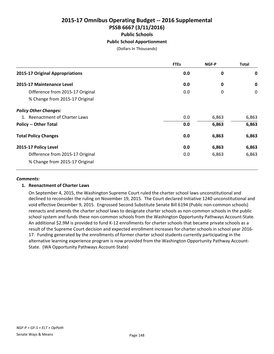# **2015-17 Omnibus Operating Budget -- 2016 Supplemental PSSB 6667 (3/11/2016) Public Schools Public School Apportionment**

(Dollars In Thousands)

|                                  | <b>FTEs</b> | NGF-P | <b>Total</b> |
|----------------------------------|-------------|-------|--------------|
| 2015-17 Original Appropriations  | 0.0         | 0     | 0            |
| 2015-17 Maintenance Level        | 0.0         | 0     | $\mathbf 0$  |
| Difference from 2015-17 Original | 0.0         | 0     | $\mathbf 0$  |
| % Change from 2015-17 Original   |             |       |              |
| <b>Policy Other Changes:</b>     |             |       |              |
| 1. Reenactment of Charter Laws   | 0.0         | 6,863 | 6,863        |
| <b>Policy -- Other Total</b>     | 0.0         | 6,863 | 6,863        |
| <b>Total Policy Changes</b>      | 0.0         | 6,863 | 6,863        |
| 2015-17 Policy Level             | 0.0         | 6,863 | 6,863        |
| Difference from 2015-17 Original | 0.0         | 6,863 | 6,863        |
| % Change from 2015-17 Original   |             |       |              |

#### *Comments:*

## **1. Reenactment of Charter Laws**

On September 4, 2015, the Washington Supreme Court ruled the charter school laws unconstitutional and declined to reconsider the ruling on November 19, 2015. The Court declared Initiative 1240 unconstitutional and void effective December 9, 2015. Engrossed Second Substitute Senate Bill 6194 (Public non-common schools) reenacts and amends the charter school laws to designate charter schools as non-common schools in the public school system and funds these non-common schools from the Washington Opportunity Pathways Account-State. An additional \$2.9M is provided to fund K-12 enrollments for charter schools that became private schools as a result of the Supreme Court decision and expected enrollment increases for charter schools in school year 2016- 17. Funding generated by the enrollments of former charter school students currently participating in the alternative learning experience program is now provided from the Washington Opportunity Pathway Account-State. (WA Opportunity Pathways Account-State)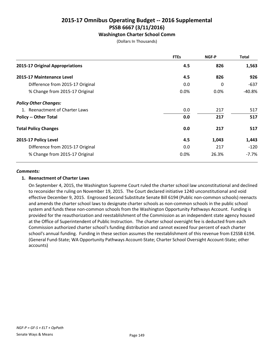## **Washington Charter School Comm**

(Dollars In Thousands)

|                                  | <b>FTEs</b> | NGF-P | <b>Total</b> |
|----------------------------------|-------------|-------|--------------|
| 2015-17 Original Appropriations  | 4.5         | 826   | 1,563        |
| 2015-17 Maintenance Level        | 4.5         | 826   | 926          |
| Difference from 2015-17 Original | 0.0         | 0     | -637         |
| % Change from 2015-17 Original   | $0.0\%$     | 0.0%  | -40.8%       |
| <b>Policy Other Changes:</b>     |             |       |              |
| 1. Reenactment of Charter Laws   | 0.0         | 217   | 517          |
| <b>Policy -- Other Total</b>     | 0.0         | 217   | 517          |
| <b>Total Policy Changes</b>      | 0.0         | 217   | 517          |
| 2015-17 Policy Level             | 4.5         | 1,043 | 1,443        |
| Difference from 2015-17 Original | 0.0         | 217   | $-120$       |
| % Change from 2015-17 Original   | 0.0%        | 26.3% | $-7.7%$      |

#### *Comments:*

## **1. Reenactment of Charter Laws**

On September 4, 2015, the Washington Supreme Court ruled the charter school law unconstitutional and declined to reconsider the ruling on November 19, 2015. The Court declared initiative 1240 unconstitutional and void effective December 9, 2015. Engrossed Second Substitute Senate Bill 6194 (Public non-common schools) reenacts and amends the charter school laws to designate charter schools as non-common schools in the public school system and funds these non-common schools from the Washington Opportunity Pathways Account. Funding is provided for the reauthorization and reestablishment of the Commission as an independent state agency housed at the Office of Superintendent of Public Instruction. The charter school oversight fee is deducted from each Commission authorized charter school's funding distribution and cannot exceed four percent of each charter school's annual funding. Funding in these section assumes the reestablishment of this revenue from E2SSB 6194. (General Fund-State; WA Opportunity Pathways Account-State; Charter School Oversight Account-State; other accounts)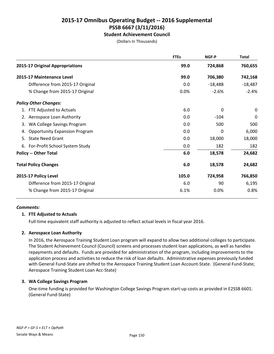## **Student Achievement Council**

(Dollars In Thousands)

|                                            | <b>FTEs</b> | <b>NGF-P</b> | <b>Total</b> |
|--------------------------------------------|-------------|--------------|--------------|
| 2015-17 Original Appropriations            | 99.0        | 724,868      | 760,655      |
| 2015-17 Maintenance Level                  | 99.0        | 706,380      | 742,168      |
| Difference from 2015-17 Original           | 0.0         | $-18,488$    | $-18,487$    |
| % Change from 2015-17 Original             | 0.0%        | $-2.6%$      | $-2.4%$      |
| <b>Policy Other Changes:</b>               |             |              |              |
| 1. FTE Adjusted to Actuals                 | 6.0         | 0            | 0            |
| 2. Aerospace Loan Authority                | 0.0         | $-104$       | 0            |
| WA College Savings Program<br>3.           | 0.0         | 500          | 500          |
| <b>Opportunity Expansion Program</b><br>4. | 0.0         | $\Omega$     | 6,000        |
| <b>State Need Grant</b><br>5.              | 0.0         | 18,000       | 18,000       |
| 6. For-Profit School System Study          | 0.0         | 182          | 182          |
| <b>Policy -- Other Total</b>               | 6.0         | 18,578       | 24,682       |
| <b>Total Policy Changes</b>                | 6.0         | 18,578       | 24,682       |
| 2015-17 Policy Level                       | 105.0       | 724,958      | 766,850      |
| Difference from 2015-17 Original           | 6.0         | 90           | 6,195        |
| % Change from 2015-17 Original             | 6.1%        | 0.0%         | 0.8%         |
|                                            |             |              |              |

#### *Comments:*

## **1. FTE Adjusted to Actuals**

Full-time equivalent staff authority is adjusted to reflect actual levels in fiscal year 2016.

## **2. Aerospace Loan Authority**

In 2016, the Aerospace Training Student Loan program will expand to allow two additional colleges to participate. The Student Achievement Council (Council) screens and processes student loan applications, as well as handles repayments and defaults. Funds are provided for administration of the program, including improvements to the application process and activities to reduce the risk of loan defaults. Administrative expenses previously funded with General Fund-State are shifted to the Aerospace Training Student Loan Account-State. (General Fund-State; Aerospace Training Student Loan Acc-State)

## **3. WA College Savings Program**

One-time funding is provided for Washington College Savings Program start-up costs as provided in E2SSB 6601. (General Fund-State)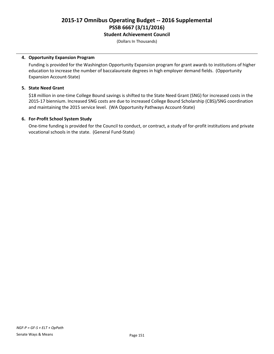## **Student Achievement Council**

(Dollars In Thousands)

## **4. Opportunity Expansion Program**

Funding is provided for the Washington Opportunity Expansion program for grant awards to institutions of higher education to increase the number of baccalaureate degrees in high employer demand fields. (Opportunity Expansion Account-State)

#### **5. State Need Grant**

\$18 million in one-time College Bound savings is shifted to the State Need Grant (SNG) for increased costs in the 2015-17 biennium. Increased SNG costs are due to increased College Bound Scholarship (CBS)/SNG coordination and maintaining the 2015 service level. (WA Opportunity Pathways Account-State)

#### **6. For-Profit School System Study**

One-time funding is provided for the Council to conduct, or contract, a study of for-profit institutions and private vocational schools in the state. (General Fund-State)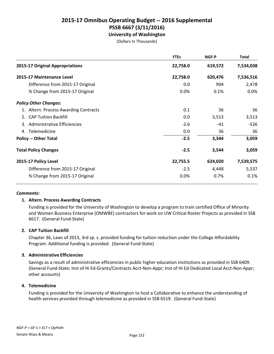# **2015-17 Omnibus Operating Budget -- 2016 Supplemental PSSB 6667 (3/11/2016) University of Washington**

(Dollars In Thousands)

|                                       | <b>FTEs</b> | <b>NGF-P</b> | <b>Total</b> |
|---------------------------------------|-------------|--------------|--------------|
| 2015-17 Original Appropriations       | 22,758.0    | 619,572      | 7,534,038    |
| 2015-17 Maintenance Level             | 22,758.0    | 620,476      | 7,536,516    |
| Difference from 2015-17 Original      | 0.0         | 904          | 2,478        |
| % Change from 2015-17 Original        | 0.0%        | 0.1%         | 0.0%         |
| <b>Policy Other Changes:</b>          |             |              |              |
| 1. Altern. Process Awarding Contracts | 0.1         | 36           | 36           |
| 2. CAP Tuition Backfill               | 0.0         | 3,513        | 3,513        |
| Administrative Efficiencies<br>3.     | $-2.6$      | -41          | $-526$       |
| 4. Telemedicine                       | 0.0         | 36           | 36           |
| <b>Policy -- Other Total</b>          | $-2.5$      | 3,544        | 3,059        |
| <b>Total Policy Changes</b>           | $-2.5$      | 3,544        | 3,059        |
| 2015-17 Policy Level                  | 22,755.5    | 624,020      | 7,539,575    |
| Difference from 2015-17 Original      | $-2.5$      | 4,448        | 5,537        |
| % Change from 2015-17 Original        | 0.0%        | 0.7%         | 0.1%         |

#### *Comments:*

## **1. Altern. Process Awarding Contracts**

Funding is provided for the University of Washington to develop a program to train certified Office of Minority and Women Business Enterprise (OMWBE) contractors for work on UW Critical Roster Projects as provided in SSB 6617. (General Fund-State)

## **2. CAP Tuition Backfill**

Chapter 36, Laws of 2015, 3rd sp. s. provided funding for tuition reduction under the College Affordability Program. Additional funding is provided. (General Fund-State)

#### **3. Administrative Efficiencies**

Savings as a result of administrative efficiencies in public higher education institutions as provided in SSB 6409. (General Fund-State; Inst of Hi Ed-Grants/Contracts Acct-Non-Appr; Inst of Hi Ed-Dedicated Local Acct-Non-Appr; other accounts)

#### **4. Telemedicine**

Funding is provided for the University of Washington to host a Collaborative to enhance the understanding of health services provided through telemedicine as provided in SSB 6519. (General Fund-State)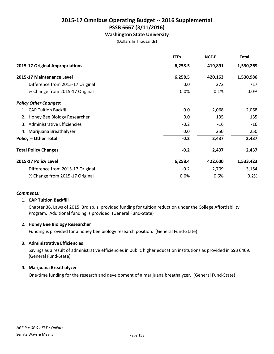**Washington State University**

(Dollars In Thousands)

|                                  | <b>FTEs</b> | NGF-P   | <b>Total</b> |
|----------------------------------|-------------|---------|--------------|
| 2015-17 Original Appropriations  | 6,258.5     | 419,891 | 1,530,269    |
| 2015-17 Maintenance Level        | 6,258.5     | 420,163 | 1,530,986    |
| Difference from 2015-17 Original | 0.0         | 272     | 717          |
| % Change from 2015-17 Original   | 0.0%        | 0.1%    | 0.0%         |
| <b>Policy Other Changes:</b>     |             |         |              |
| <b>CAP Tuition Backfill</b>      | 0.0         | 2,068   | 2,068        |
| 2. Honey Bee Biology Researcher  | 0.0         | 135     | 135          |
| 3. Administrative Efficiencies   | $-0.2$      | $-16$   | $-16$        |
| 4. Marijuana Breathalyzer        | 0.0         | 250     | 250          |
| <b>Policy -- Other Total</b>     | $-0.2$      | 2,437   | 2,437        |
| <b>Total Policy Changes</b>      | $-0.2$      | 2,437   | 2,437        |
| 2015-17 Policy Level             | 6,258.4     | 422,600 | 1,533,423    |
| Difference from 2015-17 Original | $-0.2$      | 2,709   | 3,154        |
| % Change from 2015-17 Original   | 0.0%        | 0.6%    | 0.2%         |

#### *Comments:*

#### **1. CAP Tuition Backfill**

Chapter 36, Laws of 2015, 3rd sp. s. provided funding for tuition reduction under the College Affordability Program. Additional funding is provided (General Fund-State)

#### **2. Honey Bee Biology Researcher**

Funding is provided for a honey bee biology research position. (General Fund-State)

#### **3. Administrative Efficiencies**

Savings as a result of administrative efficiencies in public higher education institutions as provided in SSB 6409. (General Fund-State)

#### **4. Marijuana Breathalyzer**

One-time funding for the research and development of a marijuana breathalyzer. (General Fund-State)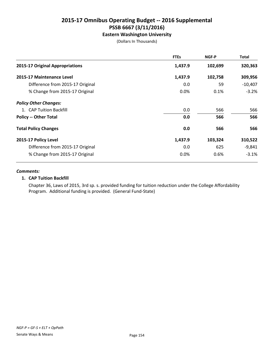## **Eastern Washington University**

(Dollars In Thousands)

|                                  | <b>FTEs</b> | NGF-P   | Total     |
|----------------------------------|-------------|---------|-----------|
| 2015-17 Original Appropriations  | 1,437.9     | 102,699 | 320,363   |
| 2015-17 Maintenance Level        | 1,437.9     | 102,758 | 309,956   |
| Difference from 2015-17 Original | 0.0         | 59      | $-10,407$ |
| % Change from 2015-17 Original   | 0.0%        | 0.1%    | $-3.2%$   |
| <b>Policy Other Changes:</b>     |             |         |           |
| 1. CAP Tuition Backfill          | 0.0         | 566     | 566       |
| <b>Policy -- Other Total</b>     | 0.0         | 566     | 566       |
| <b>Total Policy Changes</b>      | 0.0         | 566     | 566       |
| 2015-17 Policy Level             | 1,437.9     | 103,324 | 310,522   |
| Difference from 2015-17 Original | 0.0         | 625     | $-9,841$  |
| % Change from 2015-17 Original   | 0.0%        | 0.6%    | $-3.1%$   |

#### *Comments:*

#### **1. CAP Tuition Backfill**

Chapter 36, Laws of 2015, 3rd sp. s. provided funding for tuition reduction under the College Affordability Program. Additional funding is provided. (General Fund-State)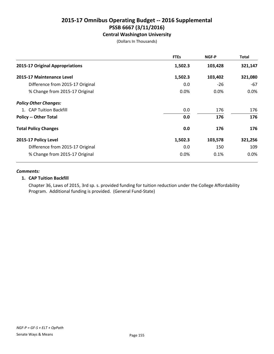**Central Washington University**

(Dollars In Thousands)

|                                  | <b>FTEs</b> | NGF-P   | Total   |
|----------------------------------|-------------|---------|---------|
| 2015-17 Original Appropriations  | 1,502.3     | 103,428 | 321,147 |
| 2015-17 Maintenance Level        | 1,502.3     | 103,402 | 321,080 |
| Difference from 2015-17 Original | 0.0         | $-26$   | -67     |
| % Change from 2015-17 Original   | 0.0%        | 0.0%    | 0.0%    |
| <b>Policy Other Changes:</b>     |             |         |         |
| 1. CAP Tuition Backfill          | 0.0         | 176     | 176     |
| <b>Policy -- Other Total</b>     | 0.0         | 176     | 176     |
| <b>Total Policy Changes</b>      | 0.0         | 176     | 176     |
| 2015-17 Policy Level             | 1,502.3     | 103,578 | 321,256 |
| Difference from 2015-17 Original | 0.0         | 150     | 109     |
| % Change from 2015-17 Original   | 0.0%        | 0.1%    | 0.0%    |

#### *Comments:*

## **1. CAP Tuition Backfill**

Chapter 36, Laws of 2015, 3rd sp. s. provided funding for tuition reduction under the College Affordability Program. Additional funding is provided. (General Fund-State)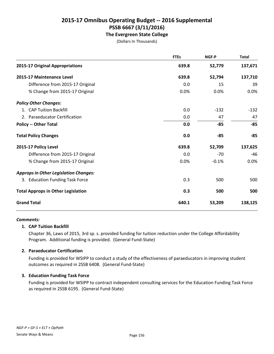**The Evergreen State College**

(Dollars In Thousands)

|                                              | <b>FTEs</b> | NGF-P   | <b>Total</b> |
|----------------------------------------------|-------------|---------|--------------|
| 2015-17 Original Appropriations              | 639.8       | 52,779  | 137,671      |
| 2015-17 Maintenance Level                    | 639.8       | 52,794  | 137,710      |
| Difference from 2015-17 Original             | 0.0         | 15      | 39           |
| % Change from 2015-17 Original               | 0.0%        | 0.0%    | 0.0%         |
| <b>Policy Other Changes:</b>                 |             |         |              |
| 1. CAP Tuition Backfill                      | 0.0         | $-132$  | $-132$       |
| 2. Paraeducator Certification                | 0.0         | 47      | 47           |
| <b>Policy -- Other Total</b>                 | 0.0         | $-85$   | $-85$        |
| <b>Total Policy Changes</b>                  | 0.0         | -85     | $-85$        |
| 2015-17 Policy Level                         | 639.8       | 52,709  | 137,625      |
| Difference from 2015-17 Original             | 0.0         | $-70$   | $-46$        |
| % Change from 2015-17 Original               | 0.0%        | $-0.1%$ | 0.0%         |
| <b>Approps in Other Legislation Changes:</b> |             |         |              |
| 3. Education Funding Task Force              | 0.3         | 500     | 500          |
| <b>Total Approps in Other Legislation</b>    | 0.3         | 500     | 500          |
| <b>Grand Total</b>                           | 640.1       | 53,209  | 138,125      |

#### *Comments:*

#### **1. CAP Tuition Backfill**

Chapter 36, Laws of 2015, 3rd sp. s. provided funding for tuition reduction under the College Affordability Program. Additional funding is provided. (General Fund-State)

#### **2. Paraeducator Certification**

Funding is provided for WSIPP to conduct a study of the effectiveness of paraeducators in improving student outcomes as required in 2SSB 6408. (General Fund-State)

#### **3. Education Funding Task Force**

Funding is provided for WSIPP to contract independent consulting services for the Education Funding Task Force as required in 2SSB 6195. (General Fund-State)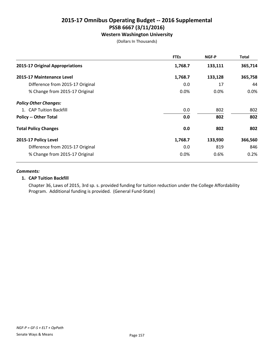## **Western Washington University**

(Dollars In Thousands)

|                                  | <b>FTEs</b> | NGF-P   | <b>Total</b> |
|----------------------------------|-------------|---------|--------------|
| 2015-17 Original Appropriations  | 1,768.7     | 133,111 | 365,714      |
| 2015-17 Maintenance Level        | 1,768.7     | 133,128 | 365,758      |
| Difference from 2015-17 Original | 0.0         | 17      | 44           |
| % Change from 2015-17 Original   | 0.0%        | 0.0%    | 0.0%         |
| <b>Policy Other Changes:</b>     |             |         |              |
| 1. CAP Tuition Backfill          | 0.0         | 802     | 802          |
| <b>Policy -- Other Total</b>     | 0.0         | 802     | 802          |
| <b>Total Policy Changes</b>      | 0.0         | 802     | 802          |
| 2015-17 Policy Level             | 1,768.7     | 133,930 | 366,560      |
| Difference from 2015-17 Original | 0.0         | 819     | 846          |
| % Change from 2015-17 Original   | 0.0%        | 0.6%    | 0.2%         |

#### *Comments:*

#### **1. CAP Tuition Backfill**

Chapter 36, Laws of 2015, 3rd sp. s. provided funding for tuition reduction under the College Affordability Program. Additional funding is provided. (General Fund-State)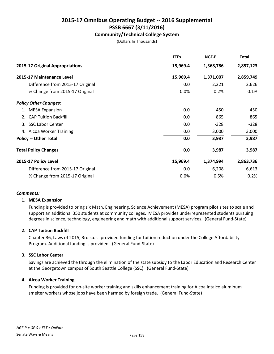## **Community/Technical College System**

(Dollars In Thousands)

|                                  | <b>FTEs</b> | NGF-P     | <b>Total</b> |
|----------------------------------|-------------|-----------|--------------|
| 2015-17 Original Appropriations  | 15,969.4    | 1,368,786 | 2,857,123    |
| 2015-17 Maintenance Level        | 15,969.4    | 1,371,007 | 2,859,749    |
| Difference from 2015-17 Original | 0.0         | 2,221     | 2,626        |
| % Change from 2015-17 Original   | 0.0%        | 0.2%      | 0.1%         |
| <b>Policy Other Changes:</b>     |             |           |              |
| <b>MESA Expansion</b>            | 0.0         | 450       | 450          |
| 2. CAP Tuition Backfill          | 0.0         | 865       | 865          |
| 3. SSC Labor Center              | 0.0         | $-328$    | $-328$       |
| 4. Alcoa Worker Training         | 0.0         | 3,000     | 3,000        |
| <b>Policy -- Other Total</b>     | 0.0         | 3,987     | 3,987        |
| <b>Total Policy Changes</b>      | 0.0         | 3,987     | 3,987        |
| 2015-17 Policy Level             | 15,969.4    | 1,374,994 | 2,863,736    |
| Difference from 2015-17 Original | 0.0         | 6,208     | 6,613        |
| % Change from 2015-17 Original   | 0.0%        | 0.5%      | 0.2%         |

#### *Comments:*

#### **1. MESA Expansion**

Funding is provided to bring six Math, Engineering, Science Achievement (MESA) program pilot sites to scale and support an additional 350 students at community colleges. MESA provides underrepresented students pursuing degrees in science, technology, engineering and math with additional support services. (General Fund-State)

## **2. CAP Tuition Backfill**

Chapter 36, Laws of 2015, 3rd sp. s. provided funding for tuition reduction under the College Affordability Program. Additional funding is provided. (General Fund-State)

#### **3. SSC Labor Center**

Savings are achieved the through the elimination of the state subsidy to the Labor Education and Research Center at the Georgetown campus of South Seattle College (SSC). (General Fund-State)

## **4. Alcoa Worker Training**

Funding is provided for on-site worker training and skills enhancement training for Alcoa Intalco aluminum smelter workers whose jobs have been harmed by foreign trade. (General Fund-State)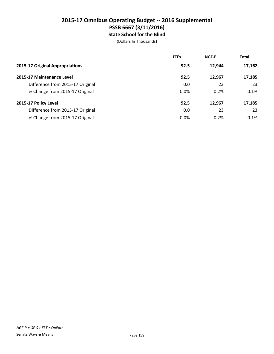# **2015-17 Omnibus Operating Budget -- 2016 Supplemental PSSB 6667 (3/11/2016) State School for the Blind**

|                                  | <b>FTEs</b> | <b>NGF-P</b> | <b>Total</b> |
|----------------------------------|-------------|--------------|--------------|
| 2015-17 Original Appropriations  | 92.5        | 12.944       | 17,162       |
| 2015-17 Maintenance Level        | 92.5        | 12.967       | 17,185       |
| Difference from 2015-17 Original | 0.0         | 23           | 23           |
| % Change from 2015-17 Original   | 0.0%        | 0.2%         | 0.1%         |
| 2015-17 Policy Level             | 92.5        | 12,967       | 17,185       |
| Difference from 2015-17 Original | 0.0         | 23           | 23           |
| % Change from 2015-17 Original   | 0.0%        | 0.2%         | 0.1%         |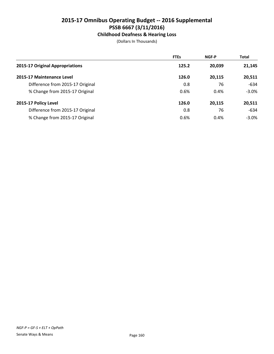# **Childhood Deafness & Hearing Loss**

|                                  | <b>FTEs</b> | <b>NGF-P</b> | <b>Total</b> |
|----------------------------------|-------------|--------------|--------------|
| 2015-17 Original Appropriations  | 125.2       | 20.039       | 21,145       |
| 2015-17 Maintenance Level        | 126.0       | 20.115       | 20,511       |
| Difference from 2015-17 Original | 0.8         | 76           | $-634$       |
| % Change from 2015-17 Original   | 0.6%        | 0.4%         | $-3.0%$      |
| 2015-17 Policy Level             | 126.0       | 20,115       | 20,511       |
| Difference from 2015-17 Original | 0.8         | 76           | $-634$       |
| % Change from 2015-17 Original   | 0.6%        | 0.4%         | $-3.0\%$     |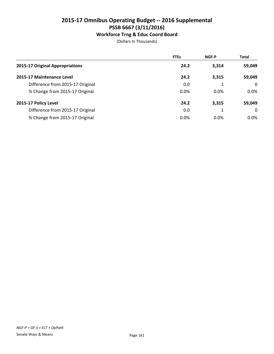# **Workforce Trng & Educ Coord Board**

|                                  | <b>FTEs</b> | <b>NGF-P</b> | <b>Total</b> |
|----------------------------------|-------------|--------------|--------------|
| 2015-17 Original Appropriations  | 24.2        | 3,314        | 59,049       |
| 2015-17 Maintenance Level        | 24.2        | 3,315        | 59,049       |
| Difference from 2015-17 Original | 0.0         |              | $\Omega$     |
| % Change from 2015-17 Original   | 0.0%        | 0.0%         | 0.0%         |
| 2015-17 Policy Level             | 24.2        | 3,315        | 59,049       |
| Difference from 2015-17 Original | 0.0         |              | $\Omega$     |
| % Change from 2015-17 Original   | 0.0%        | 0.0%         | $0.0\%$      |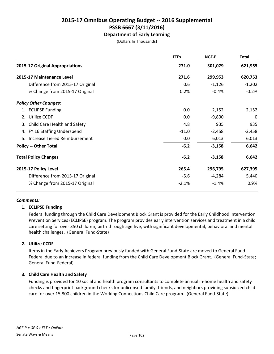**Department of Early Learning**

(Dollars In Thousands)

|                                  | <b>FTEs</b> | NGF-P    | <b>Total</b> |
|----------------------------------|-------------|----------|--------------|
| 2015-17 Original Appropriations  | 271.0       | 301,079  | 621,955      |
| 2015-17 Maintenance Level        | 271.6       | 299,953  | 620,753      |
| Difference from 2015-17 Original | 0.6         | $-1,126$ | $-1,202$     |
| % Change from 2015-17 Original   | 0.2%        | $-0.4%$  | $-0.2%$      |
| <b>Policy Other Changes:</b>     |             |          |              |
| 1. ECLIPSE Funding               | 0.0         | 2,152    | 2,152        |
| 2. Utilize CCDF                  | 0.0         | $-9,800$ | 0            |
| 3. Child Care Health and Safety  | 4.8         | 935      | 935          |
| 4. FY 16 Staffing Underspend     | $-11.0$     | $-2,458$ | $-2,458$     |
| 5. Increase Tiered Reimbursement | 0.0         | 6,013    | 6,013        |
| <b>Policy -- Other Total</b>     | $-6.2$      | $-3,158$ | 6,642        |
| <b>Total Policy Changes</b>      | $-6.2$      | $-3,158$ | 6,642        |
| 2015-17 Policy Level             | 265.4       | 296,795  | 627,395      |
| Difference from 2015-17 Original | $-5.6$      | $-4,284$ | 5,440        |
| % Change from 2015-17 Original   | $-2.1%$     | $-1.4%$  | 0.9%         |

## *Comments:*

## **1. ECLIPSE Funding**

Federal funding through the Child Care Development Block Grant is provided for the Early Childhood Intervention Prevention Services (ECLIPSE) program. The program provides early intervention services and treatment in a child care setting for over 350 children, birth through age five, with significant developmental, behavioral and mental health challenges. (General Fund-State)

## **2. Utilize CCDF**

Items in the Early Achievers Program previously funded with General Fund-State are moved to General Fund-Federal due to an increase in federal funding from the Child Care Development Block Grant. (General Fund-State; General Fund-Federal)

## **3. Child Care Health and Safety**

Funding is provided for 10 social and health program consultants to complete annual in-home health and safety checks and fingerprint background checks for unlicensed family, friends, and neighbors providing subsidized child care for over 15,800 children in the Working Connections Child Care program. (General Fund-State)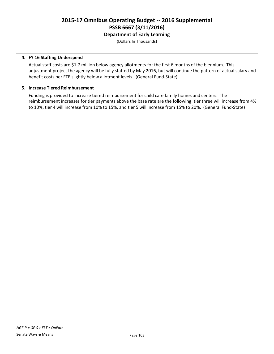(Dollars In Thousands)

### **4. FY 16 Staffing Underspend**

Actual staff costs are \$1.7 million below agency allotments for the first 6 months of the biennium. This adjustment project the agency will be fully staffed by May 2016, but will continue the pattern of actual salary and benefit costs per FTE slightly below allotment levels. (General Fund-State)

#### **5. Increase Tiered Reimbursement**

Funding is provided to increase tiered reimbursement for child care family homes and centers. The reimbursement increases for tier payments above the base rate are the following: tier three will increase from 4% to 10%, tier 4 will increase from 10% to 15%, and tier 5 will increase from 15% to 20%. (General Fund-State)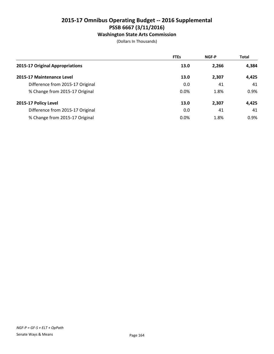## **Washington State Arts Commission**

|                                  | <b>FTEs</b> | <b>NGF-P</b> | <b>Total</b> |
|----------------------------------|-------------|--------------|--------------|
| 2015-17 Original Appropriations  | 13.0        | 2,266        | 4,384        |
| 2015-17 Maintenance Level        | 13.0        | 2,307        | 4.425        |
| Difference from 2015-17 Original | 0.0         | 41           | 41           |
| % Change from 2015-17 Original   | 0.0%        | 1.8%         | 0.9%         |
| 2015-17 Policy Level             | 13.0        | 2,307        | 4,425        |
| Difference from 2015-17 Original | 0.0         | 41           | 41           |
| % Change from 2015-17 Original   | 0.0%        | 1.8%         | 0.9%         |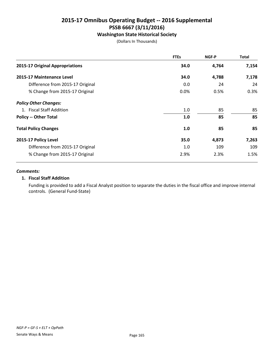## **Washington State Historical Society**

(Dollars In Thousands)

|                                  | <b>FTEs</b> | NGF-P | <b>Total</b> |
|----------------------------------|-------------|-------|--------------|
| 2015-17 Original Appropriations  | 34.0        | 4,764 | 7,154        |
| 2015-17 Maintenance Level        | 34.0        | 4,788 | 7,178        |
| Difference from 2015-17 Original | 0.0         | 24    | 24           |
| % Change from 2015-17 Original   | 0.0%        | 0.5%  | 0.3%         |
| <b>Policy Other Changes:</b>     |             |       |              |
| 1. Fiscal Staff Addition         | 1.0         | 85    | 85           |
| <b>Policy -- Other Total</b>     | 1.0         | 85    | 85           |
| <b>Total Policy Changes</b>      | 1.0         | 85    | 85           |
| 2015-17 Policy Level             | 35.0        | 4,873 | 7,263        |
| Difference from 2015-17 Original | 1.0         | 109   | 109          |
| % Change from 2015-17 Original   | 2.9%        | 2.3%  | 1.5%         |

#### *Comments:*

#### **1. Fiscal Staff Addition**

Funding is provided to add a Fiscal Analyst position to separate the duties in the fiscal office and improve internal controls. (General Fund-State)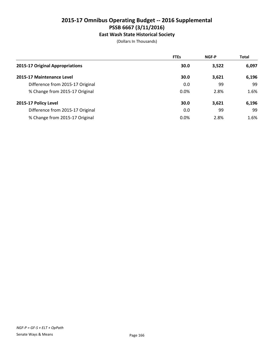# **East Wash State Historical Society**

|                                  | <b>FTEs</b> | <b>NGF-P</b> | <b>Total</b> |
|----------------------------------|-------------|--------------|--------------|
| 2015-17 Original Appropriations  | 30.0        | 3,522        | 6,097        |
| 2015-17 Maintenance Level        | 30.0        | 3,621        | 6,196        |
| Difference from 2015-17 Original | 0.0         | 99           | 99           |
| % Change from 2015-17 Original   | $0.0\%$     | 2.8%         | 1.6%         |
| 2015-17 Policy Level             | 30.0        | 3,621        | 6,196        |
| Difference from 2015-17 Original | 0.0         | 99           | 99           |
| % Change from 2015-17 Original   | 0.0%        | 2.8%         | 1.6%         |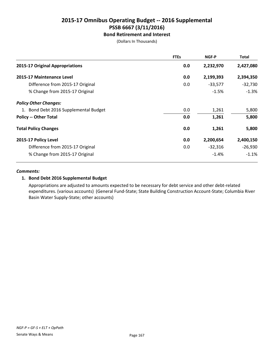## **Bond Retirement and Interest**

(Dollars In Thousands)

|                                       | <b>FTEs</b> | NGF-P     | <b>Total</b> |
|---------------------------------------|-------------|-----------|--------------|
| 2015-17 Original Appropriations       | 0.0         | 2,232,970 | 2,427,080    |
| 2015-17 Maintenance Level             | 0.0         | 2,199,393 | 2,394,350    |
| Difference from 2015-17 Original      | 0.0         | $-33,577$ | $-32,730$    |
| % Change from 2015-17 Original        |             | $-1.5%$   | $-1.3%$      |
| <b>Policy Other Changes:</b>          |             |           |              |
| 1. Bond Debt 2016 Supplemental Budget | 0.0         | 1,261     | 5,800        |
| <b>Policy -- Other Total</b>          | 0.0         | 1,261     | 5,800        |
| <b>Total Policy Changes</b>           | 0.0         | 1,261     | 5,800        |
| 2015-17 Policy Level                  | 0.0         | 2,200,654 | 2,400,150    |
| Difference from 2015-17 Original      | 0.0         | $-32,316$ | $-26,930$    |
| % Change from 2015-17 Original        |             | $-1.4%$   | $-1.1%$      |

#### *Comments:*

#### **1. Bond Debt 2016 Supplemental Budget**

Appropriations are adjusted to amounts expected to be necessary for debt service and other debt-related expenditures. (various accounts) (General Fund-State; State Building Construction Account-State; Columbia River Basin Water Supply-State; other accounts)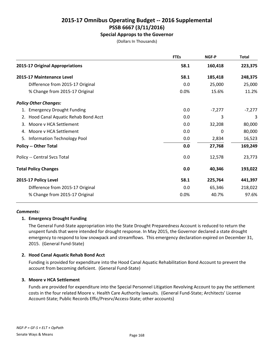## **Special Approps to the Governor**

(Dollars In Thousands)

| <b>FTEs</b> | NGF-P    | <b>Total</b> |
|-------------|----------|--------------|
| 58.1        | 160,418  | 223,375      |
| 58.1        | 185,418  | 248,375      |
| 0.0         | 25,000   | 25,000       |
| 0.0%        | 15.6%    | 11.2%        |
|             |          |              |
| 0.0         | $-7,277$ | $-7,277$     |
| 0.0         | 3        | 3            |
| 0.0         | 32,208   | 80,000       |
| 0.0         | 0        | 80,000       |
| 0.0         | 2,834    | 16,523       |
| 0.0         | 27,768   | 169,249      |
| 0.0         | 12,578   | 23,773       |
| 0.0         | 40,346   | 193,022      |
| 58.1        | 225,764  | 441,397      |
| 0.0         | 65,346   | 218,022      |
| 0.0%        | 40.7%    | 97.6%        |
|             |          |              |

#### *Comments:*

## **1. Emergency Drought Funding**

The General Fund-State appropriation into the State Drought Preparedness Account is reduced to return the unspent funds that were intended for drought response. In May 2015, the Governor declared a state drought emergency to respond to low snowpack and streamflows. This emergency declaration expired on December 31, 2015. (General Fund-State)

## **2. Hood Canal Aquatic Rehab Bond Acct**

Funding is provided for expenditure into the Hood Canal Aquatic Rehabilitation Bond Account to prevent the account from becoming deficient. (General Fund-State)

## **3. Moore v HCA Settlement**

Funds are provided for expenditure into the Special Personnel Litigation Revolving Account to pay the settlement costs in the four related Moore v. Health Care Authority lawsuits. (General Fund-State; Architects' License Account-State; Public Records Effic/Presrv/Access-State; other accounts)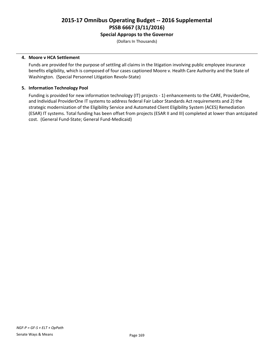## **Special Approps to the Governor**

(Dollars In Thousands)

### **4. Moore v HCA Settlement**

Funds are provided for the purpose of settling all claims in the litigation involving public employee insurance benefits eligibility, which is composed of four cases captioned Moore v. Health Care Authority and the State of Washington. (Special Personnel Litigation Revolv-State)

### **5. Information Technology Pool**

Funding is provided for new information technology (IT) projects - 1) enhancements to the CARE, ProviderOne, and Individual ProviderOne IT systems to address federal Fair Labor Standards Act requirements and 2) the strategic modernization of the Eligibility Service and Automated Client Eligibility System (ACES) Remediation (ESAR) IT systems. Total funding has been offset from projects (ESAR II and III) completed at lower than antcipated cost. (General Fund-State; General Fund-Medicaid)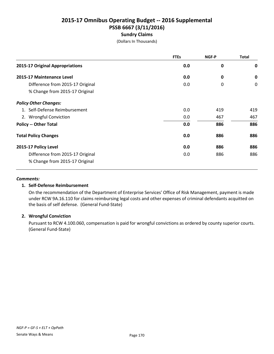(Dollars In Thousands)

|                                  | <b>FTEs</b> | NGF-P | <b>Total</b> |
|----------------------------------|-------------|-------|--------------|
| 2015-17 Original Appropriations  | 0.0         | 0     | 0            |
| 2015-17 Maintenance Level        | 0.0         | 0     | 0            |
| Difference from 2015-17 Original | 0.0         | 0     | 0            |
| % Change from 2015-17 Original   |             |       |              |
| <b>Policy Other Changes:</b>     |             |       |              |
| 1. Self-Defense Reimbursement    | 0.0         | 419   | 419          |
| 2. Wrongful Conviction           | 0.0         | 467   | 467          |
| <b>Policy -- Other Total</b>     | 0.0         | 886   | 886          |
| <b>Total Policy Changes</b>      | 0.0         | 886   | 886          |
| 2015-17 Policy Level             | 0.0         | 886   | 886          |
| Difference from 2015-17 Original | 0.0         | 886   | 886          |
| % Change from 2015-17 Original   |             |       |              |

#### *Comments:*

## **1. Self-Defense Reimbursement**

On the recommendation of the Department of Enterprise Services' Office of Risk Management, payment is made under RCW 9A.16.110 for claims reimbursing legal costs and other expenses of criminal defendants acquitted on the basis of self defense. (General Fund-State)

## **2. Wrongful Conviction**

Pursuant to RCW 4.100.060, compensation is paid for wrongful convictions as ordered by county superior courts. (General Fund-State)